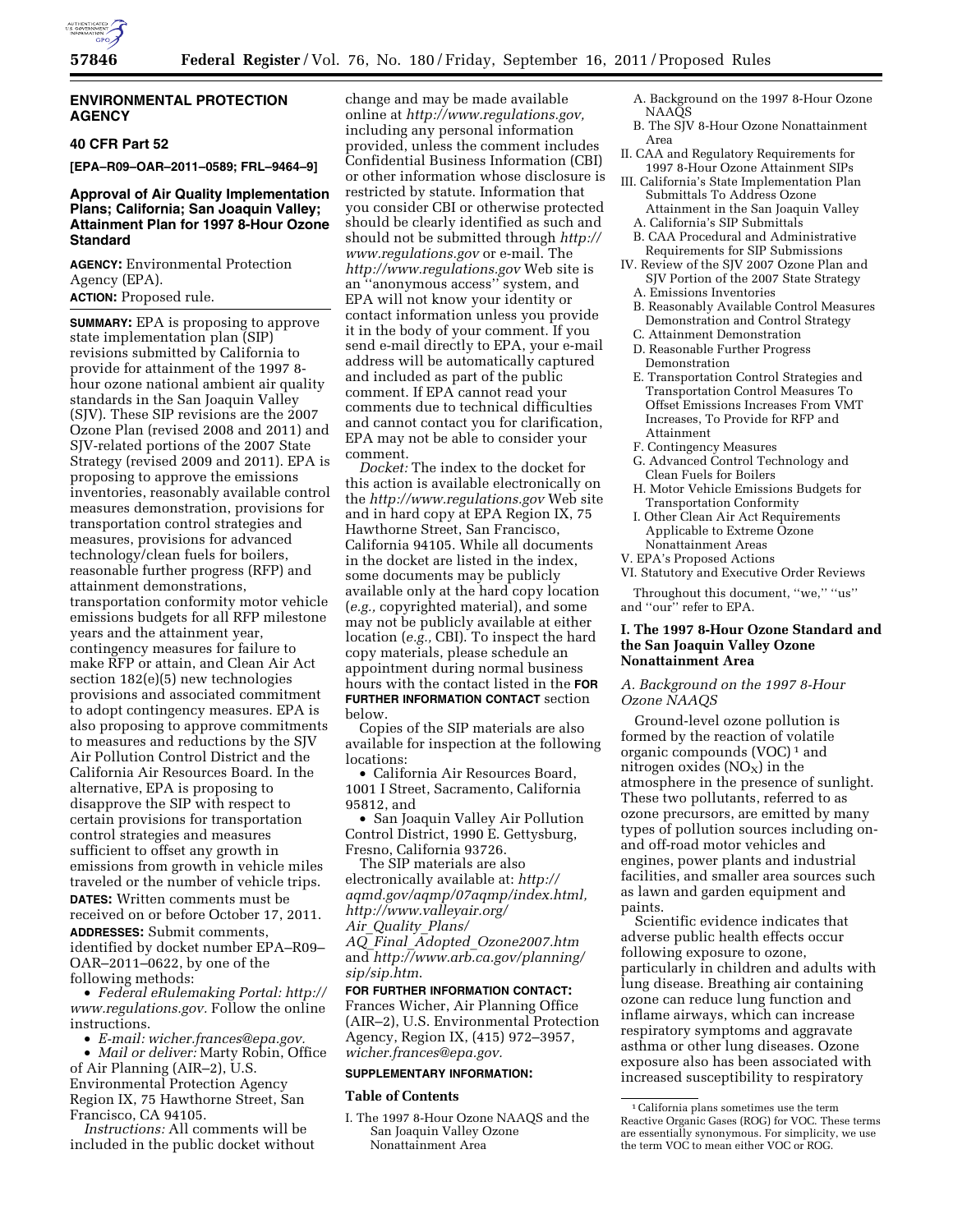

### **ENVIRONMENTAL PROTECTION AGENCY**

## **40 CFR Part 52**

**[EPA–R09–OAR–2011–0589; FRL–9464–9]** 

## **Approval of Air Quality Implementation Plans; California; San Joaquin Valley; Attainment Plan for 1997 8-Hour Ozone Standard**

**AGENCY:** Environmental Protection Agency (EPA).

# **ACTION:** Proposed rule.

**SUMMARY:** EPA is proposing to approve state implementation plan (SIP) revisions submitted by California to provide for attainment of the 1997 8 hour ozone national ambient air quality standards in the San Joaquin Valley (SJV). These SIP revisions are the 2007 Ozone Plan (revised 2008 and 2011) and SJV-related portions of the 2007 State Strategy (revised 2009 and 2011). EPA is proposing to approve the emissions inventories, reasonably available control measures demonstration, provisions for transportation control strategies and measures, provisions for advanced technology/clean fuels for boilers, reasonable further progress (RFP) and attainment demonstrations, transportation conformity motor vehicle emissions budgets for all RFP milestone years and the attainment year, contingency measures for failure to make RFP or attain, and Clean Air Act section 182(e)(5) new technologies provisions and associated commitment to adopt contingency measures. EPA is also proposing to approve commitments to measures and reductions by the SJV Air Pollution Control District and the California Air Resources Board. In the alternative, EPA is proposing to disapprove the SIP with respect to certain provisions for transportation control strategies and measures sufficient to offset any growth in emissions from growth in vehicle miles traveled or the number of vehicle trips. **DATES:** Written comments must be received on or before October 17, 2011. **ADDRESSES:** Submit comments, identified by docket number EPA–R09– OAR–2011–0622, by one of the following methods:

• *Federal eRulemaking Portal: [http://](http://www.regulations.gov)  [www.regulations.gov.](http://www.regulations.gov)* Follow the online instructions.

• *E-mail: [wicher.frances@epa.gov.](mailto:wicher.frances@epa.gov)* 

• *Mail or deliver:* Marty Robin, Office of Air Planning (AIR–2), U.S. Environmental Protection Agency Region IX, 75 Hawthorne Street, San Francisco, CA 94105.

*Instructions:* All comments will be included in the public docket without

change and may be made available online at *[http://www.regulations.gov,](http://www.regulations.gov)*  including any personal information provided, unless the comment includes Confidential Business Information (CBI) or other information whose disclosure is restricted by statute. Information that you consider CBI or otherwise protected should be clearly identified as such and should not be submitted through *[http://](http://www.regulations.gov) [www.regulations.gov](http://www.regulations.gov)* or e-mail. The *<http://www.regulations.gov>* Web site is an ''anonymous access'' system, and EPA will not know your identity or contact information unless you provide it in the body of your comment. If you send e-mail directly to EPA, your e-mail address will be automatically captured and included as part of the public comment. If EPA cannot read your comments due to technical difficulties and cannot contact you for clarification, EPA may not be able to consider your comment.

*Docket:* The index to the docket for this action is available electronically on the *<http://www.regulations.gov>*Web site and in hard copy at EPA Region IX, 75 Hawthorne Street, San Francisco, California 94105. While all documents in the docket are listed in the index, some documents may be publicly available only at the hard copy location (*e.g.,* copyrighted material), and some may not be publicly available at either location (*e.g.,* CBI). To inspect the hard copy materials, please schedule an appointment during normal business hours with the contact listed in the **FOR FURTHER INFORMATION CONTACT** section below.

Copies of the SIP materials are also available for inspection at the following locations:

• California Air Resources Board, 1001 I Street, Sacramento, California 95812, and

• San Joaquin Valley Air Pollution Control District, 1990 E. Gettysburg, Fresno, California 93726.

The SIP materials are also electronically available at: *[http://](http://aqmd.gov/aqmp/07aqmp/index.html) [aqmd.gov/aqmp/07aqmp/index.html,](http://aqmd.gov/aqmp/07aqmp/index.html) [http://www.valleyair.org/](http://www.valleyair.org/Air_Quality_Plans/AQ_Final_Adopted_Ozone2007.htm)* 

*Air*\_*[Quality](http://www.valleyair.org/Air_Quality_Plans/AQ_Final_Adopted_Ozone2007.htm)*\_*Plans/* 

*AQ*\_*Final*\_*Adopted*\_*[Ozone2007.htm](http://www.valleyair.org/Air_Quality_Plans/AQ_Final_Adopted_Ozone2007.htm)*  and *[http://www.arb.ca.gov/planning/](http://www.arb.ca.gov/planning/sip/sip.htm)  [sip/sip.htm](http://www.arb.ca.gov/planning/sip/sip.htm)*.

# **FOR FURTHER INFORMATION CONTACT:**  Frances Wicher, Air Planning Office (AIR–2), U.S. Environmental Protection Agency, Region IX, (415) 972–3957, *[wicher.frances@epa.gov.](mailto:wicher.frances@epa.gov)*

## **SUPPLEMENTARY INFORMATION:**

### **Table of Contents**

I. The 1997 8-Hour Ozone NAAQS and the San Joaquin Valley Ozone Nonattainment Area

- A. Background on the 1997 8-Hour Ozone NAAQS
- B. The SJV 8-Hour Ozone Nonattainment Area
- II. CAA and Regulatory Requirements for 1997 8-Hour Ozone Attainment SIPs
- III. California's State Implementation Plan Submittals To Address Ozone Attainment in the San Joaquin Valley A. California's SIP Submittals
- B. CAA Procedural and Administrative Requirements for SIP Submissions
- IV. Review of the SJV 2007 Ozone Plan and SJV Portion of the 2007 State Strategy
	- A. Emissions Inventories
	- B. Reasonably Available Control Measures Demonstration and Control Strategy
	- C. Attainment Demonstration
	- D. Reasonable Further Progress Demonstration
	- E. Transportation Control Strategies and Transportation Control Measures To Offset Emissions Increases From VMT Increases, To Provide for RFP and Attainment
	- F. Contingency Measures
	- G. Advanced Control Technology and Clean Fuels for Boilers
	- H. Motor Vehicle Emissions Budgets for Transportation Conformity
	- I. Other Clean Air Act Requirements Applicable to Extreme Ozone Nonattainment Areas

V. EPA's Proposed Actions

VI. Statutory and Executive Order Reviews

Throughout this document, "we," "us" and ''our'' refer to EPA.

### **I. The 1997 8-Hour Ozone Standard and the San Joaquin Valley Ozone Nonattainment Area**

*A. Background on the 1997 8-Hour Ozone NAAQS* 

Ground-level ozone pollution is formed by the reaction of volatile organic compounds (VOC) 1 and nitrogen oxides  $(NO<sub>X</sub>)$  in the atmosphere in the presence of sunlight. These two pollutants, referred to as ozone precursors, are emitted by many types of pollution sources including onand off-road motor vehicles and engines, power plants and industrial facilities, and smaller area sources such as lawn and garden equipment and paints.

Scientific evidence indicates that adverse public health effects occur following exposure to ozone, particularly in children and adults with lung disease. Breathing air containing ozone can reduce lung function and inflame airways, which can increase respiratory symptoms and aggravate asthma or other lung diseases. Ozone exposure also has been associated with increased susceptibility to respiratory

<sup>1</sup>California plans sometimes use the term Reactive Organic Gases (ROG) for VOC. These terms are essentially synonymous. For simplicity, we use the term VOC to mean either VOC or ROG.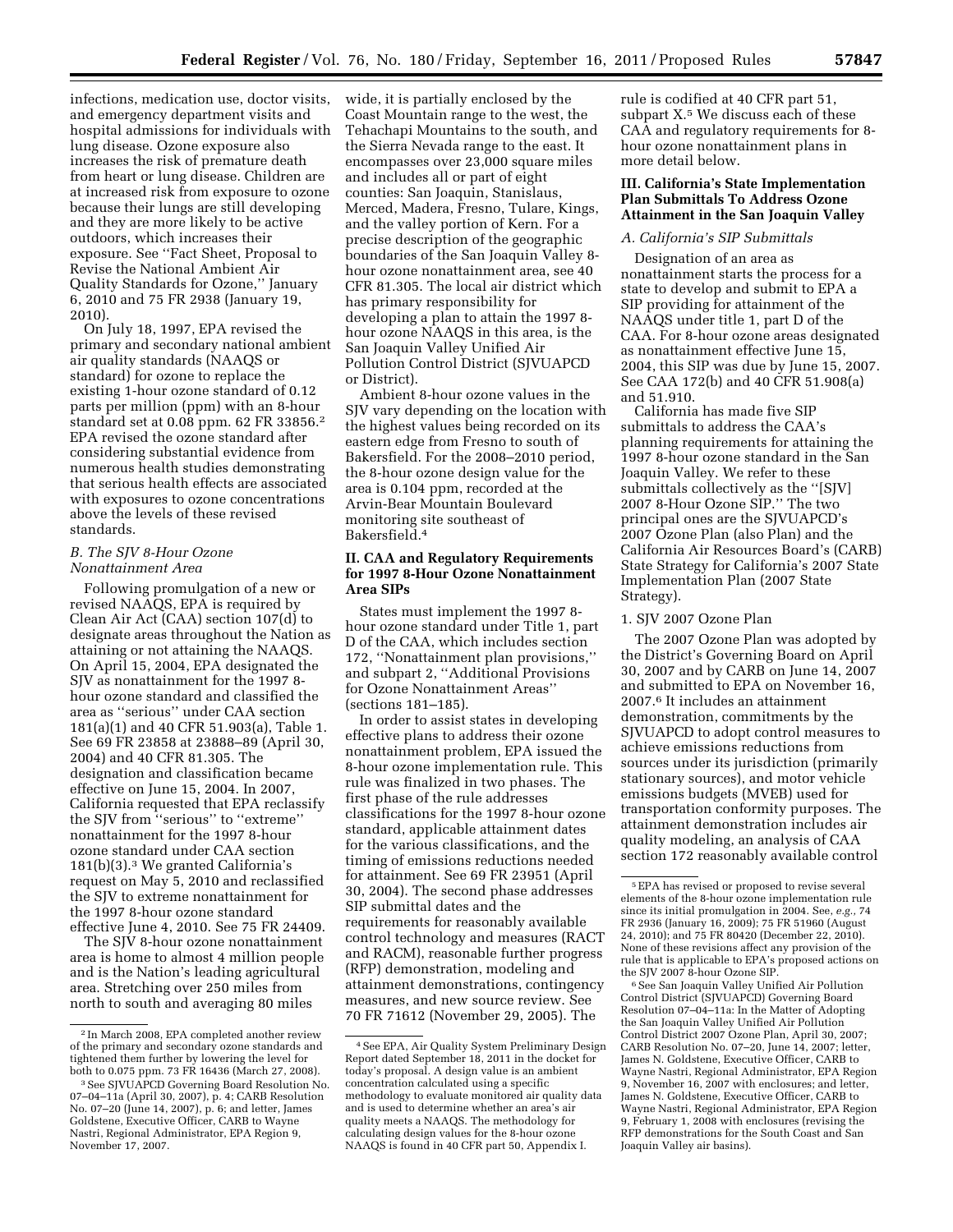infections, medication use, doctor visits, and emergency department visits and hospital admissions for individuals with lung disease. Ozone exposure also increases the risk of premature death from heart or lung disease. Children are at increased risk from exposure to ozone because their lungs are still developing and they are more likely to be active outdoors, which increases their exposure. See ''Fact Sheet, Proposal to Revise the National Ambient Air Quality Standards for Ozone,'' January 6, 2010 and 75 FR 2938 (January 19,

2010). On July 18, 1997, EPA revised the primary and secondary national ambient air quality standards (NAAQS or standard) for ozone to replace the existing 1-hour ozone standard of 0.12 parts per million (ppm) with an 8-hour standard set at 0.08 ppm. 62 FR 33856.2 EPA revised the ozone standard after considering substantial evidence from numerous health studies demonstrating that serious health effects are associated with exposures to ozone concentrations above the levels of these revised standards.

### *B. The SJV 8-Hour Ozone Nonattainment Area*

Following promulgation of a new or revised NAAQS, EPA is required by Clean Air Act (CAA) section 107(d) to designate areas throughout the Nation as attaining or not attaining the NAAQS. On April 15, 2004, EPA designated the SJV as nonattainment for the 1997 8 hour ozone standard and classified the area as ''serious'' under CAA section 181(a)(1) and 40 CFR 51.903(a), Table 1. See 69 FR 23858 at 23888–89 (April 30, 2004) and 40 CFR 81.305. The designation and classification became effective on June 15, 2004. In 2007, California requested that EPA reclassify the SJV from ''serious'' to ''extreme'' nonattainment for the 1997 8-hour ozone standard under CAA section 181(b)(3).3 We granted California's request on May 5, 2010 and reclassified the SJV to extreme nonattainment for the 1997 8-hour ozone standard effective June 4, 2010. See 75 FR 24409.

The SJV 8-hour ozone nonattainment area is home to almost 4 million people and is the Nation's leading agricultural area. Stretching over 250 miles from north to south and averaging 80 miles

wide, it is partially enclosed by the Coast Mountain range to the west, the Tehachapi Mountains to the south, and the Sierra Nevada range to the east. It encompasses over 23,000 square miles and includes all or part of eight counties: San Joaquin, Stanislaus, Merced, Madera, Fresno, Tulare, Kings, and the valley portion of Kern. For a precise description of the geographic boundaries of the San Joaquin Valley 8 hour ozone nonattainment area, see 40 CFR 81.305. The local air district which has primary responsibility for developing a plan to attain the 1997 8 hour ozone NAAQS in this area, is the San Joaquin Valley Unified Air Pollution Control District (SJVUAPCD or District).

Ambient 8-hour ozone values in the SJV vary depending on the location with the highest values being recorded on its eastern edge from Fresno to south of Bakersfield. For the 2008–2010 period, the 8-hour ozone design value for the area is 0.104 ppm, recorded at the Arvin-Bear Mountain Boulevard monitoring site southeast of Bakersfield.4

### **II. CAA and Regulatory Requirements for 1997 8-Hour Ozone Nonattainment Area SIPs**

States must implement the 1997 8 hour ozone standard under Title 1, part D of the CAA, which includes section 172, ''Nonattainment plan provisions,'' and subpart 2, ''Additional Provisions for Ozone Nonattainment Areas'' (sections 181–185).

In order to assist states in developing effective plans to address their ozone nonattainment problem, EPA issued the 8-hour ozone implementation rule. This rule was finalized in two phases. The first phase of the rule addresses classifications for the 1997 8-hour ozone standard, applicable attainment dates for the various classifications, and the timing of emissions reductions needed for attainment. See 69 FR 23951 (April 30, 2004). The second phase addresses SIP submittal dates and the requirements for reasonably available control technology and measures (RACT and RACM), reasonable further progress (RFP) demonstration, modeling and attainment demonstrations, contingency measures, and new source review. See 70 FR 71612 (November 29, 2005). The

rule is codified at 40 CFR part 51, subpart X.<sup>5</sup> We discuss each of these CAA and regulatory requirements for 8 hour ozone nonattainment plans in more detail below.

## **III. California's State Implementation Plan Submittals To Address Ozone Attainment in the San Joaquin Valley**

# *A. California's SIP Submittals*

Designation of an area as nonattainment starts the process for a state to develop and submit to EPA a SIP providing for attainment of the NAAQS under title 1, part D of the CAA. For 8-hour ozone areas designated as nonattainment effective June 15, 2004, this SIP was due by June 15, 2007. See CAA 172(b) and 40 CFR 51.908(a) and 51.910.

California has made five SIP submittals to address the CAA's planning requirements for attaining the 1997 8-hour ozone standard in the San Joaquin Valley. We refer to these submittals collectively as the ''[SJV] 2007 8-Hour Ozone SIP.'' The two principal ones are the SJVUAPCD's 2007 Ozone Plan (also Plan) and the California Air Resources Board's (CARB) State Strategy for California's 2007 State Implementation Plan (2007 State Strategy).

#### 1. SJV 2007 Ozone Plan

The 2007 Ozone Plan was adopted by the District's Governing Board on April 30, 2007 and by CARB on June 14, 2007 and submitted to EPA on November 16, 2007.6 It includes an attainment demonstration, commitments by the SJVUAPCD to adopt control measures to achieve emissions reductions from sources under its jurisdiction (primarily stationary sources), and motor vehicle emissions budgets (MVEB) used for transportation conformity purposes. The attainment demonstration includes air quality modeling, an analysis of CAA section 172 reasonably available control

6See San Joaquin Valley Unified Air Pollution Control District (SJVUAPCD) Governing Board Resolution 07–04–11a: In the Matter of Adopting the San Joaquin Valley Unified Air Pollution Control District 2007 Ozone Plan, April 30, 2007; CARB Resolution No. 07-20, June  $14$ , 2007; letter, James N. Goldstene, Executive Officer, CARB to Wayne Nastri, Regional Administrator, EPA Region 9, November 16, 2007 with enclosures; and letter, James N. Goldstene, Executive Officer, CARB to Wayne Nastri, Regional Administrator, EPA Region 9, February 1, 2008 with enclosures (revising the RFP demonstrations for the South Coast and San Joaquin Valley air basins).

<sup>2</sup> In March 2008, EPA completed another review of the primary and secondary ozone standards and tightened them further by lowering the level for<br>both to 0.075 ppm. 73 FR 16436 (March 27, 2008).

<sup>&</sup>lt;sup>3</sup> See SJVUAPCD Governing Board Resolution No. 07–04–11a (April 30, 2007), p. 4; CARB Resolution No. 07–20 (June 14, 2007), p. 6; and letter, James Goldstene, Executive Officer, CARB to Wayne Nastri, Regional Administrator, EPA Region 9, November 17, 2007.

<sup>4</sup>See EPA, Air Quality System Preliminary Design Report dated September 18, 2011 in the docket for today's proposal. A design value is an ambient concentration calculated using a specific methodology to evaluate monitored air quality data and is used to determine whether an area's air quality meets a NAAQS. The methodology for calculating design values for the 8-hour ozone NAAQS is found in 40 CFR part 50, Appendix I.

<sup>5</sup>EPA has revised or proposed to revise several elements of the 8-hour ozone implementation rule since its initial promulgation in 2004. See, *e.g.,* 74 FR 2936 (January 16, 2009); 75 FR 51960 (August 24, 2010); and 75 FR 80420 (December 22, 2010). None of these revisions affect any provision of the rule that is applicable to EPA's proposed actions on the SJV 2007 8-hour Ozone SIP.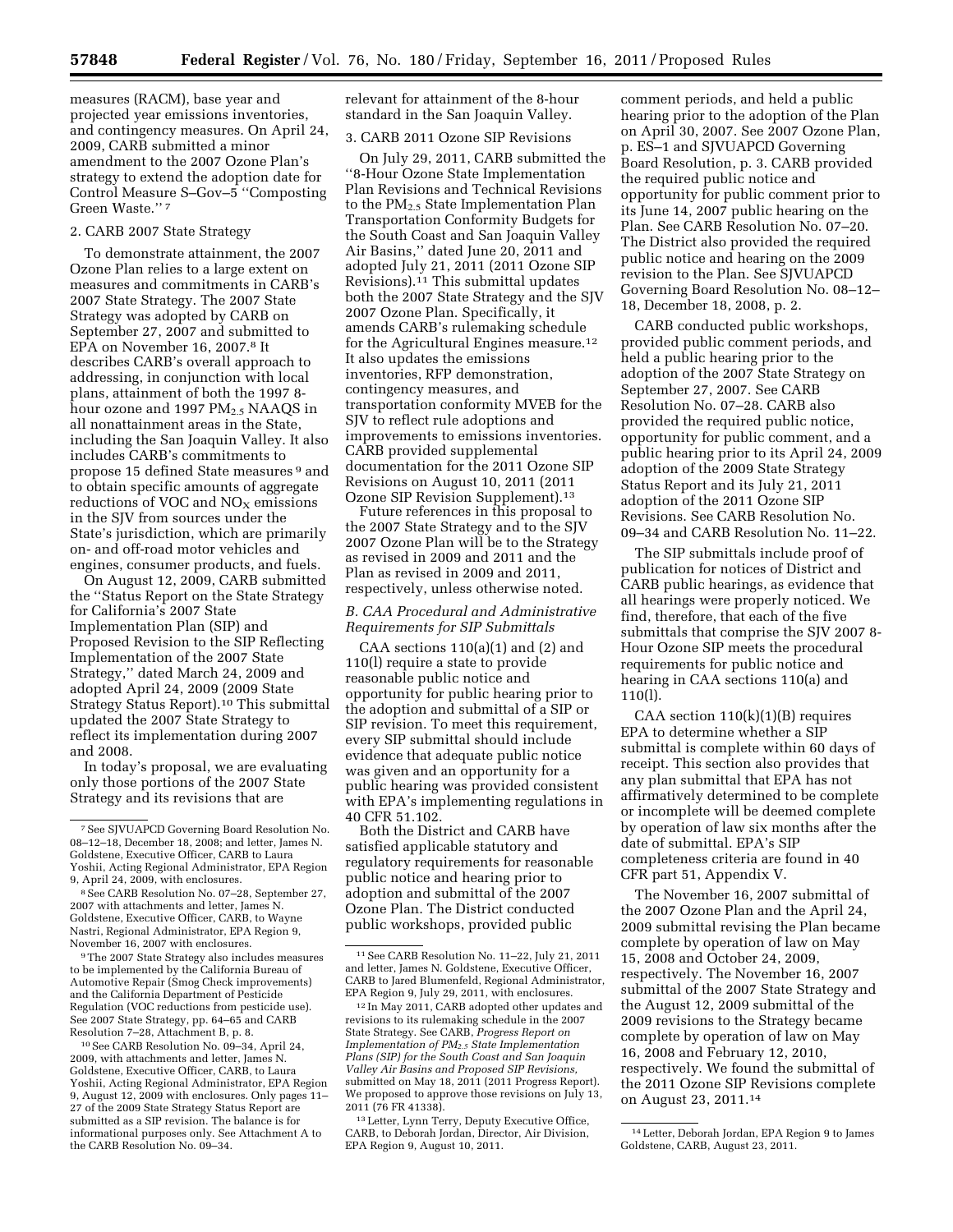measures (RACM), base year and projected year emissions inventories, and contingency measures. On April 24, 2009, CARB submitted a minor amendment to the 2007 Ozone Plan's strategy to extend the adoption date for Control Measure S–Gov–5 ''Composting Green Waste.'' 7

### 2. CARB 2007 State Strategy

To demonstrate attainment, the 2007 Ozone Plan relies to a large extent on measures and commitments in CARB's 2007 State Strategy. The 2007 State Strategy was adopted by CARB on September 27, 2007 and submitted to EPA on November 16, 2007.8 It describes CARB's overall approach to addressing, in conjunction with local plans, attainment of both the 1997 8 hour ozone and 1997  $PM_{2.5}$  NAAQS in all nonattainment areas in the State, including the San Joaquin Valley. It also includes CARB's commitments to propose 15 defined State measures 9 and to obtain specific amounts of aggregate reductions of VOC and  $NO<sub>X</sub>$  emissions in the SJV from sources under the State's jurisdiction, which are primarily on- and off-road motor vehicles and engines, consumer products, and fuels.

On August 12, 2009, CARB submitted the ''Status Report on the State Strategy for California's 2007 State Implementation Plan (SIP) and Proposed Revision to the SIP Reflecting Implementation of the 2007 State Strategy,'' dated March 24, 2009 and adopted April 24, 2009 (2009 State Strategy Status Report).10 This submittal updated the 2007 State Strategy to reflect its implementation during 2007 and 2008.

In today's proposal, we are evaluating only those portions of the 2007 State Strategy and its revisions that are

9The 2007 State Strategy also includes measures to be implemented by the California Bureau of Automotive Repair (Smog Check improvements) and the California Department of Pesticide Regulation (VOC reductions from pesticide use). See 2007 State Strategy, pp. 64–65 and CARB Resolution 7–28, Attachment B, p. 8.

10See CARB Resolution No. 09–34, April 24, 2009, with attachments and letter, James N. Goldstene, Executive Officer, CARB, to Laura Yoshii, Acting Regional Administrator, EPA Region 9, August 12, 2009 with enclosures. Only pages 11– 27 of the 2009 State Strategy Status Report are submitted as a SIP revision. The balance is for informational purposes only. See Attachment A to the CARB Resolution No. 09–34.

relevant for attainment of the 8-hour standard in the San Joaquin Valley.

# 3. CARB 2011 Ozone SIP Revisions

On July 29, 2011, CARB submitted the ''8-Hour Ozone State Implementation Plan Revisions and Technical Revisions to the  $PM_{2.5}$  State Implementation Plan Transportation Conformity Budgets for the South Coast and San Joaquin Valley Air Basins,'' dated June 20, 2011 and adopted July 21, 2011 (2011 Ozone SIP Revisions).11 This submittal updates both the 2007 State Strategy and the SJV 2007 Ozone Plan. Specifically, it amends CARB's rulemaking schedule for the Agricultural Engines measure.12 It also updates the emissions inventories, RFP demonstration, contingency measures, and transportation conformity MVEB for the SJV to reflect rule adoptions and improvements to emissions inventories. CARB provided supplemental documentation for the 2011 Ozone SIP Revisions on August 10, 2011 (2011 Ozone SIP Revision Supplement).13

Future references in this proposal to the 2007 State Strategy and to the SJV 2007 Ozone Plan will be to the Strategy as revised in 2009 and 2011 and the Plan as revised in 2009 and 2011, respectively, unless otherwise noted.

## *B. CAA Procedural and Administrative Requirements for SIP Submittals*

CAA sections  $110(a)(1)$  and  $(2)$  and 110(l) require a state to provide reasonable public notice and opportunity for public hearing prior to the adoption and submittal of a SIP or SIP revision. To meet this requirement, every SIP submittal should include evidence that adequate public notice was given and an opportunity for a public hearing was provided consistent with EPA's implementing regulations in 40 CFR 51.102.

Both the District and CARB have satisfied applicable statutory and regulatory requirements for reasonable public notice and hearing prior to adoption and submittal of the 2007 Ozone Plan. The District conducted public workshops, provided public

comment periods, and held a public hearing prior to the adoption of the Plan on April 30, 2007. See 2007 Ozone Plan, p. ES–1 and SJVUAPCD Governing Board Resolution, p. 3. CARB provided the required public notice and opportunity for public comment prior to its June 14, 2007 public hearing on the Plan. See CARB Resolution No. 07–20. The District also provided the required public notice and hearing on the 2009 revision to the Plan. See SJVUAPCD Governing Board Resolution No. 08–12– 18, December 18, 2008, p. 2.

CARB conducted public workshops, provided public comment periods, and held a public hearing prior to the adoption of the 2007 State Strategy on September 27, 2007. See CARB Resolution No. 07–28. CARB also provided the required public notice, opportunity for public comment, and a public hearing prior to its April 24, 2009 adoption of the 2009 State Strategy Status Report and its July 21, 2011 adoption of the 2011 Ozone SIP Revisions. See CARB Resolution No. 09–34 and CARB Resolution No. 11–22.

The SIP submittals include proof of publication for notices of District and CARB public hearings, as evidence that all hearings were properly noticed. We find, therefore, that each of the five submittals that comprise the SJV 2007 8- Hour Ozone SIP meets the procedural requirements for public notice and hearing in CAA sections 110(a) and 110(l).

CAA section 110(k)(1)(B) requires EPA to determine whether a SIP submittal is complete within 60 days of receipt. This section also provides that any plan submittal that EPA has not affirmatively determined to be complete or incomplete will be deemed complete by operation of law six months after the date of submittal. EPA's SIP completeness criteria are found in 40 CFR part 51, Appendix V.

The November 16, 2007 submittal of the 2007 Ozone Plan and the April 24, 2009 submittal revising the Plan became complete by operation of law on May 15, 2008 and October 24, 2009, respectively. The November 16, 2007 submittal of the 2007 State Strategy and the August 12, 2009 submittal of the 2009 revisions to the Strategy became complete by operation of law on May 16, 2008 and February 12, 2010, respectively. We found the submittal of the 2011 Ozone SIP Revisions complete on August 23, 2011.14

<sup>7</sup>See SJVUAPCD Governing Board Resolution No. 08–12–18, December 18, 2008; and letter, James N. Goldstene, Executive Officer, CARB to Laura Yoshii, Acting Regional Administrator, EPA Region 9, April 24, 2009, with enclosures.

<sup>8</sup>See CARB Resolution No. 07–28, September 27, 2007 with attachments and letter, James N. Goldstene, Executive Officer, CARB, to Wayne Nastri, Regional Administrator, EPA Region 9, November 16, 2007 with enclosures.

<sup>11</sup>See CARB Resolution No. 11–22, July 21, 2011 and letter, James N. Goldstene, Executive Officer, CARB to Jared Blumenfeld, Regional Administrator, EPA Region 9, July 29, 2011, with enclosures.

<sup>12</sup> In May 2011, CARB adopted other updates and revisions to its rulemaking schedule in the 2007 State Strategy. See CARB, *Progress Report on Implementation of PM2.5 State Implementation Plans (SIP) for the South Coast and San Joaquin Valley Air Basins and Proposed SIP Revisions,*  submitted on May 18, 2011 (2011 Progress Report). We proposed to approve those revisions on July 13, 2011 (76 FR 41338).

<sup>13</sup>Letter, Lynn Terry, Deputy Executive Office, CARB, to Deborah Jordan, Director, Air Division, EPA Region 9, August 10, 2011.

<sup>14</sup>Letter, Deborah Jordan, EPA Region 9 to James Goldstene, CARB, August 23, 2011.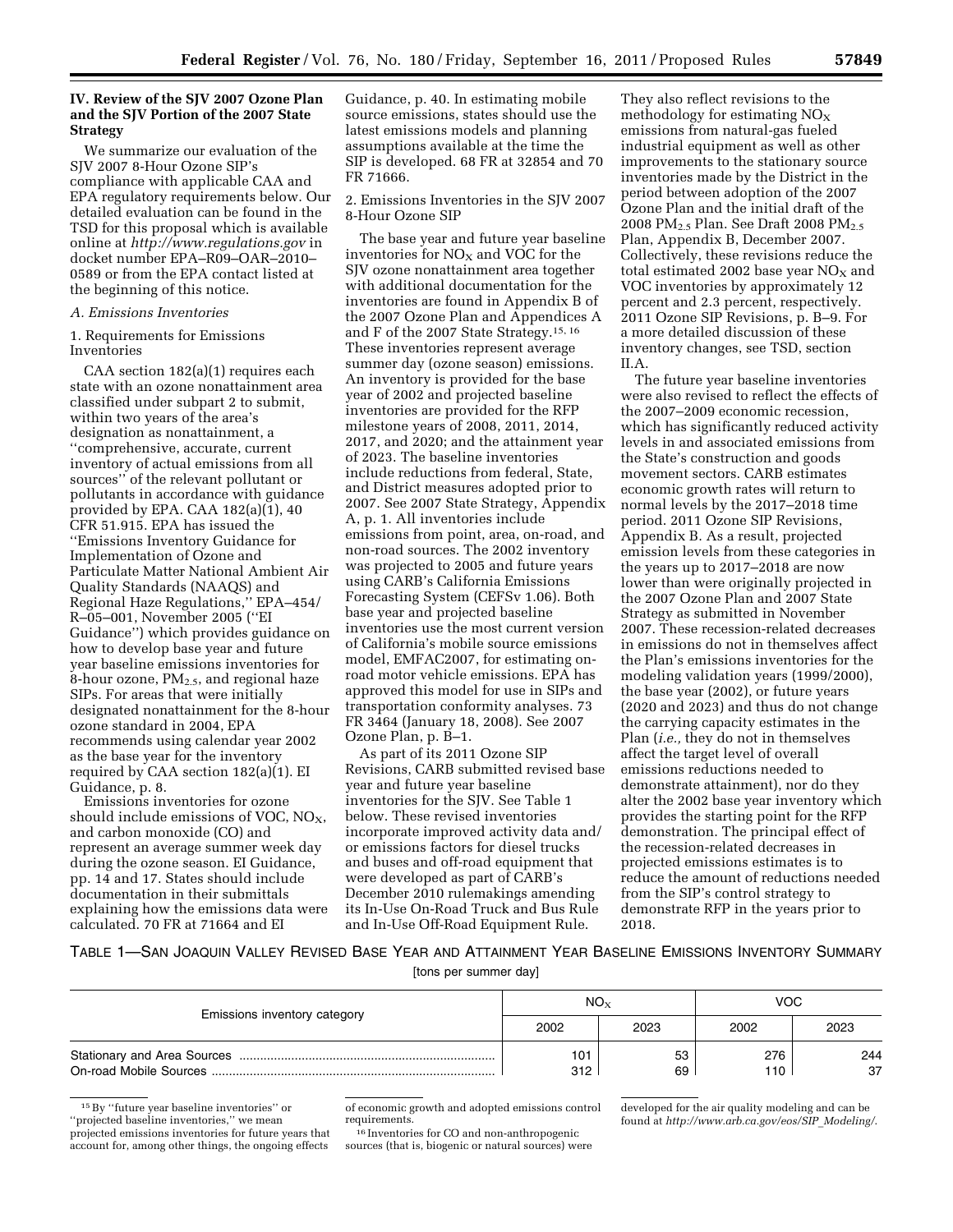### **IV. Review of the SJV 2007 Ozone Plan and the SJV Portion of the 2007 State Strategy**

We summarize our evaluation of the SJV 2007 8-Hour Ozone SIP's compliance with applicable CAA and EPA regulatory requirements below. Our detailed evaluation can be found in the TSD for this proposal which is available online at *<http://www.regulations.gov>* in docket number EPA–R09–OAR–2010– 0589 or from the EPA contact listed at the beginning of this notice.

## *A. Emissions Inventories*

### 1. Requirements for Emissions Inventories

CAA section 182(a)(1) requires each state with an ozone nonattainment area classified under subpart 2 to submit, within two years of the area's designation as nonattainment, a ''comprehensive, accurate, current inventory of actual emissions from all sources'' of the relevant pollutant or pollutants in accordance with guidance provided by EPA. CAA  $182(a)(1)$ , 40 CFR 51.915. EPA has issued the ''Emissions Inventory Guidance for Implementation of Ozone and Particulate Matter National Ambient Air Quality Standards (NAAQS) and Regional Haze Regulations,'' EPA–454/ R–05–001, November 2005 (''EI Guidance'') which provides guidance on how to develop base year and future year baseline emissions inventories for 8-hour ozone,  $PM_{2.5}$ , and regional haze SIPs. For areas that were initially designated nonattainment for the 8-hour ozone standard in 2004, EPA recommends using calendar year 2002 as the base year for the inventory required by CAA section 182(a)(1). EI Guidance, p. 8.

Emissions inventories for ozone should include emissions of VOC,  $NO<sub>x</sub>$ , and carbon monoxide (CO) and represent an average summer week day during the ozone season. EI Guidance, pp. 14 and 17. States should include documentation in their submittals explaining how the emissions data were calculated. 70 FR at 71664 and EI

Guidance, p. 40. In estimating mobile source emissions, states should use the latest emissions models and planning assumptions available at the time the SIP is developed. 68 FR at 32854 and 70 FR 71666.

2. Emissions Inventories in the SJV 2007 8-Hour Ozone SIP

The base year and future year baseline inventories for  $NO<sub>X</sub>$  and VOC for the SJV ozone nonattainment area together with additional documentation for the inventories are found in Appendix B of the 2007 Ozone Plan and Appendices A and F of the 2007 State Strategy.15, 16 These inventories represent average summer day (ozone season) emissions. An inventory is provided for the base year of 2002 and projected baseline inventories are provided for the RFP milestone years of 2008, 2011, 2014, 2017, and 2020; and the attainment year of 2023. The baseline inventories include reductions from federal, State, and District measures adopted prior to 2007. See 2007 State Strategy, Appendix A, p. 1. All inventories include emissions from point, area, on-road, and non-road sources. The 2002 inventory was projected to 2005 and future years using CARB's California Emissions Forecasting System (CEFSv 1.06). Both base year and projected baseline inventories use the most current version of California's mobile source emissions model, EMFAC2007, for estimating onroad motor vehicle emissions. EPA has approved this model for use in SIPs and transportation conformity analyses. 73 FR 3464 (January 18, 2008). See 2007 Ozone Plan, p. B–1.

As part of its 2011 Ozone SIP Revisions, CARB submitted revised base year and future year baseline inventories for the SJV. See Table 1 below. These revised inventories incorporate improved activity data and/ or emissions factors for diesel trucks and buses and off-road equipment that were developed as part of CARB's December 2010 rulemakings amending its In-Use On-Road Truck and Bus Rule and In-Use Off-Road Equipment Rule.

They also reflect revisions to the methodology for estimating  $NO<sub>x</sub>$ emissions from natural-gas fueled industrial equipment as well as other improvements to the stationary source inventories made by the District in the period between adoption of the 2007 Ozone Plan and the initial draft of the 2008 PM<sub>2.5</sub> Plan. See Draft 2008 PM<sub>2.5</sub> Plan, Appendix B, December 2007. Collectively, these revisions reduce the total estimated 2002 base year  $NO<sub>x</sub>$  and VOC inventories by approximately 12 percent and 2.3 percent, respectively. 2011 Ozone SIP Revisions, p. B–9. For a more detailed discussion of these inventory changes, see TSD, section II.A.

The future year baseline inventories were also revised to reflect the effects of the 2007–2009 economic recession, which has significantly reduced activity levels in and associated emissions from the State's construction and goods movement sectors. CARB estimates economic growth rates will return to normal levels by the 2017–2018 time period. 2011 Ozone SIP Revisions, Appendix B. As a result, projected emission levels from these categories in the years up to 2017–2018 are now lower than were originally projected in the 2007 Ozone Plan and 2007 State Strategy as submitted in November 2007. These recession-related decreases in emissions do not in themselves affect the Plan's emissions inventories for the modeling validation years (1999/2000), the base year (2002), or future years (2020 and 2023) and thus do not change the carrying capacity estimates in the Plan (*i.e.,* they do not in themselves affect the target level of overall emissions reductions needed to demonstrate attainment), nor do they alter the 2002 base year inventory which provides the starting point for the RFP demonstration. The principal effect of the recession-related decreases in projected emissions estimates is to reduce the amount of reductions needed from the SIP's control strategy to demonstrate RFP in the years prior to 2018.

TABLE 1—SAN JOAQUIN VALLEY REVISED BASE YEAR AND ATTAINMENT YEAR BASELINE EMISSIONS INVENTORY SUMMARY [tons per summer day]

| Emissions inventory category | NO <sub>x</sub> |          | VOC.       |           |  |
|------------------------------|-----------------|----------|------------|-----------|--|
|                              | 2002            | 2023     | 2002       | 2023      |  |
|                              | 101<br>312      | 53<br>69 | 276<br>110 | 244<br>37 |  |

15By ''future year baseline inventories'' or ''projected baseline inventories,'' we mean projected emissions inventories for future years that account for, among other things, the ongoing effects

of economic growth and adopted emissions control

<sup>16</sup> Inventories for CO and non-anthropogenic sources (that is, biogenic or natural sources) were developed for the air quality modeling and can be found at *[http://www.arb.ca.gov/eos/SIP](http://www.arb.ca.gov/eos/SIP_Modeling/)*\_*Modeling/*.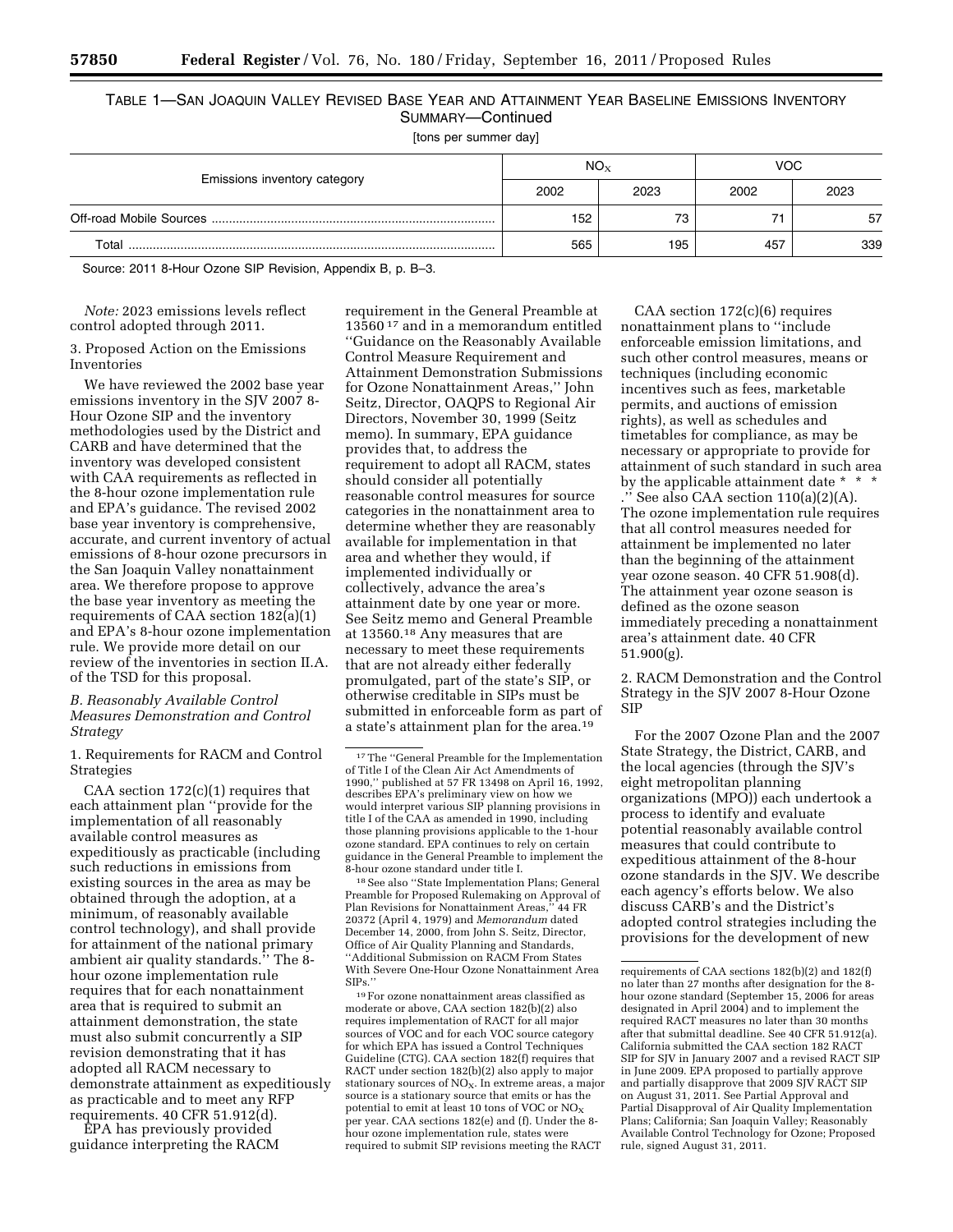# TABLE 1—SAN JOAQUIN VALLEY REVISED BASE YEAR AND ATTAINMENT YEAR BASELINE EMISSIONS INVENTORY SUMMARY—Continued

[tons per summer day]

|                              |      | NO <sub>x</sub> | VOC. |      |  |
|------------------------------|------|-----------------|------|------|--|
| Emissions inventory category | 2002 | 2023            | 2002 | 2023 |  |
|                              | 152  | 73              |      | 57   |  |
| Total                        | 565  | 195             | 457  | 339  |  |

Source: 2011 8-Hour Ozone SIP Revision, Appendix B, p. B–3.

*Note:* 2023 emissions levels reflect control adopted through 2011.

3. Proposed Action on the Emissions Inventories

We have reviewed the 2002 base year emissions inventory in the SJV 2007 8- Hour Ozone SIP and the inventory methodologies used by the District and CARB and have determined that the inventory was developed consistent with CAA requirements as reflected in the 8-hour ozone implementation rule and EPA's guidance. The revised 2002 base year inventory is comprehensive, accurate, and current inventory of actual emissions of 8-hour ozone precursors in the San Joaquin Valley nonattainment area. We therefore propose to approve the base year inventory as meeting the requirements of CAA section 182(a)(1) and EPA's 8-hour ozone implementation rule. We provide more detail on our review of the inventories in section II.A. of the TSD for this proposal.

### *B. Reasonably Available Control Measures Demonstration and Control Strategy*

1. Requirements for RACM and Control Strategies

CAA section  $172(c)(1)$  requires that each attainment plan ''provide for the implementation of all reasonably available control measures as expeditiously as practicable (including such reductions in emissions from existing sources in the area as may be obtained through the adoption, at a minimum, of reasonably available control technology), and shall provide for attainment of the national primary ambient air quality standards.'' The 8 hour ozone implementation rule requires that for each nonattainment area that is required to submit an attainment demonstration, the state must also submit concurrently a SIP revision demonstrating that it has adopted all RACM necessary to demonstrate attainment as expeditiously as practicable and to meet any RFP requirements. 40 CFR 51.912(d).

EPA has previously provided guidance interpreting the RACM

requirement in the General Preamble at 13560 17 and in a memorandum entitled ''Guidance on the Reasonably Available Control Measure Requirement and Attainment Demonstration Submissions for Ozone Nonattainment Areas,'' John Seitz, Director, OAQPS to Regional Air Directors, November 30, 1999 (Seitz memo). In summary, EPA guidance provides that, to address the requirement to adopt all RACM, states should consider all potentially reasonable control measures for source categories in the nonattainment area to determine whether they are reasonably available for implementation in that area and whether they would, if implemented individually or collectively, advance the area's attainment date by one year or more. See Seitz memo and General Preamble at 13560.18 Any measures that are necessary to meet these requirements that are not already either federally promulgated, part of the state's SIP, or otherwise creditable in SIPs must be submitted in enforceable form as part of a state's attainment plan for the area.19

18See also ''State Implementation Plans; General Preamble for Proposed Rulemaking on Approval of Plan Revisions for Nonattainment Areas,'' 44 FR 20372 (April 4, 1979) and *Memorandum* dated December 14, 2000, from John S. Seitz, Director, Office of Air Quality Planning and Standards, ''Additional Submission on RACM From States With Severe One-Hour Ozone Nonattainment Area SIPs.''

 $^{19}\mathrm{For}$ ozone nonattainment areas classified as moderate or above, CAA section 182(b)(2) also requires implementation of RACT for all major sources of VOC and for each VOC source category for which EPA has issued a Control Techniques Guideline (CTG). CAA section 182(f) requires that RACT under section 182(b)(2) also apply to major stationary sources of  $NO<sub>x</sub>$ . In extreme areas, a major source is a stationary source that emits or has the potential to emit at least 10 tons of VOC or  $NO<sub>x</sub>$ per year. CAA sections 182(e) and (f). Under the 8 hour ozone implementation rule, states were required to submit SIP revisions meeting the RACT

CAA section 172(c)(6) requires nonattainment plans to ''include enforceable emission limitations, and such other control measures, means or techniques (including economic incentives such as fees, marketable permits, and auctions of emission rights), as well as schedules and timetables for compliance, as may be necessary or appropriate to provide for attainment of such standard in such area by the applicable attainment date \* \* \*  $\cdot$ <sup>3</sup> See also CAA section 110(a)(2)(A). The ozone implementation rule requires that all control measures needed for attainment be implemented no later than the beginning of the attainment year ozone season. 40 CFR 51.908(d). The attainment year ozone season is defined as the ozone season immediately preceding a nonattainment area's attainment date. 40 CFR 51.900(g).

2. RACM Demonstration and the Control Strategy in the SJV 2007 8-Hour Ozone SIP

For the 2007 Ozone Plan and the 2007 State Strategy, the District, CARB, and the local agencies (through the SJV's eight metropolitan planning organizations (MPO)) each undertook a process to identify and evaluate potential reasonably available control measures that could contribute to expeditious attainment of the 8-hour ozone standards in the SJV. We describe each agency's efforts below. We also discuss CARB's and the District's adopted control strategies including the provisions for the development of new

<sup>17</sup>The ''General Preamble for the Implementation of Title I of the Clean Air Act Amendments of 1990,'' published at 57 FR 13498 on April 16, 1992, describes EPA's preliminary view on how we would interpret various SIP planning provisions in title I of the CAA as amended in 1990, including those planning provisions applicable to the 1-hour ozone standard. EPA continues to rely on certain guidance in the General Preamble to implement the 8-hour ozone standard under title I.

requirements of CAA sections 182(b)(2) and 182(f) no later than 27 months after designation for the 8 hour ozone standard (September 15, 2006 for areas designated in April 2004) and to implement the required RACT measures no later than 30 months after that submittal deadline. See 40 CFR 51.912(a). California submitted the CAA section 182 RACT SIP for SJV in January 2007 and a revised RACT SIP in June 2009. EPA proposed to partially approve and partially disapprove that 2009 SJV RACT SIP on August 31, 2011. See Partial Approval and Partial Disapproval of Air Quality Implementation Plans; California; San Joaquin Valley; Reasonably Available Control Technology for Ozone; Proposed rule, signed August 31, 2011.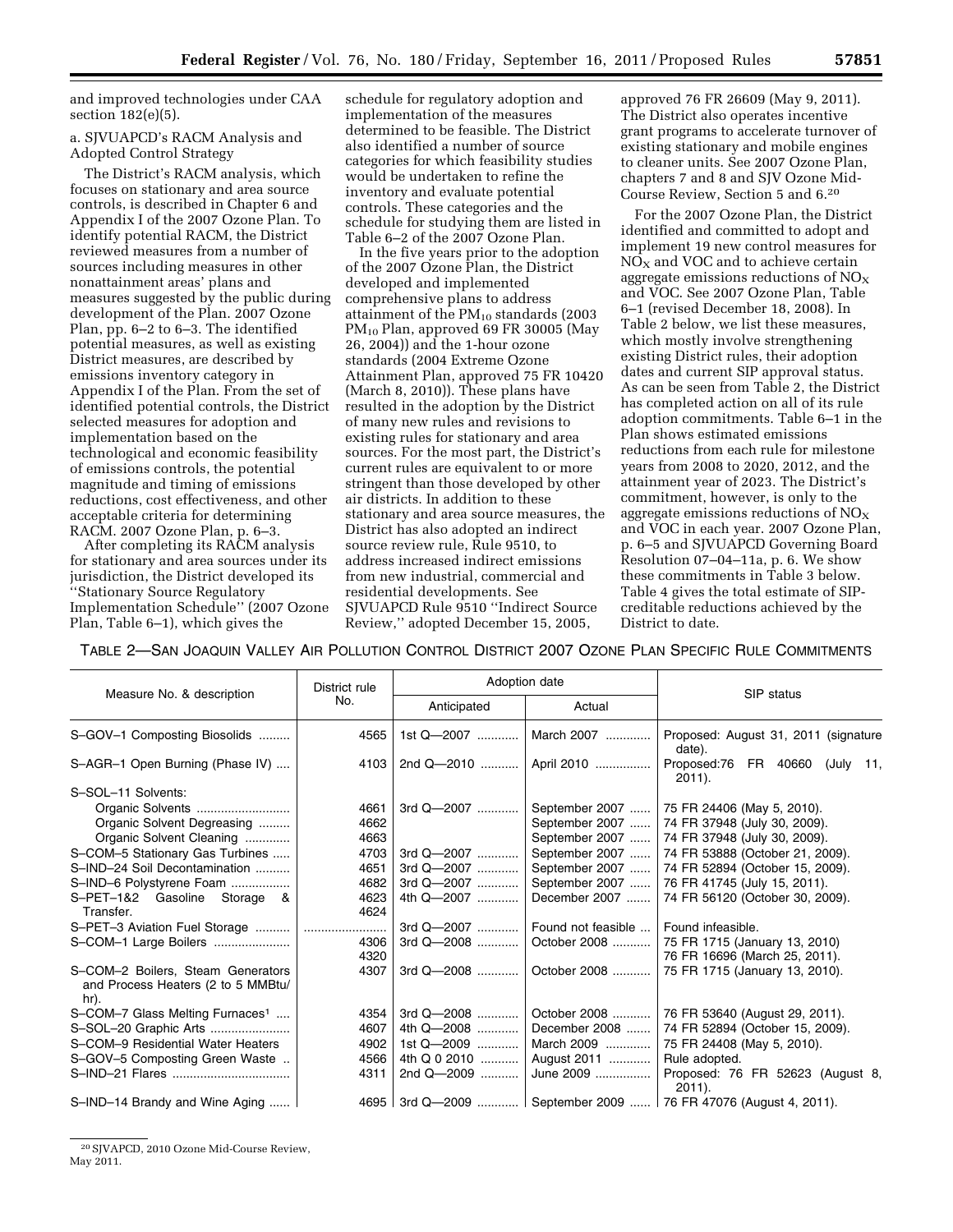and improved technologies under CAA section 182(e)(5).

# a. SJVUAPCD's RACM Analysis and Adopted Control Strategy

The District's RACM analysis, which focuses on stationary and area source controls, is described in Chapter 6 and Appendix I of the 2007 Ozone Plan. To identify potential RACM, the District reviewed measures from a number of sources including measures in other nonattainment areas' plans and measures suggested by the public during development of the Plan. 2007 Ozone Plan, pp. 6–2 to 6–3. The identified potential measures, as well as existing District measures, are described by emissions inventory category in Appendix I of the Plan. From the set of identified potential controls, the District selected measures for adoption and implementation based on the technological and economic feasibility of emissions controls, the potential magnitude and timing of emissions reductions, cost effectiveness, and other acceptable criteria for determining RACM. 2007 Ozone Plan, p. 6–3.

After completing its RACM analysis for stationary and area sources under its jurisdiction, the District developed its ''Stationary Source Regulatory Implementation Schedule'' (2007 Ozone Plan, Table 6–1), which gives the

schedule for regulatory adoption and implementation of the measures determined to be feasible. The District also identified a number of source categories for which feasibility studies would be undertaken to refine the inventory and evaluate potential controls. These categories and the schedule for studying them are listed in Table 6–2 of the 2007 Ozone Plan.

In the five years prior to the adoption of the 2007 Ozone Plan, the District developed and implemented comprehensive plans to address attainment of the  $PM_{10}$  standards (2003) PM<sub>10</sub> Plan, approved 69 FR 30005 (May 26, 2004)) and the 1-hour ozone standards (2004 Extreme Ozone Attainment Plan, approved 75 FR 10420 (March 8, 2010)). These plans have resulted in the adoption by the District of many new rules and revisions to existing rules for stationary and area sources. For the most part, the District's current rules are equivalent to or more stringent than those developed by other air districts. In addition to these stationary and area source measures, the District has also adopted an indirect source review rule, Rule 9510, to address increased indirect emissions from new industrial, commercial and residential developments. See SJVUAPCD Rule 9510 ''Indirect Source Review,'' adopted December 15, 2005,

approved 76 FR 26609 (May 9, 2011). The District also operates incentive grant programs to accelerate turnover of existing stationary and mobile engines to cleaner units. See 2007 Ozone Plan, chapters 7 and 8 and SJV Ozone Mid-Course Review, Section 5 and 6.20

For the 2007 Ozone Plan, the District identified and committed to adopt and implement 19 new control measures for  $NO<sub>X</sub>$  and VOC and to achieve certain aggregate emissions reductions of  $NO<sub>x</sub>$ and VOC. See 2007 Ozone Plan, Table 6–1 (revised December 18, 2008). In Table 2 below, we list these measures, which mostly involve strengthening existing District rules, their adoption dates and current SIP approval status. As can be seen from Table 2, the District has completed action on all of its rule adoption commitments. Table 6–1 in the Plan shows estimated emissions reductions from each rule for milestone years from 2008 to 2020, 2012, and the attainment year of 2023. The District's commitment, however, is only to the aggregate emissions reductions of  $NO<sub>x</sub>$ and VOC in each year. 2007 Ozone Plan, p. 6–5 and SJVUAPCD Governing Board Resolution 07–04–11a, p. 6. We show these commitments in Table 3 below. Table 4 gives the total estimate of SIPcreditable reductions achieved by the District to date.

TABLE 2—SAN JOAQUIN VALLEY AIR POLLUTION CONTROL DISTRICT 2007 OZONE PLAN SPECIFIC RULE COMMITMENTS

|                                                                                 | District rule |              | Adoption date              |                                                                |
|---------------------------------------------------------------------------------|---------------|--------------|----------------------------|----------------------------------------------------------------|
| Measure No. & description                                                       | No.           | Anticipated  | Actual                     | SIP status                                                     |
| S-GOV-1 Composting Biosolids                                                    | 4565          | 1st Q-2007   | March 2007                 | Proposed: August 31, 2011 (signature<br>date).                 |
| S-AGR-1 Open Burning (Phase IV)                                                 | 4103          |              | 2nd Q-2010    April 2010   | Proposed:76 FR 40660 (July 11,<br>$2011$ ).                    |
| S-SOL-11 Solvents:                                                              |               |              |                            |                                                                |
| Organic Solvents                                                                | 4661          | 3rd Q-2007   | September 2007             | 75 FR 24406 (May 5, 2010).                                     |
| Organic Solvent Degreasing                                                      | 4662          |              | September 2007             | 74 FR 37948 (July 30, 2009).                                   |
| Organic Solvent Cleaning                                                        | 4663          |              | September 2007             | 74 FR 37948 (July 30, 2009).                                   |
| S-COM-5 Stationary Gas Turbines                                                 | 4703          | 3rd Q-2007   | September 2007             | 74 FR 53888 (October 21, 2009).                                |
| S-IND-24 Soil Decontamination                                                   | 4651          | 3rd Q-2007   | September 2007             | 74 FR 52894 (October 15, 2009).                                |
| S-IND-6 Polystyrene Foam                                                        | 4682          | 3rd Q-2007   | September 2007             | 76 FR 41745 (July 15, 2011).                                   |
| S-PET-1&2 Gasoline Storage &<br>Transfer.                                       | 4623<br>4624  | 4th Q-2007   | December 2007              | 74 FR 56120 (October 30, 2009).                                |
|                                                                                 |               | 3rd Q-2007   | Found not feasible         | Found infeasible.                                              |
| S-COM-1 Large Boilers                                                           | 4306<br>4320  | 3rd Q-2008   | October 2008               | 75 FR 1715 (January 13, 2010)<br>76 FR 16696 (March 25, 2011). |
| S-COM-2 Boilers, Steam Generators<br>and Process Heaters (2 to 5 MMBtu/<br>hr). | 4307          |              | 3rd Q-2008    October 2008 | 75 FR 1715 (January 13, 2010).                                 |
| S-COM-7 Glass Melting Furnaces <sup>1</sup>                                     | 4354          | 3rd Q-2008   | October 2008               | 76 FR 53640 (August 29, 2011).                                 |
| S-SOL-20 Graphic Arts                                                           | 4607          | 4th Q-2008   | December 2008              | 74 FR 52894 (October 15, 2009).                                |
| S-COM-9 Residential Water Heaters                                               | 4902          | 1st Q-2009   | March 2009                 | 75 FR 24408 (May 5, 2010).                                     |
| S-GOV-5 Composting Green Waste                                                  | 4566          | 4th Q 0 2010 | August 2011                | Rule adopted.                                                  |
|                                                                                 | 4311          | 2nd Q-2009   | June 2009                  | Proposed: 76 FR 52623 (August 8,<br>$2011$ ).                  |
| S-IND-14 Brandy and Wine Aging                                                  |               |              |                            | 4695 3rd Q—2009  September 2009  76 FR 47076 (August 4, 2011). |

<sup>20</sup>SJVAPCD, 2010 Ozone Mid-Course Review, May 2011.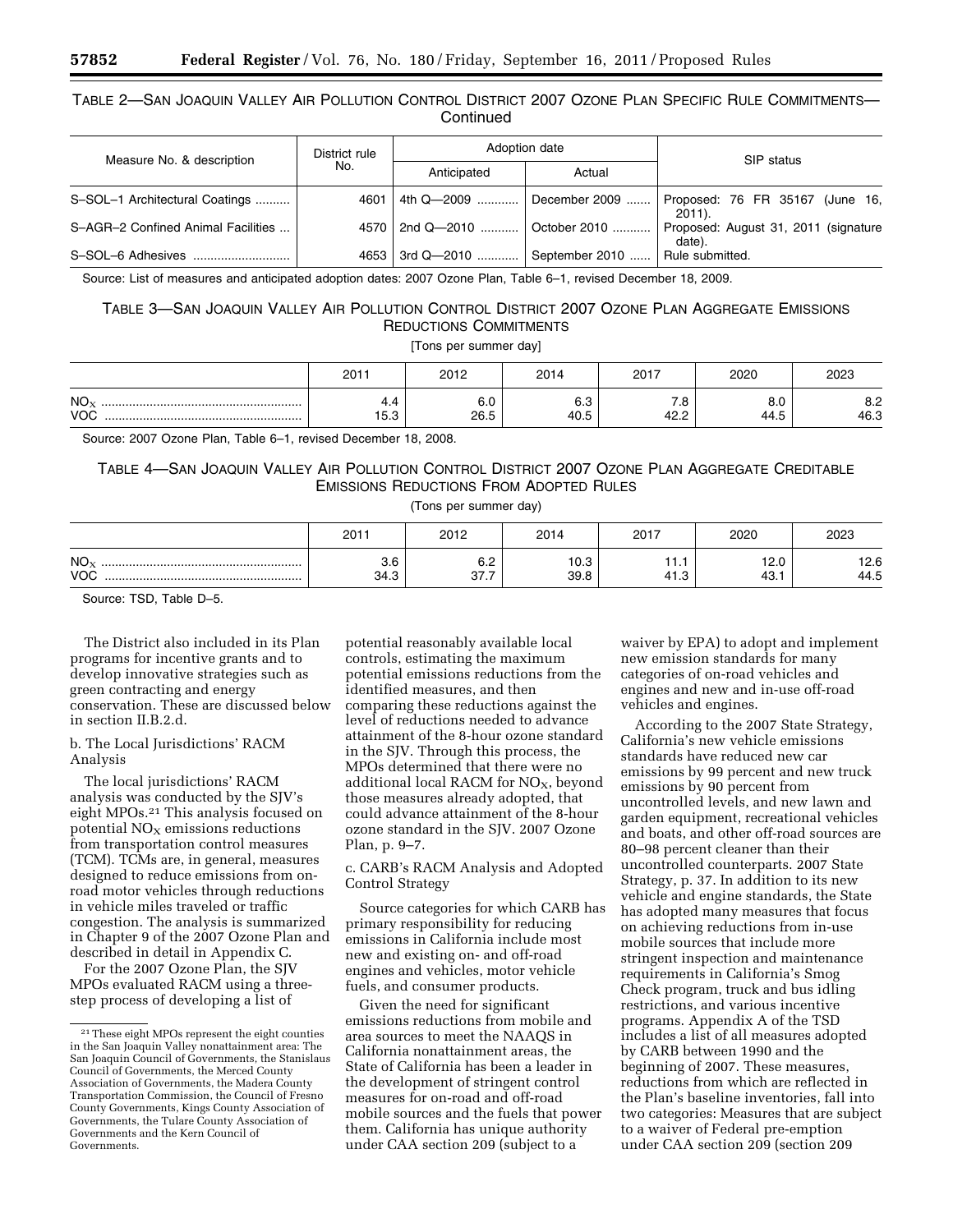# TABLE 2—SAN JOAQUIN VALLEY AIR POLLUTION CONTROL DISTRICT 2007 OZONE PLAN SPECIFIC RULE COMMITMENTS— **Continued**

| Measure No. & description          | District rule      |                                   | Adoption date  | SIP status                                     |  |  |
|------------------------------------|--------------------|-----------------------------------|----------------|------------------------------------------------|--|--|
|                                    | No.<br>Anticipated |                                   | Actual         |                                                |  |  |
| S-SOL-1 Architectural Coatings     | 4601               | 4th Q—2009                        | December 2009  | Proposed: 76 FR 35167 (June 16,<br>2011).      |  |  |
| S-AGR-2 Confined Animal Facilities |                    | 4570   2nd Q-2010    October 2010 |                | Proposed: August 31, 2011 (signature<br>date). |  |  |
| S-SOL-6 Adhesives                  |                    | 4653 3rd Q-2010                   | September 2010 | <sup>1</sup> Rule submitted.                   |  |  |

Source: List of measures and anticipated adoption dates: 2007 Ozone Plan, Table 6–1, revised December 18, 2009.

# TABLE 3—SAN JOAQUIN VALLEY AIR POLLUTION CONTROL DISTRICT 2007 OZONE PLAN AGGREGATE EMISSIONS REDUCTIONS COMMITMENTS

[Tons per summer day]

|                               | 2011                 | 2012        | 2014               | 2017         | 2020        | 2023        |
|-------------------------------|----------------------|-------------|--------------------|--------------|-------------|-------------|
| NO <sub>x</sub><br><b>VOC</b> | ۰.,<br>$-$<br>ن. ن ا | 6.0<br>26.5 | <b>0.0</b><br>40.5 | ه. /<br>42.2 | 8.0<br>44.5 | 8.2<br>46.3 |

Source: 2007 Ozone Plan, Table 6–1, revised December 18, 2008.

# TABLE 4—SAN JOAQUIN VALLEY AIR POLLUTION CONTROL DISTRICT 2007 OZONE PLAN AGGREGATE CREDITABLE EMISSIONS REDUCTIONS FROM ADOPTED RULES

# (Tons per summer day)

|                               | 2011        | 2012                | 2014                | 2017      | 2020          | 2023         |
|-------------------------------|-------------|---------------------|---------------------|-----------|---------------|--------------|
| NO <sub>X</sub><br><b>VOC</b> | ა.ს<br>34.3 | 6.2<br>277<br>، ، ن | 10n<br>ט.טו<br>39.8 | .<br>41.3 | 12.0<br>43. . | 12.6<br>44.5 |

Source: TSD, Table D–5.

The District also included in its Plan programs for incentive grants and to develop innovative strategies such as green contracting and energy conservation. These are discussed below in section II.B.2.d.

### b. The Local Jurisdictions' RACM Analysis

The local jurisdictions' RACM analysis was conducted by the SJV's eight MPOs.21 This analysis focused on potential  $NO<sub>x</sub>$  emissions reductions from transportation control measures (TCM). TCMs are, in general, measures designed to reduce emissions from onroad motor vehicles through reductions in vehicle miles traveled or traffic congestion. The analysis is summarized in Chapter 9 of the 2007 Ozone Plan and described in detail in Appendix C.

For the 2007 Ozone Plan, the SJV MPOs evaluated RACM using a threestep process of developing a list of

potential reasonably available local controls, estimating the maximum potential emissions reductions from the identified measures, and then comparing these reductions against the level of reductions needed to advance attainment of the 8-hour ozone standard in the SJV. Through this process, the MPOs determined that there were no additional local RACM for  $NO<sub>x</sub>$ , beyond those measures already adopted, that could advance attainment of the 8-hour ozone standard in the SJV. 2007 Ozone Plan, p. 9–7.

c. CARB's RACM Analysis and Adopted Control Strategy

Source categories for which CARB has primary responsibility for reducing emissions in California include most new and existing on- and off-road engines and vehicles, motor vehicle fuels, and consumer products.

Given the need for significant emissions reductions from mobile and area sources to meet the NAAQS in California nonattainment areas, the State of California has been a leader in the development of stringent control measures for on-road and off-road mobile sources and the fuels that power them. California has unique authority under CAA section 209 (subject to a

waiver by EPA) to adopt and implement new emission standards for many categories of on-road vehicles and engines and new and in-use off-road vehicles and engines.

According to the 2007 State Strategy, California's new vehicle emissions standards have reduced new car emissions by 99 percent and new truck emissions by 90 percent from uncontrolled levels, and new lawn and garden equipment, recreational vehicles and boats, and other off-road sources are 80–98 percent cleaner than their uncontrolled counterparts. 2007 State Strategy, p. 37. In addition to its new vehicle and engine standards, the State has adopted many measures that focus on achieving reductions from in-use mobile sources that include more stringent inspection and maintenance requirements in California's Smog Check program, truck and bus idling restrictions, and various incentive programs. Appendix A of the TSD includes a list of all measures adopted by CARB between 1990 and the beginning of 2007. These measures, reductions from which are reflected in the Plan's baseline inventories, fall into two categories: Measures that are subject to a waiver of Federal pre-emption under CAA section 209 (section 209

<sup>21</sup>These eight MPOs represent the eight counties in the San Joaquin Valley nonattainment area: The San Joaquin Council of Governments, the Stanislaus Council of Governments, the Merced County Association of Governments, the Madera County Transportation Commission, the Council of Fresno County Governments, Kings County Association of Governments, the Tulare County Association of Governments and the Kern Council of Governments.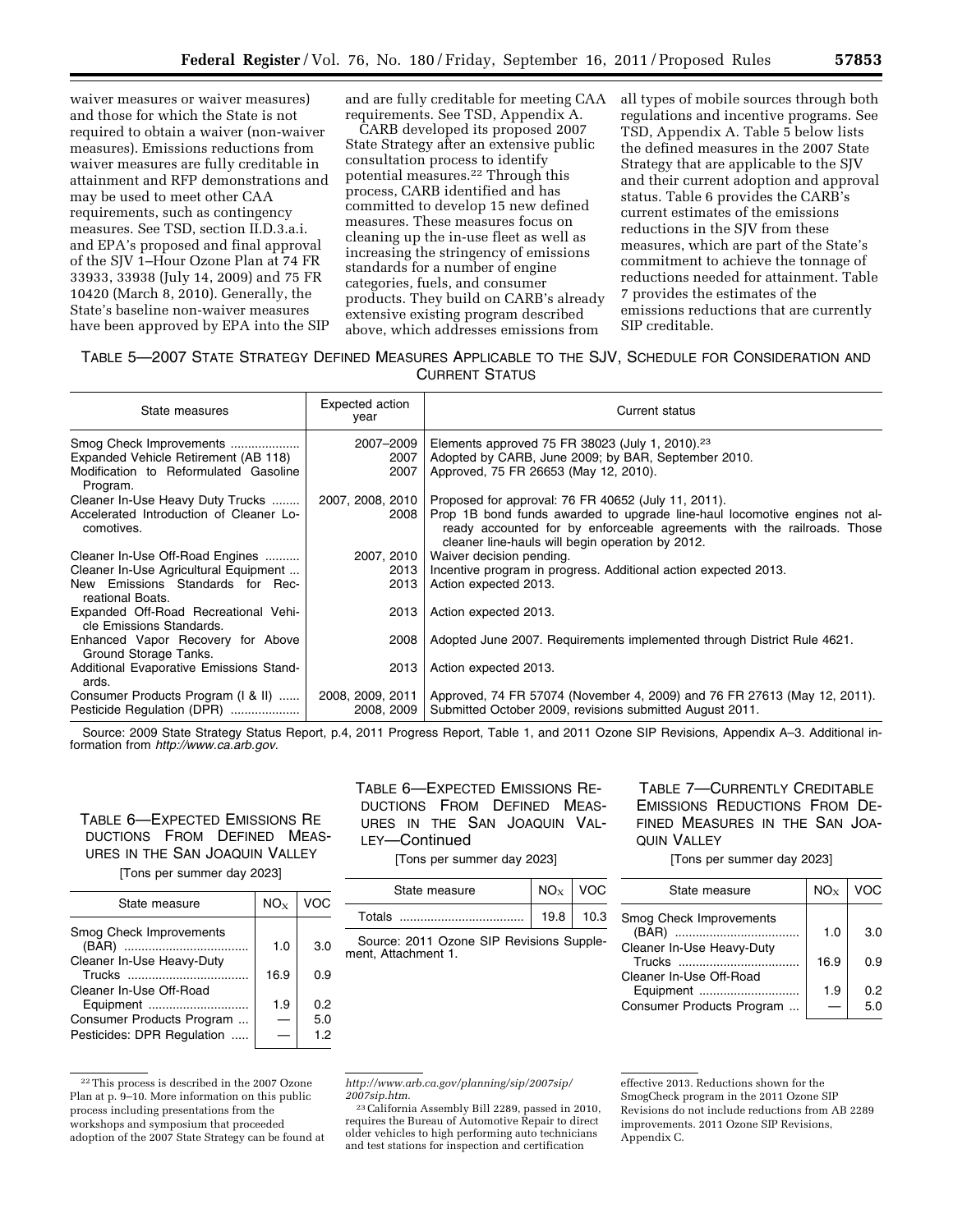waiver measures or waiver measures) and those for which the State is not required to obtain a waiver (non-waiver measures). Emissions reductions from waiver measures are fully creditable in attainment and RFP demonstrations and may be used to meet other CAA requirements, such as contingency measures. See TSD, section II.D.3.a.i. and EPA's proposed and final approval of the SJV 1–Hour Ozone Plan at 74 FR 33933, 33938 (July 14, 2009) and 75 FR 10420 (March 8, 2010). Generally, the State's baseline non-waiver measures have been approved by EPA into the SIP and are fully creditable for meeting CAA requirements. See TSD, Appendix A.

CARB developed its proposed 2007 State Strategy after an extensive public consultation process to identify potential measures.22 Through this process, CARB identified and has committed to develop 15 new defined measures. These measures focus on cleaning up the in-use fleet as well as increasing the stringency of emissions standards for a number of engine categories, fuels, and consumer products. They build on CARB's already extensive existing program described above, which addresses emissions from

all types of mobile sources through both regulations and incentive programs. See TSD, Appendix A. Table 5 below lists the defined measures in the 2007 State Strategy that are applicable to the SJV and their current adoption and approval status. Table 6 provides the CARB's current estimates of the emissions reductions in the SJV from these measures, which are part of the State's commitment to achieve the tonnage of reductions needed for attainment. Table 7 provides the estimates of the emissions reductions that are currently SIP creditable.

# TABLE 5—2007 STATE STRATEGY DEFINED MEASURES APPLICABLE TO THE SJV, SCHEDULE FOR CONSIDERATION AND CURRENT STATUS

| State measures                                                   | Expected action<br>year | Current status                                                                                                                                                                                            |
|------------------------------------------------------------------|-------------------------|-----------------------------------------------------------------------------------------------------------------------------------------------------------------------------------------------------------|
| Smog Check Improvements                                          | 2007-2009               | Elements approved 75 FR 38023 (July 1, 2010). <sup>23</sup>                                                                                                                                               |
| Expanded Vehicle Retirement (AB 118)                             | 2007                    | Adopted by CARB, June 2009; by BAR, September 2010.                                                                                                                                                       |
| Modification to Reformulated Gasoline<br>Program.                | 2007                    | Approved, 75 FR 26653 (May 12, 2010).                                                                                                                                                                     |
| Cleaner In-Use Heavy Duty Trucks                                 |                         | 2007, 2008, 2010   Proposed for approval: 76 FR 40652 (July 11, 2011).                                                                                                                                    |
| Accelerated Introduction of Cleaner Lo-<br>comotives.            | 2008                    | Prop 1B bond funds awarded to upgrade line-haul locomotive engines not al-<br>ready accounted for by enforceable agreements with the railroads. Those<br>cleaner line-hauls will begin operation by 2012. |
| Cleaner In-Use Off-Road Engines                                  | 2007, 2010              | Waiver decision pending.                                                                                                                                                                                  |
| Cleaner In-Use Agricultural Equipment                            | 2013                    | Incentive program in progress. Additional action expected 2013.                                                                                                                                           |
| New Emissions Standards for Rec-<br>reational Boats.             | 2013                    | Action expected 2013.                                                                                                                                                                                     |
| Expanded Off-Road Recreational Vehi-<br>cle Emissions Standards. | 2013                    | Action expected 2013.                                                                                                                                                                                     |
| Enhanced Vapor Recovery for Above<br>Ground Storage Tanks.       | 2008                    | Adopted June 2007. Requirements implemented through District Rule 4621.                                                                                                                                   |
| Additional Evaporative Emissions Stand-<br>ards.                 | 2013                    | Action expected 2013.                                                                                                                                                                                     |
| Consumer Products Program (1 & II)                               | 2008, 2009, 2011        | Approved, 74 FR 57074 (November 4, 2009) and 76 FR 27613 (May 12, 2011).                                                                                                                                  |
| Pesticide Regulation (DPR)                                       | 2008, 2009              | Submitted October 2009, revisions submitted August 2011.                                                                                                                                                  |

Source: 2009 State Strategy Status Report, p.4, 2011 Progress Report, Table 1, and 2011 Ozone SIP Revisions, Appendix A–3. Additional information from *[http://www.ca.arb.gov.](http://www.ca.arb.gov)* 

# TABLE 6—EXPECTED EMISSIONS RE DUCTIONS FROM DEFINED MEAS-URES IN THE SAN JOAQUIN VALLEY

[Tons per summer day 2023]

| State measure                                        | $NO_{\rm Y}$ | VOC |
|------------------------------------------------------|--------------|-----|
| Smog Check Improvements<br>Cleaner In-Use Heavy-Duty | 1.0          | 3.0 |
|                                                      | 16.9         | 0.9 |
| Cleaner In-Use Off-Road                              |              |     |
| Equipment                                            | 1.9          | 0.2 |
| Consumer Products Program                            |              | 5.0 |
| Pesticides: DPR Regulation                           |              | 1.2 |

<sup>22</sup>This process is described in the 2007 Ozone Plan at p. 9–10. More information on this public process including presentations from the workshops and symposium that proceeded adoption of the 2007 State Strategy can be found at

TABLE 6—EXPECTED EMISSIONS RE-DUCTIONS FROM DEFINED MEAS-URES IN THE SAN JOAQUIN VAL-LEY—Continued

[Tons per summer day 2023]

| State measure |      | VOC. |
|---------------|------|------|
| Totals        | 19.8 | 10.3 |

Source: 2011 Ozone SIP Revisions Supplement, Attachment 1.

TABLE 7—CURRENTLY CREDITABLE EMISSIONS REDUCTIONS FROM DE-FINED MEASURES IN THE SAN JOA-QUIN VALLEY

[Tons per summer day 2023]

| State measure                        | $NO_{Y}$ | <b>VOC</b> |
|--------------------------------------|----------|------------|
| Smog Check Improvements              | 1.0      | 3.0        |
| Cleaner In-Use Heavy-Duty            | 16.9     | 0.9        |
| Cleaner In-Use Off-Road<br>Equipment | 1.9      | 0.2        |
| Consumer Products Program            |          | 5.0        |

*[http://www.arb.ca.gov/planning/sip/2007sip/](http://www.arb.ca.gov/planning/sip/2007sip/2007sip.htm)  [2007sip.htm.](http://www.arb.ca.gov/planning/sip/2007sip/2007sip.htm)* 

23California Assembly Bill 2289, passed in 2010, requires the Bureau of Automotive Repair to direct older vehicles to high performing auto technicians and test stations for inspection and certification

effective 2013. Reductions shown for the SmogCheck program in the 2011 Ozone SIP Revisions do not include reductions from AB 2289 improvements. 2011 Ozone SIP Revisions, Appendix C.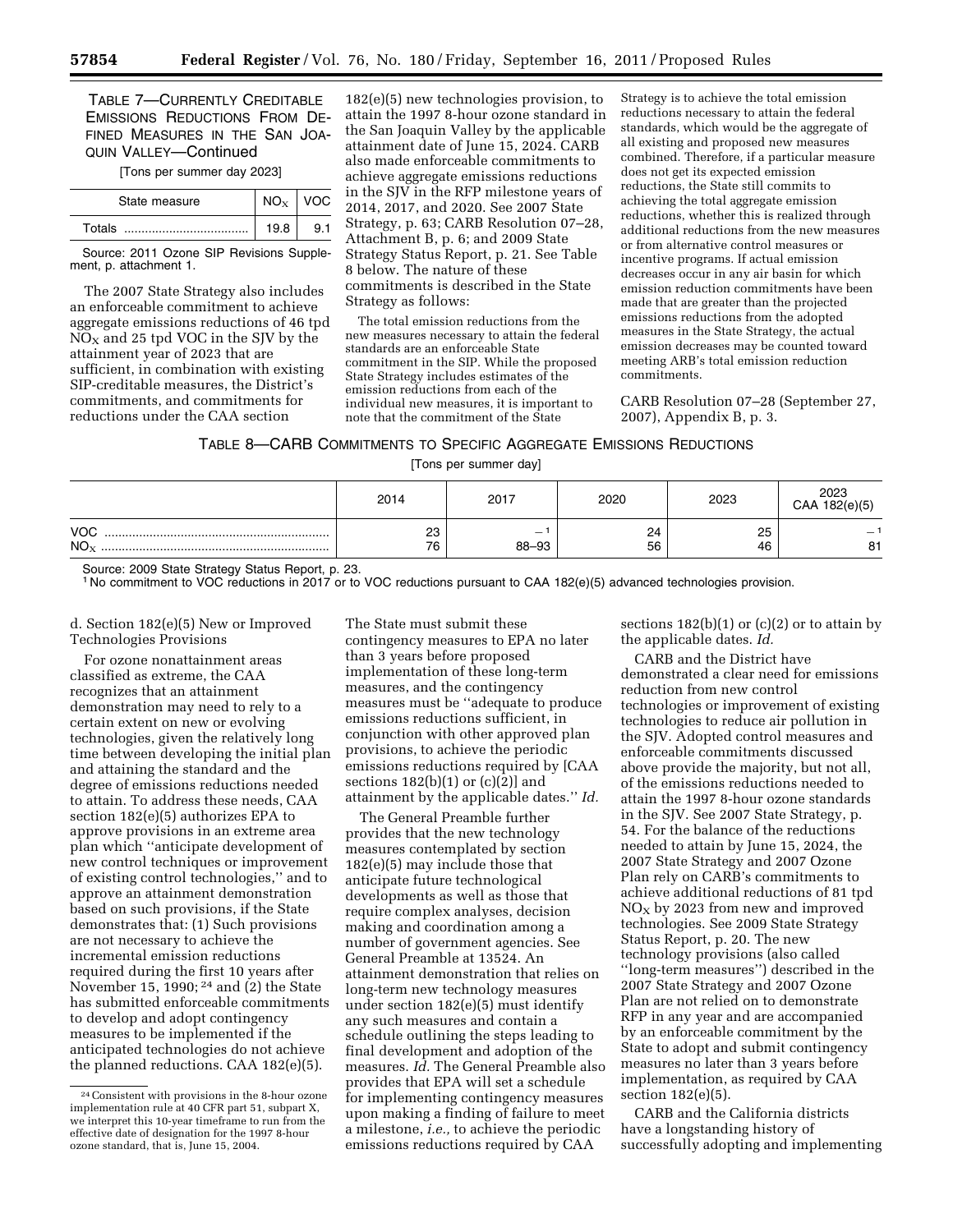TABLE 7—CURRENTLY CREDITABLE EMISSIONS REDUCTIONS FROM DE-FINED MEASURES IN THE SAN JOA-QUIN VALLEY—Continued

[Tons per summer day 2023]

| State measure |      | VOC. |
|---------------|------|------|
| Totals        | 19.8 |      |

Source: 2011 Ozone SIP Revisions Supplement, p. attachment 1.

The 2007 State Strategy also includes an enforceable commitment to achieve aggregate emissions reductions of 46 tpd  $NO<sub>X</sub>$  and 25 tpd VOC in the SJV by the attainment year of 2023 that are sufficient, in combination with existing SIP-creditable measures, the District's commitments, and commitments for reductions under the CAA section

182(e)(5) new technologies provision, to attain the 1997 8-hour ozone standard in the San Joaquin Valley by the applicable attainment date of June 15, 2024. CARB also made enforceable commitments to achieve aggregate emissions reductions in the SJV in the RFP milestone years of 2014, 2017, and 2020. See 2007 State Strategy, p. 63; CARB Resolution 07–28, Attachment B, p. 6; and 2009 State Strategy Status Report, p. 21. See Table 8 below. The nature of these commitments is described in the State Strategy as follows:

The total emission reductions from the new measures necessary to attain the federal standards are an enforceable State commitment in the SIP. While the proposed State Strategy includes estimates of the emission reductions from each of the individual new measures, it is important to note that the commitment of the State

Strategy is to achieve the total emission reductions necessary to attain the federal standards, which would be the aggregate of all existing and proposed new measures combined. Therefore, if a particular measure does not get its expected emission reductions, the State still commits to achieving the total aggregate emission reductions, whether this is realized through additional reductions from the new measures or from alternative control measures or incentive programs. If actual emission decreases occur in any air basin for which emission reduction commitments have been made that are greater than the projected emissions reductions from the adopted measures in the State Strategy, the actual emission decreases may be counted toward meeting ARB's total emission reduction commitments.

CARB Resolution 07–28 (September 27, 2007), Appendix B, p. 3.

### TABLE 8—CARB COMMITMENTS TO SPECIFIC AGGREGATE EMISSIONS REDUCTIONS

[Tons per summer day]

|                               | 2014           | 2017                              | 2020     | 2023     | 2023<br>CAA 182(e)(5) |
|-------------------------------|----------------|-----------------------------------|----------|----------|-----------------------|
| <b>VOC</b><br>NO <sub>x</sub> | nn<br>د∠<br>76 | $\overline{\phantom{0}}$<br>88-93 | 24<br>56 | 25<br>46 | 81                    |

Source: 2009 State Strategy Status Report, p. 23.

1 No commitment to VOC reductions in 2017 or to VOC reductions pursuant to CAA 182(e)(5) advanced technologies provision.

d. Section 182(e)(5) New or Improved Technologies Provisions

For ozone nonattainment areas classified as extreme, the CAA recognizes that an attainment demonstration may need to rely to a certain extent on new or evolving technologies, given the relatively long time between developing the initial plan and attaining the standard and the degree of emissions reductions needed to attain. To address these needs, CAA section 182(e)(5) authorizes EPA to approve provisions in an extreme area plan which ''anticipate development of new control techniques or improvement of existing control technologies,'' and to approve an attainment demonstration based on such provisions, if the State demonstrates that: (1) Such provisions are not necessary to achieve the incremental emission reductions required during the first 10 years after November 15, 1990; 24 and (2) the State has submitted enforceable commitments to develop and adopt contingency measures to be implemented if the anticipated technologies do not achieve the planned reductions. CAA 182(e)(5).

The State must submit these contingency measures to EPA no later than 3 years before proposed implementation of these long-term measures, and the contingency measures must be ''adequate to produce emissions reductions sufficient, in conjunction with other approved plan provisions, to achieve the periodic emissions reductions required by [CAA sections 182(b)(1) or (c)(2)] and attainment by the applicable dates.'' *Id.* 

The General Preamble further provides that the new technology measures contemplated by section 182(e)(5) may include those that anticipate future technological developments as well as those that require complex analyses, decision making and coordination among a number of government agencies. See General Preamble at 13524. An attainment demonstration that relies on long-term new technology measures under section 182(e)(5) must identify any such measures and contain a schedule outlining the steps leading to final development and adoption of the measures. *Id.* The General Preamble also provides that EPA will set a schedule for implementing contingency measures upon making a finding of failure to meet a milestone, *i.e.,* to achieve the periodic emissions reductions required by CAA

sections  $182(b)(1)$  or  $(c)(2)$  or to attain by the applicable dates. *Id.* 

CARB and the District have demonstrated a clear need for emissions reduction from new control technologies or improvement of existing technologies to reduce air pollution in the SJV. Adopted control measures and enforceable commitments discussed above provide the majority, but not all, of the emissions reductions needed to attain the 1997 8-hour ozone standards in the SJV. See 2007 State Strategy, p. 54. For the balance of the reductions needed to attain by June 15, 2024, the 2007 State Strategy and 2007 Ozone Plan rely on CARB's commitments to achieve additional reductions of 81 tpd  $NO<sub>X</sub>$  by 2023 from new and improved technologies. See 2009 State Strategy Status Report, p. 20. The new technology provisions (also called ''long-term measures'') described in the 2007 State Strategy and 2007 Ozone Plan are not relied on to demonstrate RFP in any year and are accompanied by an enforceable commitment by the State to adopt and submit contingency measures no later than 3 years before implementation, as required by CAA section 182(e)(5).

CARB and the California districts have a longstanding history of successfully adopting and implementing

<sup>24</sup>Consistent with provisions in the 8-hour ozone implementation rule at 40 CFR part 51, subpart X, we interpret this 10-year timeframe to run from the effective date of designation for the 1997 8-hour ozone standard, that is, June 15, 2004.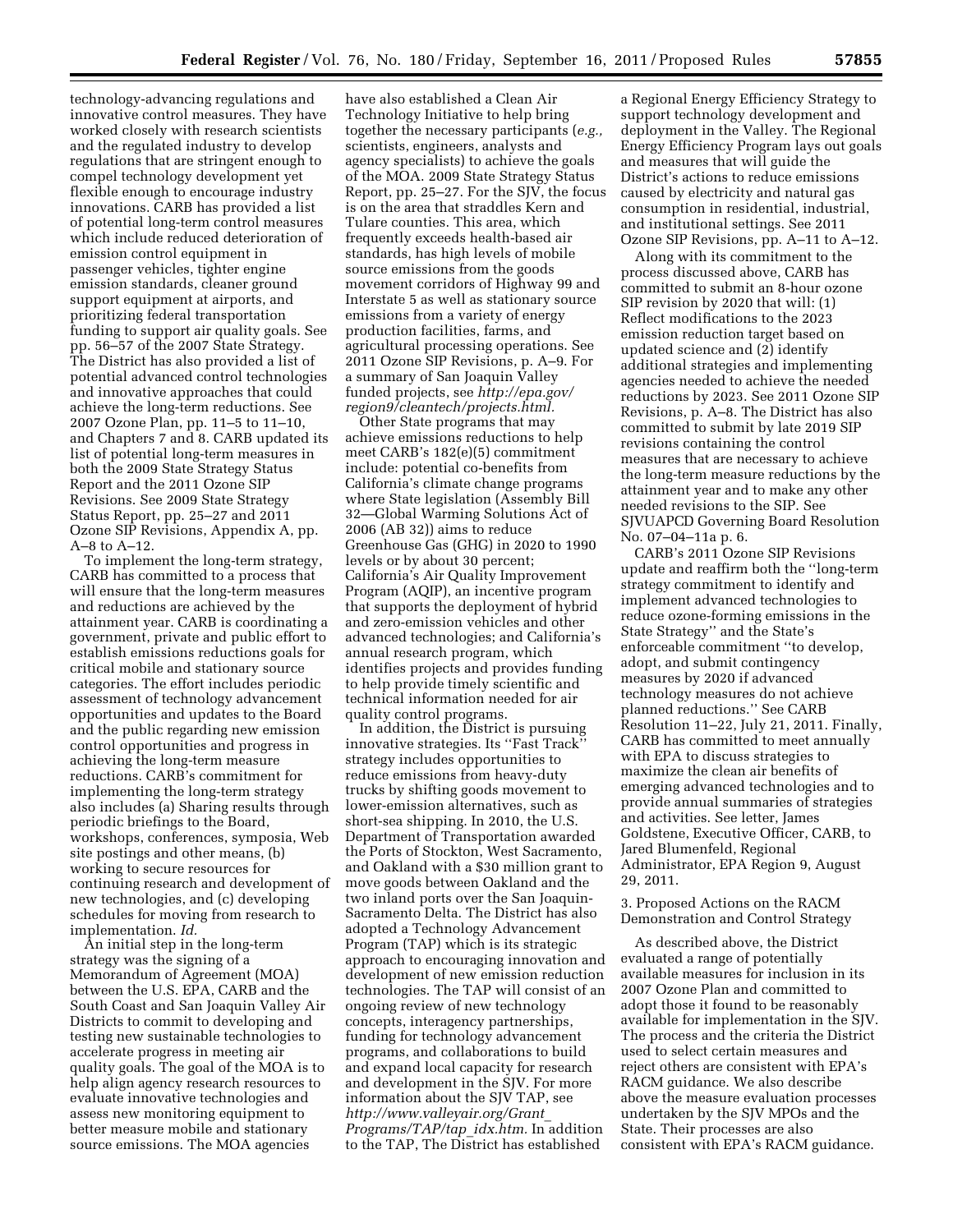technology-advancing regulations and innovative control measures. They have worked closely with research scientists and the regulated industry to develop regulations that are stringent enough to compel technology development yet flexible enough to encourage industry innovations. CARB has provided a list of potential long-term control measures which include reduced deterioration of emission control equipment in passenger vehicles, tighter engine emission standards, cleaner ground support equipment at airports, and prioritizing federal transportation funding to support air quality goals. See pp. 56–57 of the 2007 State Strategy. The District has also provided a list of potential advanced control technologies and innovative approaches that could achieve the long-term reductions. See 2007 Ozone Plan, pp. 11–5 to 11–10, and Chapters 7 and 8. CARB updated its list of potential long-term measures in both the 2009 State Strategy Status Report and the 2011 Ozone SIP Revisions. See 2009 State Strategy Status Report, pp. 25–27 and 2011 Ozone SIP Revisions, Appendix A, pp. A–8 to A–12.

To implement the long-term strategy, CARB has committed to a process that will ensure that the long-term measures and reductions are achieved by the attainment year. CARB is coordinating a government, private and public effort to establish emissions reductions goals for critical mobile and stationary source categories. The effort includes periodic assessment of technology advancement opportunities and updates to the Board and the public regarding new emission control opportunities and progress in achieving the long-term measure reductions. CARB's commitment for implementing the long-term strategy also includes (a) Sharing results through periodic briefings to the Board, workshops, conferences, symposia, Web site postings and other means, (b) working to secure resources for continuing research and development of new technologies, and (c) developing schedules for moving from research to implementation. *Id.* 

An initial step in the long-term strategy was the signing of a Memorandum of Agreement (MOA) between the U.S. EPA, CARB and the South Coast and San Joaquin Valley Air Districts to commit to developing and testing new sustainable technologies to accelerate progress in meeting air quality goals. The goal of the MOA is to help align agency research resources to evaluate innovative technologies and assess new monitoring equipment to better measure mobile and stationary source emissions. The MOA agencies

have also established a Clean Air Technology Initiative to help bring together the necessary participants (*e.g.,*  scientists, engineers, analysts and agency specialists) to achieve the goals of the MOA. 2009 State Strategy Status Report, pp. 25–27. For the SJV, the focus is on the area that straddles Kern and Tulare counties. This area, which frequently exceeds health-based air standards, has high levels of mobile source emissions from the goods movement corridors of Highway 99 and Interstate 5 as well as stationary source emissions from a variety of energy production facilities, farms, and agricultural processing operations. See 2011 Ozone SIP Revisions, p. A–9. For a summary of San Joaquin Valley funded projects, see *[http://epa.gov/](http://epa.gov/region9/cleantech/projects.html) [region9/cleantech/projects.html.](http://epa.gov/region9/cleantech/projects.html)* 

Other State programs that may achieve emissions reductions to help meet CARB's 182(e)(5) commitment include: potential co-benefits from California's climate change programs where State legislation (Assembly Bill 32—Global Warming Solutions Act of 2006 (AB 32)) aims to reduce Greenhouse Gas (GHG) in 2020 to 1990 levels or by about 30 percent; California's Air Quality Improvement Program (AQIP), an incentive program that supports the deployment of hybrid and zero-emission vehicles and other advanced technologies; and California's annual research program, which identifies projects and provides funding to help provide timely scientific and technical information needed for air quality control programs.

In addition, the District is pursuing innovative strategies. Its ''Fast Track'' strategy includes opportunities to reduce emissions from heavy-duty trucks by shifting goods movement to lower-emission alternatives, such as short-sea shipping. In 2010, the U.S. Department of Transportation awarded the Ports of Stockton, West Sacramento, and Oakland with a \$30 million grant to move goods between Oakland and the two inland ports over the San Joaquin-Sacramento Delta. The District has also adopted a Technology Advancement Program (TAP) which is its strategic approach to encouraging innovation and development of new emission reduction technologies. The TAP will consist of an ongoing review of new technology concepts, interagency partnerships, funding for technology advancement programs, and collaborations to build and expand local capacity for research and development in the SJV. For more information about the SJV TAP, see *[http://www.valleyair.org/Grant](http://www.valleyair.org/Grant_Programs/TAP/tap_idx.htm)*\_ *[Programs/TAP/tap](http://www.valleyair.org/Grant_Programs/TAP/tap_idx.htm)*\_*idx.htm.* In addition to the TAP, The District has established

a Regional Energy Efficiency Strategy to support technology development and deployment in the Valley. The Regional Energy Efficiency Program lays out goals and measures that will guide the District's actions to reduce emissions caused by electricity and natural gas consumption in residential, industrial, and institutional settings. See 2011 Ozone SIP Revisions, pp. A–11 to A–12.

Along with its commitment to the process discussed above, CARB has committed to submit an 8-hour ozone SIP revision by 2020 that will: (1) Reflect modifications to the 2023 emission reduction target based on updated science and (2) identify additional strategies and implementing agencies needed to achieve the needed reductions by 2023. See 2011 Ozone SIP Revisions, p. A–8. The District has also committed to submit by late 2019 SIP revisions containing the control measures that are necessary to achieve the long-term measure reductions by the attainment year and to make any other needed revisions to the SIP. See SJVUAPCD Governing Board Resolution No. 07–04–11a p. 6.

CARB's 2011 Ozone SIP Revisions update and reaffirm both the ''long-term strategy commitment to identify and implement advanced technologies to reduce ozone-forming emissions in the State Strategy'' and the State's enforceable commitment ''to develop, adopt, and submit contingency measures by 2020 if advanced technology measures do not achieve planned reductions.'' See CARB Resolution 11–22, July 21, 2011. Finally, CARB has committed to meet annually with EPA to discuss strategies to maximize the clean air benefits of emerging advanced technologies and to provide annual summaries of strategies and activities. See letter, James Goldstene, Executive Officer, CARB, to Jared Blumenfeld, Regional Administrator, EPA Region 9, August 29, 2011.

3. Proposed Actions on the RACM Demonstration and Control Strategy

As described above, the District evaluated a range of potentially available measures for inclusion in its 2007 Ozone Plan and committed to adopt those it found to be reasonably available for implementation in the SJV. The process and the criteria the District used to select certain measures and reject others are consistent with EPA's RACM guidance. We also describe above the measure evaluation processes undertaken by the SJV MPOs and the State. Their processes are also consistent with EPA's RACM guidance.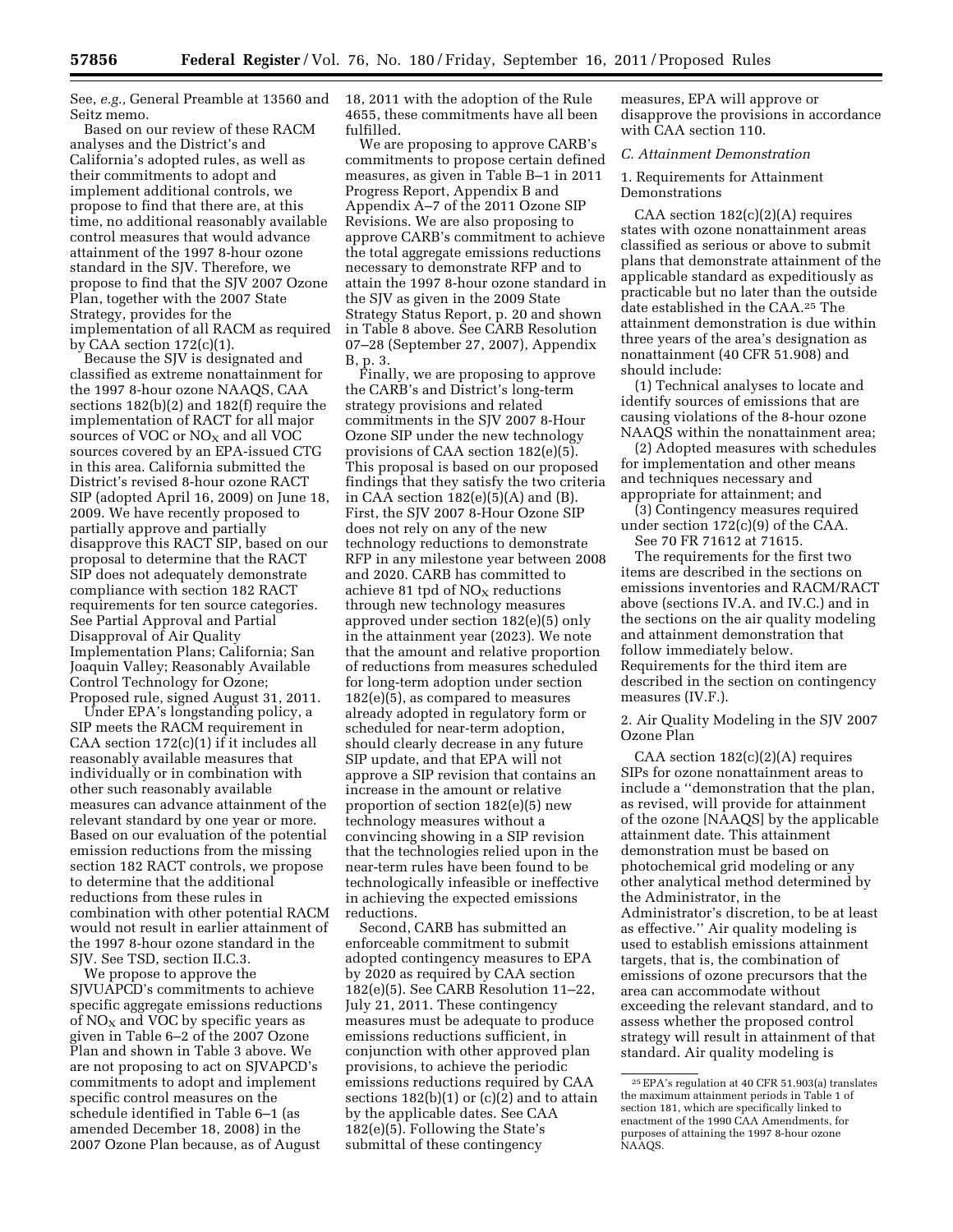See, *e.g.,* General Preamble at 13560 and 18, 2011 with the adoption of the Rule Seitz memo.

Based on our review of these RACM analyses and the District's and California's adopted rules, as well as their commitments to adopt and implement additional controls, we propose to find that there are, at this time, no additional reasonably available control measures that would advance attainment of the 1997 8-hour ozone standard in the SJV. Therefore, we propose to find that the SJV 2007 Ozone Plan, together with the 2007 State Strategy, provides for the implementation of all RACM as required by CAA section  $172(c)(1)$ .

Because the SJV is designated and classified as extreme nonattainment for the 1997 8-hour ozone NAAQS, CAA sections 182(b)(2) and 182(f) require the implementation of RACT for all major sources of VOC or  $NO<sub>X</sub>$  and all VOC sources covered by an EPA-issued CTG in this area. California submitted the District's revised 8-hour ozone RACT SIP (adopted April 16, 2009) on June 18, 2009. We have recently proposed to partially approve and partially disapprove this RACT SIP, based on our proposal to determine that the RACT SIP does not adequately demonstrate compliance with section 182 RACT requirements for ten source categories. See Partial Approval and Partial Disapproval of Air Quality Implementation Plans; California; San Joaquin Valley; Reasonably Available Control Technology for Ozone; Proposed rule, signed August 31, 2011.

Under EPA's longstanding policy, a SIP meets the RACM requirement in CAA section 172(c)(1) if it includes all reasonably available measures that individually or in combination with other such reasonably available measures can advance attainment of the relevant standard by one year or more. Based on our evaluation of the potential emission reductions from the missing section 182 RACT controls, we propose to determine that the additional reductions from these rules in combination with other potential RACM would not result in earlier attainment of the 1997 8-hour ozone standard in the SJV. See TSD, section II.C.3.

We propose to approve the SJVUAPCD's commitments to achieve specific aggregate emissions reductions of  $NO<sub>x</sub>$  and VOC by specific years as given in Table 6–2 of the 2007 Ozone Plan and shown in Table 3 above. We are not proposing to act on SJVAPCD's commitments to adopt and implement specific control measures on the schedule identified in Table 6–1 (as amended December 18, 2008) in the 2007 Ozone Plan because, as of August

4655, these commitments have all been fulfilled.

We are proposing to approve CARB's commitments to propose certain defined measures, as given in Table B–1 in 2011 Progress Report, Appendix B and Appendix A–7 of the 2011 Ozone SIP Revisions. We are also proposing to approve CARB's commitment to achieve the total aggregate emissions reductions necessary to demonstrate RFP and to attain the 1997 8-hour ozone standard in the SJV as given in the 2009 State Strategy Status Report, p. 20 and shown in Table 8 above. See CARB Resolution 07–28 (September 27, 2007), Appendix B, p. 3.

Finally, we are proposing to approve the CARB's and District's long-term strategy provisions and related commitments in the SJV 2007 8-Hour Ozone SIP under the new technology provisions of CAA section 182(e)(5). This proposal is based on our proposed findings that they satisfy the two criteria in  $CA\bar{A}$  section 182(e)(5)(A) and (B). First, the SJV 2007 8-Hour Ozone SIP does not rely on any of the new technology reductions to demonstrate RFP in any milestone year between 2008 and 2020. CARB has committed to achieve 81 tpd of  $NO<sub>x</sub>$  reductions through new technology measures approved under section 182(e)(5) only in the attainment year (2023). We note that the amount and relative proportion of reductions from measures scheduled for long-term adoption under section 182(e)(5), as compared to measures already adopted in regulatory form or scheduled for near-term adoption, should clearly decrease in any future SIP update, and that EPA will not approve a SIP revision that contains an increase in the amount or relative proportion of section 182(e)(5) new technology measures without a convincing showing in a SIP revision that the technologies relied upon in the near-term rules have been found to be technologically infeasible or ineffective in achieving the expected emissions reductions.

Second, CARB has submitted an enforceable commitment to submit adopted contingency measures to EPA by 2020 as required by CAA section 182(e)(5). See CARB Resolution 11–22, July 21, 2011. These contingency measures must be adequate to produce emissions reductions sufficient, in conjunction with other approved plan provisions, to achieve the periodic emissions reductions required by CAA sections  $182(b)(1)$  or  $(c)(2)$  and to attain by the applicable dates. See CAA 182(e)(5). Following the State's submittal of these contingency

measures, EPA will approve or disapprove the provisions in accordance with CAA section 110.

#### *C. Attainment Demonstration*

1. Requirements for Attainment Demonstrations

CAA section 182(c)(2)(A) requires states with ozone nonattainment areas classified as serious or above to submit plans that demonstrate attainment of the applicable standard as expeditiously as practicable but no later than the outside date established in the CAA.25 The attainment demonstration is due within three years of the area's designation as nonattainment (40 CFR 51.908) and should include:

(1) Technical analyses to locate and identify sources of emissions that are causing violations of the 8-hour ozone NAAQS within the nonattainment area;

(2) Adopted measures with schedules for implementation and other means and techniques necessary and appropriate for attainment; and

(3) Contingency measures required under section 172(c)(9) of the CAA.

See 70 FR 71612 at 71615.

The requirements for the first two items are described in the sections on emissions inventories and RACM/RACT above (sections IV.A. and IV.C.) and in the sections on the air quality modeling and attainment demonstration that follow immediately below. Requirements for the third item are described in the section on contingency measures (IV.F.).

2. Air Quality Modeling in the SJV 2007 Ozone Plan

CAA section 182(c)(2)(A) requires SIPs for ozone nonattainment areas to include a ''demonstration that the plan, as revised, will provide for attainment of the ozone [NAAQS] by the applicable attainment date. This attainment demonstration must be based on photochemical grid modeling or any other analytical method determined by the Administrator, in the Administrator's discretion, to be at least as effective.'' Air quality modeling is used to establish emissions attainment targets, that is, the combination of emissions of ozone precursors that the area can accommodate without exceeding the relevant standard, and to assess whether the proposed control strategy will result in attainment of that standard. Air quality modeling is

<sup>25</sup>EPA's regulation at 40 CFR 51.903(a) translates the maximum attainment periods in Table 1 of section 181, which are specifically linked to enactment of the 1990 CAA Amendments, for purposes of attaining the 1997 8-hour ozone NAAQS.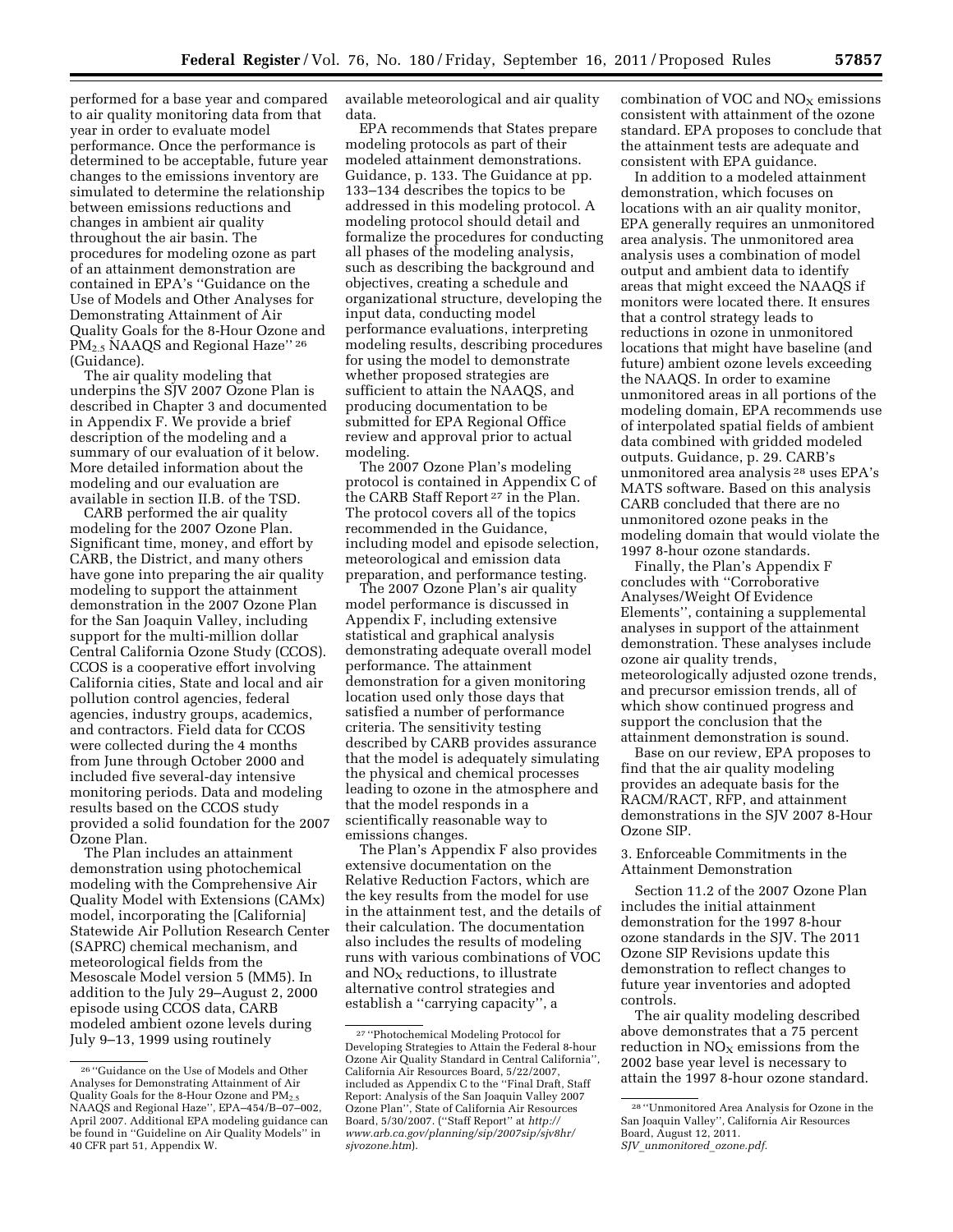performed for a base year and compared to air quality monitoring data from that year in order to evaluate model performance. Once the performance is determined to be acceptable, future year changes to the emissions inventory are simulated to determine the relationship between emissions reductions and changes in ambient air quality throughout the air basin. The procedures for modeling ozone as part of an attainment demonstration are contained in EPA's ''Guidance on the Use of Models and Other Analyses for Demonstrating Attainment of Air Quality Goals for the 8-Hour Ozone and PM2.5 NAAQS and Regional Haze'' <sup>26</sup> (Guidance).

The air quality modeling that underpins the SJV 2007 Ozone Plan is described in Chapter 3 and documented in Appendix F. We provide a brief description of the modeling and a summary of our evaluation of it below. More detailed information about the modeling and our evaluation are available in section II.B. of the TSD.

CARB performed the air quality modeling for the 2007 Ozone Plan. Significant time, money, and effort by CARB, the District, and many others have gone into preparing the air quality modeling to support the attainment demonstration in the 2007 Ozone Plan for the San Joaquin Valley, including support for the multi-million dollar Central California Ozone Study (CCOS). CCOS is a cooperative effort involving California cities, State and local and air pollution control agencies, federal agencies, industry groups, academics, and contractors. Field data for CCOS were collected during the 4 months from June through October 2000 and included five several-day intensive monitoring periods. Data and modeling results based on the CCOS study provided a solid foundation for the 2007 Ozone Plan.

The Plan includes an attainment demonstration using photochemical modeling with the Comprehensive Air Quality Model with Extensions (CAMx) model, incorporating the [California] Statewide Air Pollution Research Center (SAPRC) chemical mechanism, and meteorological fields from the Mesoscale Model version 5 (MM5). In addition to the July 29–August 2, 2000 episode using CCOS data, CARB modeled ambient ozone levels during July 9–13, 1999 using routinely

available meteorological and air quality data.

EPA recommends that States prepare modeling protocols as part of their modeled attainment demonstrations. Guidance, p. 133. The Guidance at pp. 133–134 describes the topics to be addressed in this modeling protocol. A modeling protocol should detail and formalize the procedures for conducting all phases of the modeling analysis, such as describing the background and objectives, creating a schedule and organizational structure, developing the input data, conducting model performance evaluations, interpreting modeling results, describing procedures for using the model to demonstrate whether proposed strategies are sufficient to attain the NAAQS, and producing documentation to be submitted for EPA Regional Office review and approval prior to actual modeling.

The 2007 Ozone Plan's modeling protocol is contained in Appendix C of the CARB Staff Report 27 in the Plan. The protocol covers all of the topics recommended in the Guidance, including model and episode selection, meteorological and emission data preparation, and performance testing.

The 2007 Ozone Plan's air quality model performance is discussed in Appendix F, including extensive statistical and graphical analysis demonstrating adequate overall model performance. The attainment demonstration for a given monitoring location used only those days that satisfied a number of performance criteria. The sensitivity testing described by CARB provides assurance that the model is adequately simulating the physical and chemical processes leading to ozone in the atmosphere and that the model responds in a scientifically reasonable way to emissions changes.

The Plan's Appendix F also provides extensive documentation on the Relative Reduction Factors, which are the key results from the model for use in the attainment test, and the details of their calculation. The documentation also includes the results of modeling runs with various combinations of VOC and  $NO<sub>x</sub>$  reductions, to illustrate alternative control strategies and establish a ''carrying capacity'', a

combination of VOC and  $NO<sub>X</sub>$  emissions consistent with attainment of the ozone standard. EPA proposes to conclude that the attainment tests are adequate and consistent with EPA guidance.

In addition to a modeled attainment demonstration, which focuses on locations with an air quality monitor, EPA generally requires an unmonitored area analysis. The unmonitored area analysis uses a combination of model output and ambient data to identify areas that might exceed the NAAQS if monitors were located there. It ensures that a control strategy leads to reductions in ozone in unmonitored locations that might have baseline (and future) ambient ozone levels exceeding the NAAQS. In order to examine unmonitored areas in all portions of the modeling domain, EPA recommends use of interpolated spatial fields of ambient data combined with gridded modeled outputs. Guidance, p. 29. CARB's unmonitored area analysis 28 uses EPA's MATS software. Based on this analysis CARB concluded that there are no unmonitored ozone peaks in the modeling domain that would violate the 1997 8-hour ozone standards.

Finally, the Plan's Appendix F concludes with ''Corroborative Analyses/Weight Of Evidence Elements'', containing a supplemental analyses in support of the attainment demonstration. These analyses include ozone air quality trends, meteorologically adjusted ozone trends, and precursor emission trends, all of which show continued progress and support the conclusion that the attainment demonstration is sound.

Base on our review, EPA proposes to find that the air quality modeling provides an adequate basis for the RACM/RACT, RFP, and attainment demonstrations in the SJV 2007 8-Hour Ozone SIP.

3. Enforceable Commitments in the Attainment Demonstration

Section 11.2 of the 2007 Ozone Plan includes the initial attainment demonstration for the 1997 8-hour ozone standards in the SJV. The 2011 Ozone SIP Revisions update this demonstration to reflect changes to future year inventories and adopted controls.

The air quality modeling described above demonstrates that a 75 percent reduction in  $NO<sub>X</sub>$  emissions from the 2002 base year level is necessary to attain the 1997 8-hour ozone standard.

<sup>26</sup> ''Guidance on the Use of Models and Other Analyses for Demonstrating Attainment of Air Quality Goals for the 8-Hour Ozone and PM2.5 NAAQS and Regional Haze'', EPA–454/B–07–002, April 2007. Additional EPA modeling guidance can be found in ''Guideline on Air Quality Models'' in 40 CFR part 51, Appendix W.

<sup>27</sup> ''Photochemical Modeling Protocol for Developing Strategies to Attain the Federal 8-hour Ozone Air Quality Standard in Central California'', California Air Resources Board, 5/22/2007, included as Appendix C to the ''Final Draft, Staff Report: Analysis of the San Joaquin Valley 2007 Ozone Plan'', State of California Air Resources Board, 5/30/2007. (''Staff Report'' at *[http://](http://www.arb.ca.gov/planning/sip/2007sip/sjv8hr/sjvozone.htm)  [www.arb.ca.gov/planning/sip/2007sip/sjv8hr/](http://www.arb.ca.gov/planning/sip/2007sip/sjv8hr/sjvozone.htm)  [sjvozone.htm](http://www.arb.ca.gov/planning/sip/2007sip/sjv8hr/sjvozone.htm)*).

<sup>28</sup> ''Unmonitored Area Analysis for Ozone in the San Joaquin Valley'', California Air Resources Board, August 12, 2011.

*SJV*\_*unmonitored*\_*ozone.pdf.*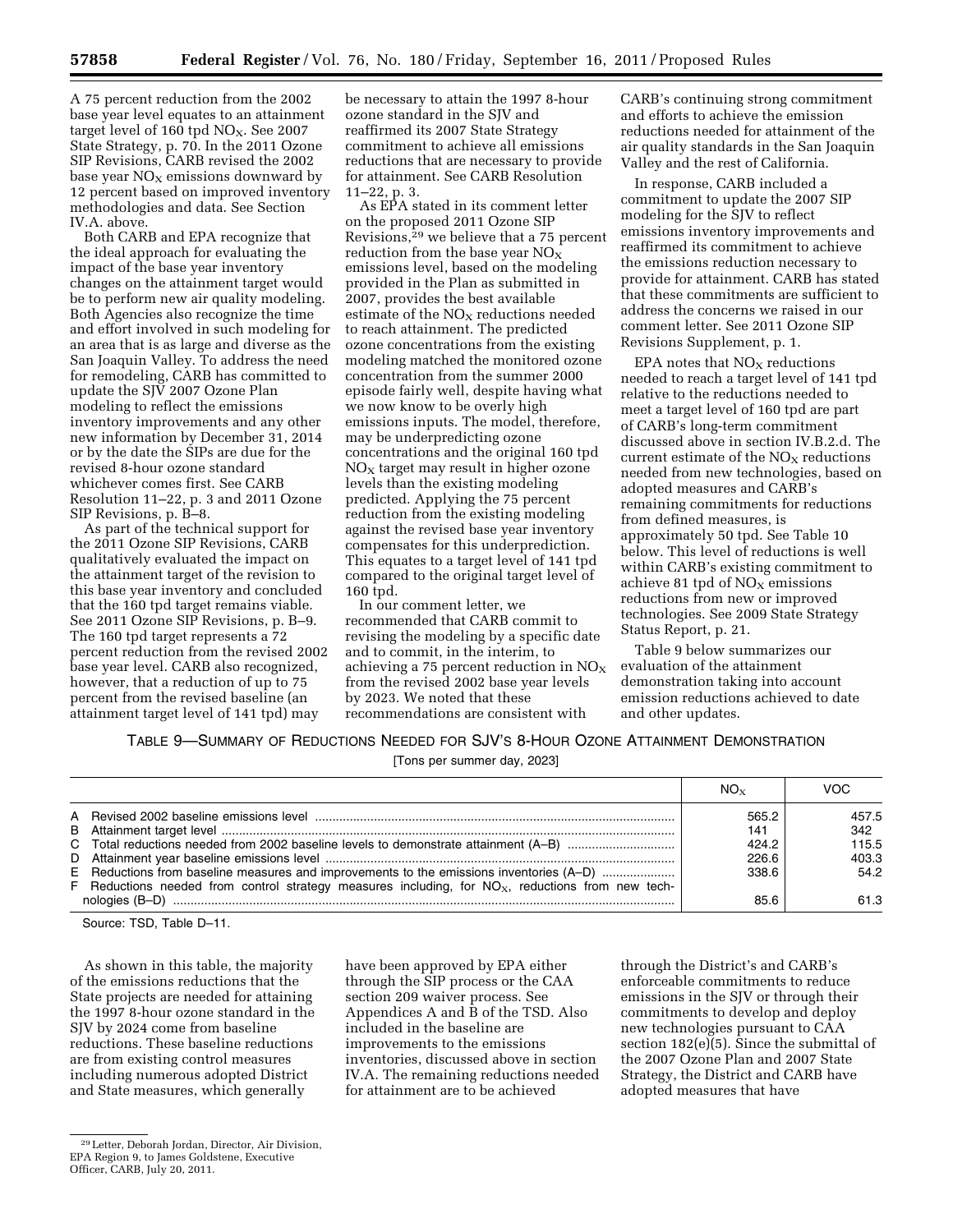A 75 percent reduction from the 2002 base year level equates to an attainment target level of 160 tpd  $NO<sub>X</sub>$ . See 2007 State Strategy, p. 70. In the 2011 Ozone SIP Revisions, CARB revised the 2002 base year  $NO<sub>x</sub>$  emissions downward by 12 percent based on improved inventory methodologies and data. See Section IV.A. above.

Both CARB and EPA recognize that the ideal approach for evaluating the impact of the base year inventory changes on the attainment target would be to perform new air quality modeling. Both Agencies also recognize the time and effort involved in such modeling for an area that is as large and diverse as the San Joaquin Valley. To address the need for remodeling, CARB has committed to update the SJV 2007 Ozone Plan modeling to reflect the emissions inventory improvements and any other new information by December 31, 2014 or by the date the SIPs are due for the revised 8-hour ozone standard whichever comes first. See CARB Resolution 11–22, p. 3 and 2011 Ozone SIP Revisions, p. B–8.

As part of the technical support for the 2011 Ozone SIP Revisions, CARB qualitatively evaluated the impact on the attainment target of the revision to this base year inventory and concluded that the 160 tpd target remains viable. See 2011 Ozone SIP Revisions, p. B–9. The 160 tpd target represents a 72 percent reduction from the revised 2002 base year level. CARB also recognized, however, that a reduction of up to 75 percent from the revised baseline (an attainment target level of 141 tpd) may

be necessary to attain the 1997 8-hour ozone standard in the SJV and reaffirmed its 2007 State Strategy commitment to achieve all emissions reductions that are necessary to provide for attainment. See CARB Resolution 11–22, p. 3.

As EPA stated in its comment letter on the proposed 2011 Ozone SIP Revisions,29 we believe that a 75 percent reduction from the base year  $NO<sub>x</sub>$ emissions level, based on the modeling provided in the Plan as submitted in 2007, provides the best available estimate of the  $NO<sub>x</sub>$  reductions needed to reach attainment. The predicted ozone concentrations from the existing modeling matched the monitored ozone concentration from the summer 2000 episode fairly well, despite having what we now know to be overly high emissions inputs. The model, therefore, may be underpredicting ozone concentrations and the original 160 tpd  $NO<sub>x</sub>$  target may result in higher ozone levels than the existing modeling predicted. Applying the 75 percent reduction from the existing modeling against the revised base year inventory compensates for this underprediction. This equates to a target level of 141 tpd compared to the original target level of 160 tpd.

In our comment letter, we recommended that CARB commit to revising the modeling by a specific date and to commit, in the interim, to achieving a 75 percent reduction in  $NO<sub>x</sub>$ from the revised 2002 base year levels by 2023. We noted that these recommendations are consistent with

CARB's continuing strong commitment and efforts to achieve the emission reductions needed for attainment of the air quality standards in the San Joaquin Valley and the rest of California.

In response, CARB included a commitment to update the 2007 SIP modeling for the SJV to reflect emissions inventory improvements and reaffirmed its commitment to achieve the emissions reduction necessary to provide for attainment. CARB has stated that these commitments are sufficient to address the concerns we raised in our comment letter. See 2011 Ozone SIP Revisions Supplement, p. 1.

EPA notes that  $NO<sub>x</sub>$  reductions needed to reach a target level of 141 tpd relative to the reductions needed to meet a target level of 160 tpd are part of CARB's long-term commitment discussed above in section IV.B.2.d. The current estimate of the  $NO<sub>x</sub>$  reductions needed from new technologies, based on adopted measures and CARB's remaining commitments for reductions from defined measures, is approximately 50 tpd. See Table 10 below. This level of reductions is well within CARB's existing commitment to achieve 81 tpd of  $NO<sub>x</sub>$  emissions reductions from new or improved technologies. See 2009 State Strategy Status Report, p. 21.

Table 9 below summarizes our evaluation of the attainment demonstration taking into account emission reductions achieved to date and other updates.

# TABLE 9—SUMMARY OF REDUCTIONS NEEDED FOR SJV'S 8-HOUR OZONE ATTAINMENT DEMONSTRATION

[Tons per summer day, 2023]

|                                                                                                        | $NO_{\rm x}$ | <b>VOC</b> |
|--------------------------------------------------------------------------------------------------------|--------------|------------|
|                                                                                                        | 565.2        | 457.5      |
|                                                                                                        | 141          | 342        |
|                                                                                                        | 424.2        | 115.5      |
|                                                                                                        | 226.6        | 403.3      |
| E Reductions from baseline measures and improvements to the emissions inventories (A-D)                | 338.6        | 54.2       |
| F Reductions needed from control strategy measures including, for $NO_{x}$ , reductions from new tech- | 85.6         | 61.3       |

Source: TSD, Table D–11.

As shown in this table, the majority of the emissions reductions that the State projects are needed for attaining the 1997 8-hour ozone standard in the SJV by 2024 come from baseline reductions. These baseline reductions are from existing control measures including numerous adopted District and State measures, which generally

have been approved by EPA either through the SIP process or the CAA section 209 waiver process. See Appendices A and B of the TSD. Also included in the baseline are improvements to the emissions inventories, discussed above in section IV.A. The remaining reductions needed for attainment are to be achieved

through the District's and CARB's enforceable commitments to reduce emissions in the SJV or through their commitments to develop and deploy new technologies pursuant to CAA section  $182(e)(5)$ . Since the submittal of the 2007 Ozone Plan and 2007 State Strategy, the District and CARB have adopted measures that have

<sup>29</sup>Letter, Deborah Jordan, Director, Air Division, EPA Region 9, to James Goldstene, Executive Officer, CARB, July 20, 2011.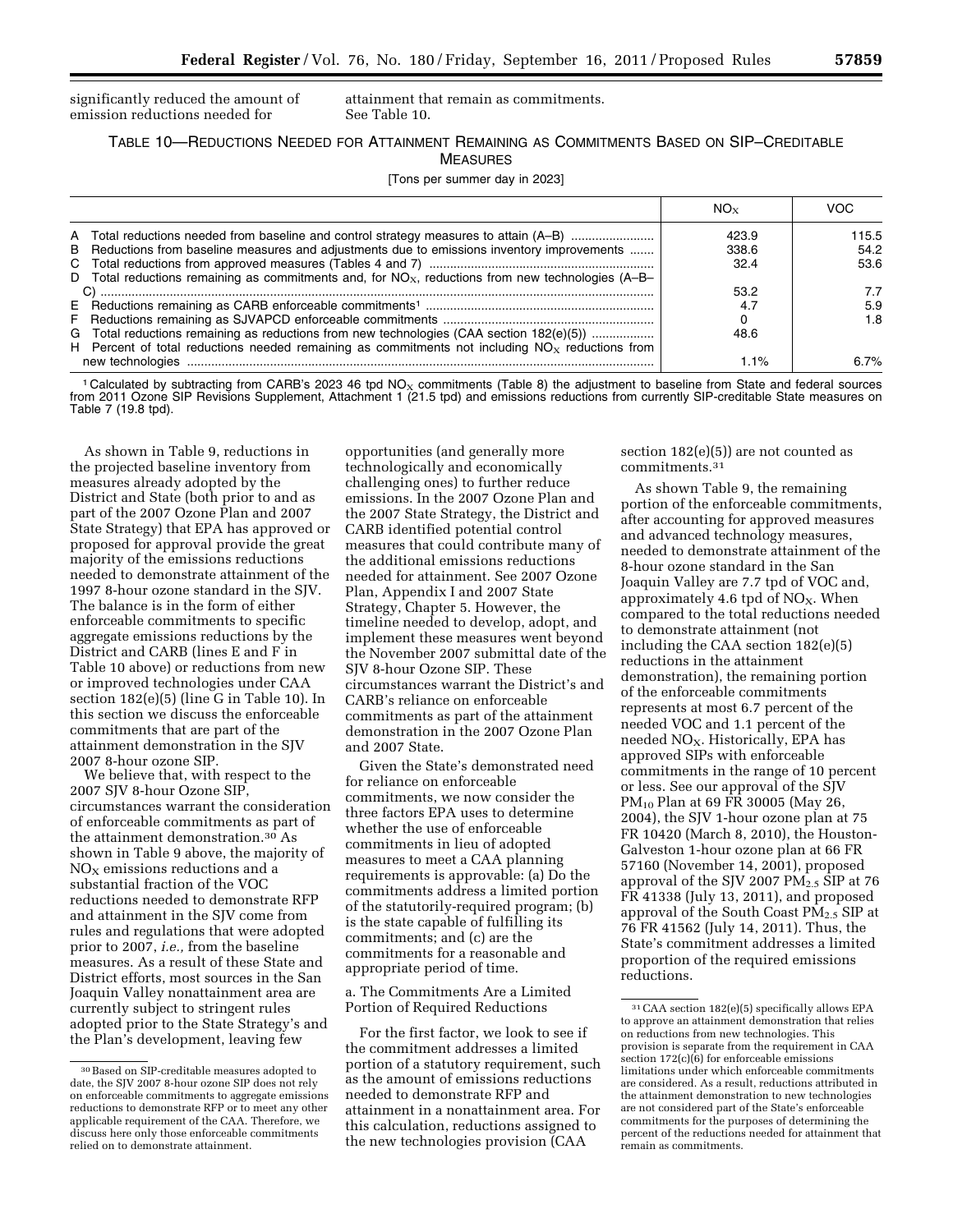significantly reduced the amount of emission reductions needed for

attainment that remain as commitments. See Table 10.

TABLE 10—REDUCTIONS NEEDED FOR ATTAINMENT REMAINING AS COMMITMENTS BASED ON SIP–CREDITABLE MEASURES

[Tons per summer day in 2023]

|                                                                                                                                                                                                                                                                                                         | NO×                    | VOC                   |
|---------------------------------------------------------------------------------------------------------------------------------------------------------------------------------------------------------------------------------------------------------------------------------------------------------|------------------------|-----------------------|
| A Total reductions needed from baseline and control strategy measures to attain (A-B)<br>B Reductions from baseline measures and adjustments due to emissions inventory improvements                                                                                                                    | 423.9<br>338.6<br>32.4 | 115.5<br>54.2<br>53.6 |
| D Total reductions remaining as commitments and, for $NO_{x}$ , reductions from new technologies (A-B-<br>G Total reductions remaining as reductions from new technologies (CAA section 182(e)(5))<br>H Percent of total reductions needed remaining as commitments not including $NOx$ reductions from | 53.2<br>4.7<br>48.6    | 7.7<br>5.9<br>1.8     |
| new technologies                                                                                                                                                                                                                                                                                        | 1.1%                   | $6.7\%$               |

<sup>1</sup> Calculated by subtracting from CARB's 2023 46 tpd NO<sub>x</sub> commitments (Table 8) the adjustment to baseline from State and federal sources from 2011 Ozone SIP Revisions Supplement, Attachment 1 (21.5 tpd) and emissions reductions from currently SIP-creditable State measures on Table 7 (19.8 tpd).

As shown in Table 9, reductions in the projected baseline inventory from measures already adopted by the District and State (both prior to and as part of the 2007 Ozone Plan and 2007 State Strategy) that EPA has approved or proposed for approval provide the great majority of the emissions reductions needed to demonstrate attainment of the 1997 8-hour ozone standard in the SJV. The balance is in the form of either enforceable commitments to specific aggregate emissions reductions by the District and CARB (lines E and F in Table 10 above) or reductions from new or improved technologies under CAA section 182(e)(5) (line G in Table 10). In this section we discuss the enforceable commitments that are part of the attainment demonstration in the SJV 2007 8-hour ozone SIP.

We believe that, with respect to the 2007 SJV 8-hour Ozone SIP, circumstances warrant the consideration of enforceable commitments as part of the attainment demonstration.30 As shown in Table 9 above, the majority of  $NO<sub>X</sub>$  emissions reductions and a substantial fraction of the VOC reductions needed to demonstrate RFP and attainment in the SJV come from rules and regulations that were adopted prior to 2007, *i.e.,* from the baseline measures. As a result of these State and District efforts, most sources in the San Joaquin Valley nonattainment area are currently subject to stringent rules adopted prior to the State Strategy's and the Plan's development, leaving few

opportunities (and generally more technologically and economically challenging ones) to further reduce emissions. In the 2007 Ozone Plan and the 2007 State Strategy, the District and CARB identified potential control measures that could contribute many of the additional emissions reductions needed for attainment. See 2007 Ozone Plan, Appendix I and 2007 State Strategy, Chapter 5. However, the timeline needed to develop, adopt, and implement these measures went beyond the November 2007 submittal date of the SJV 8-hour Ozone SIP. These circumstances warrant the District's and CARB's reliance on enforceable commitments as part of the attainment demonstration in the 2007 Ozone Plan and 2007 State.

Given the State's demonstrated need for reliance on enforceable commitments, we now consider the three factors EPA uses to determine whether the use of enforceable commitments in lieu of adopted measures to meet a CAA planning requirements is approvable: (a) Do the commitments address a limited portion of the statutorily-required program; (b) is the state capable of fulfilling its commitments; and (c) are the commitments for a reasonable and appropriate period of time.

a. The Commitments Are a Limited Portion of Required Reductions

For the first factor, we look to see if the commitment addresses a limited portion of a statutory requirement, such as the amount of emissions reductions needed to demonstrate RFP and attainment in a nonattainment area. For this calculation, reductions assigned to the new technologies provision (CAA

section 182(e)(5)) are not counted as commitments.31

As shown Table 9, the remaining portion of the enforceable commitments, after accounting for approved measures and advanced technology measures, needed to demonstrate attainment of the 8-hour ozone standard in the San Joaquin Valley are 7.7 tpd of VOC and, approximately 4.6 tpd of  $NO<sub>X</sub>$ . When compared to the total reductions needed to demonstrate attainment (not including the CAA section 182(e)(5) reductions in the attainment demonstration), the remaining portion of the enforceable commitments represents at most 6.7 percent of the needed VOC and 1.1 percent of the needed  $NO<sub>X</sub>$ . Historically, EPA has approved SIPs with enforceable commitments in the range of 10 percent or less. See our approval of the SJV PM10 Plan at 69 FR 30005 (May 26, 2004), the SJV 1-hour ozone plan at 75 FR 10420 (March 8, 2010), the Houston-Galveston 1-hour ozone plan at 66 FR 57160 (November 14, 2001), proposed approval of the SJV 2007  $PM_{2.5}$  SIP at 76 FR 41338 (July 13, 2011), and proposed approval of the South Coast  $PM_{2.5}$  SIP at 76 FR 41562 (July 14, 2011). Thus, the State's commitment addresses a limited proportion of the required emissions reductions.

<sup>30</sup>Based on SIP-creditable measures adopted to date, the SJV 2007 8-hour ozone SIP does not rely on enforceable commitments to aggregate emissions reductions to demonstrate RFP or to meet any other applicable requirement of the CAA. Therefore, we discuss here only those enforceable commitments relied on to demonstrate attainment.

<sup>31</sup>CAA section 182(e)(5) specifically allows EPA to approve an attainment demonstration that relies on reductions from new technologies. This provision is separate from the requirement in CAA section  $172(c)(6)$  for enforceable emissions limitations under which enforceable commitments are considered. As a result, reductions attributed in the attainment demonstration to new technologies are not considered part of the State's enforceable commitments for the purposes of determining the percent of the reductions needed for attainment that remain as commitments.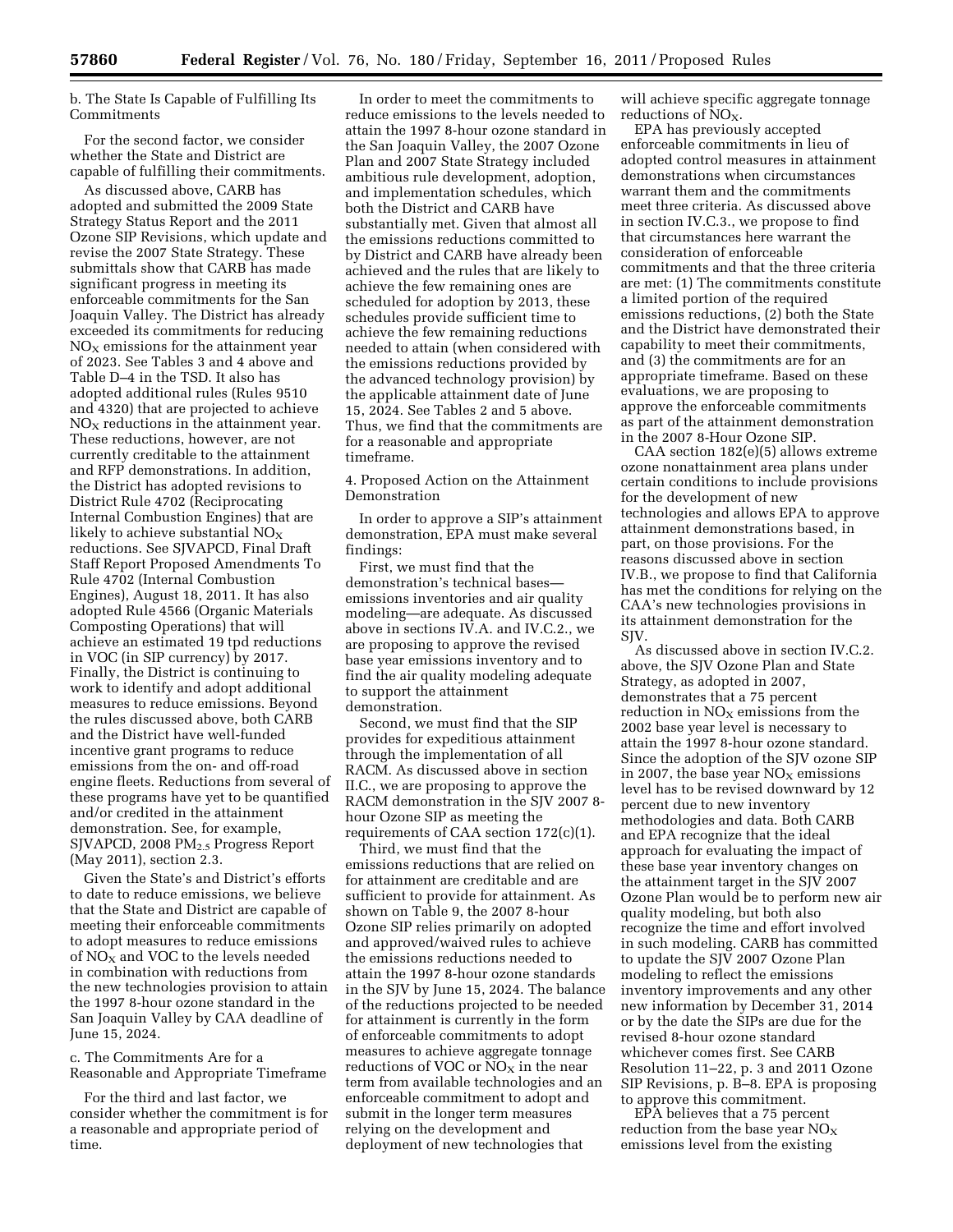b. The State Is Capable of Fulfilling Its Commitments

For the second factor, we consider whether the State and District are capable of fulfilling their commitments.

As discussed above, CARB has adopted and submitted the 2009 State Strategy Status Report and the 2011 Ozone SIP Revisions, which update and revise the 2007 State Strategy. These submittals show that CARB has made significant progress in meeting its enforceable commitments for the San Joaquin Valley. The District has already exceeded its commitments for reducing  $NO<sub>x</sub>$  emissions for the attainment year of 2023. See Tables 3 and 4 above and Table D–4 in the TSD. It also has adopted additional rules (Rules 9510 and 4320) that are projected to achieve  $NO<sub>x</sub>$  reductions in the attainment year. These reductions, however, are not currently creditable to the attainment and RFP demonstrations. In addition, the District has adopted revisions to District Rule 4702 (Reciprocating Internal Combustion Engines) that are likely to achieve substantial  $NO<sub>X</sub>$ reductions. See SJVAPCD, Final Draft Staff Report Proposed Amendments To Rule 4702 (Internal Combustion Engines), August 18, 2011. It has also adopted Rule 4566 (Organic Materials Composting Operations) that will achieve an estimated 19 tpd reductions in VOC (in SIP currency) by 2017. Finally, the District is continuing to work to identify and adopt additional measures to reduce emissions. Beyond the rules discussed above, both CARB and the District have well-funded incentive grant programs to reduce emissions from the on- and off-road engine fleets. Reductions from several of these programs have yet to be quantified and/or credited in the attainment demonstration. See, for example,  $SJVAPCD$ , 2008  $PM<sub>2.5</sub>$  Progress Report (May 2011), section 2.3.

Given the State's and District's efforts to date to reduce emissions, we believe that the State and District are capable of meeting their enforceable commitments to adopt measures to reduce emissions of  $NO<sub>X</sub>$  and VOC to the levels needed in combination with reductions from the new technologies provision to attain the 1997 8-hour ozone standard in the San Joaquin Valley by CAA deadline of June 15, 2024.

c. The Commitments Are for a Reasonable and Appropriate Timeframe

For the third and last factor, we consider whether the commitment is for a reasonable and appropriate period of time.

In order to meet the commitments to reduce emissions to the levels needed to attain the 1997 8-hour ozone standard in the San Joaquin Valley, the 2007 Ozone Plan and 2007 State Strategy included ambitious rule development, adoption, and implementation schedules, which both the District and CARB have substantially met. Given that almost all the emissions reductions committed to by District and CARB have already been achieved and the rules that are likely to achieve the few remaining ones are scheduled for adoption by 2013, these schedules provide sufficient time to achieve the few remaining reductions needed to attain (when considered with the emissions reductions provided by the advanced technology provision) by the applicable attainment date of June 15, 2024. See Tables 2 and 5 above. Thus, we find that the commitments are for a reasonable and appropriate timeframe.

4. Proposed Action on the Attainment Demonstration

In order to approve a SIP's attainment demonstration, EPA must make several findings:

First, we must find that the demonstration's technical bases emissions inventories and air quality modeling—are adequate. As discussed above in sections IV.A. and IV.C.2., we are proposing to approve the revised base year emissions inventory and to find the air quality modeling adequate to support the attainment demonstration.

Second, we must find that the SIP provides for expeditious attainment through the implementation of all RACM. As discussed above in section II.C., we are proposing to approve the RACM demonstration in the SJV 2007 8 hour Ozone SIP as meeting the requirements of CAA section 172(c)(1).

Third, we must find that the emissions reductions that are relied on for attainment are creditable and are sufficient to provide for attainment. As shown on Table 9, the 2007 8-hour Ozone SIP relies primarily on adopted and approved/waived rules to achieve the emissions reductions needed to attain the 1997 8-hour ozone standards in the SJV by June 15, 2024. The balance of the reductions projected to be needed for attainment is currently in the form of enforceable commitments to adopt measures to achieve aggregate tonnage reductions of VOC or  $NO<sub>X</sub>$  in the near term from available technologies and an enforceable commitment to adopt and submit in the longer term measures relying on the development and deployment of new technologies that

will achieve specific aggregate tonnage reductions of  $NO<sub>x</sub>$ .

EPA has previously accepted enforceable commitments in lieu of adopted control measures in attainment demonstrations when circumstances warrant them and the commitments meet three criteria. As discussed above in section IV.C.3., we propose to find that circumstances here warrant the consideration of enforceable commitments and that the three criteria are met: (1) The commitments constitute a limited portion of the required emissions reductions, (2) both the State and the District have demonstrated their capability to meet their commitments, and (3) the commitments are for an appropriate timeframe. Based on these evaluations, we are proposing to approve the enforceable commitments as part of the attainment demonstration in the 2007 8-Hour Ozone SIP.

CAA section 182(e)(5) allows extreme ozone nonattainment area plans under certain conditions to include provisions for the development of new technologies and allows EPA to approve attainment demonstrations based, in part, on those provisions. For the reasons discussed above in section IV.B., we propose to find that California has met the conditions for relying on the CAA's new technologies provisions in its attainment demonstration for the SJV.

As discussed above in section IV.C.2. above, the SJV Ozone Plan and State Strategy, as adopted in 2007, demonstrates that a 75 percent reduction in  $NO<sub>x</sub>$  emissions from the 2002 base year level is necessary to attain the 1997 8-hour ozone standard. Since the adoption of the SJV ozone SIP in 2007, the base year  $NO<sub>x</sub>$  emissions level has to be revised downward by 12 percent due to new inventory methodologies and data. Both CARB and EPA recognize that the ideal approach for evaluating the impact of these base year inventory changes on the attainment target in the SJV 2007 Ozone Plan would be to perform new air quality modeling, but both also recognize the time and effort involved in such modeling. CARB has committed to update the SJV 2007 Ozone Plan modeling to reflect the emissions inventory improvements and any other new information by December 31, 2014 or by the date the SIPs are due for the revised 8-hour ozone standard whichever comes first. See CARB Resolution 11–22, p. 3 and 2011 Ozone SIP Revisions, p. B–8. EPA is proposing to approve this commitment.

EPA believes that a 75 percent reduction from the base year  $NO<sub>x</sub>$ emissions level from the existing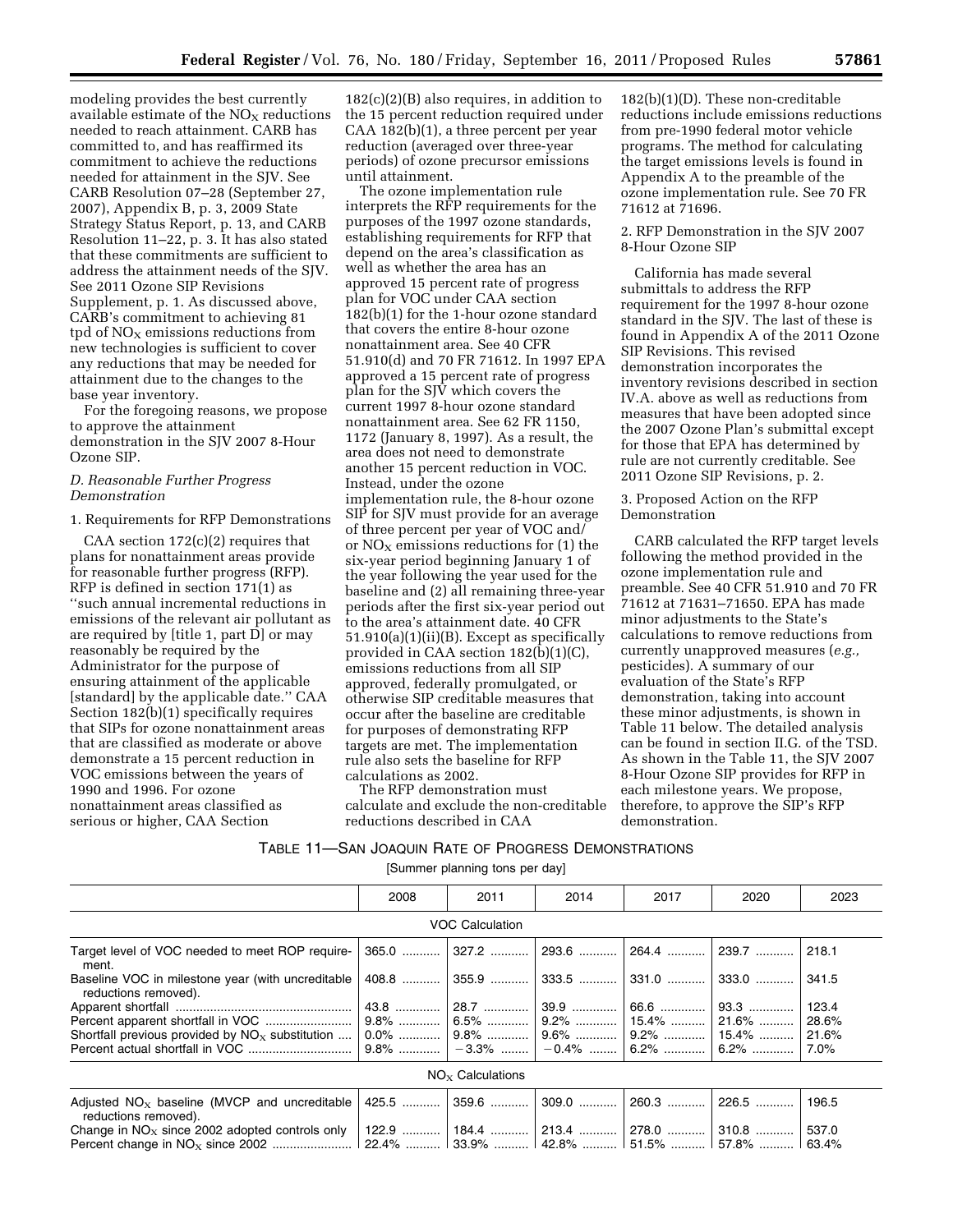modeling provides the best currently available estimate of the  $NO<sub>x</sub>$  reductions needed to reach attainment. CARB has committed to, and has reaffirmed its commitment to achieve the reductions needed for attainment in the SJV. See CARB Resolution 07–28 (September 27, 2007), Appendix B, p. 3, 2009 State Strategy Status Report, p. 13, and CARB Resolution 11–22, p. 3. It has also stated that these commitments are sufficient to address the attainment needs of the SJV. See 2011 Ozone SIP Revisions Supplement, p. 1. As discussed above, CARB's commitment to achieving 81 tpd of  $NO<sub>X</sub>$  emissions reductions from new technologies is sufficient to cover any reductions that may be needed for attainment due to the changes to the base year inventory.

For the foregoing reasons, we propose to approve the attainment demonstration in the SJV 2007 8-Hour Ozone SIP.

### *D. Reasonable Further Progress Demonstration*

### 1. Requirements for RFP Demonstrations

CAA section  $172(c)(2)$  requires that plans for nonattainment areas provide for reasonable further progress (RFP). RFP is defined in section 171(1) as ''such annual incremental reductions in emissions of the relevant air pollutant as are required by [title 1, part D] or may reasonably be required by the Administrator for the purpose of ensuring attainment of the applicable [standard] by the applicable date.'' CAA Section 182(b)(1) specifically requires that SIPs for ozone nonattainment areas that are classified as moderate or above demonstrate a 15 percent reduction in VOC emissions between the years of 1990 and 1996. For ozone nonattainment areas classified as serious or higher, CAA Section

182(c)(2)(B) also requires, in addition to the 15 percent reduction required under CAA 182(b)(1), a three percent per year reduction (averaged over three-year periods) of ozone precursor emissions until attainment.

The ozone implementation rule interprets the RFP requirements for the purposes of the 1997 ozone standards, establishing requirements for RFP that depend on the area's classification as well as whether the area has an approved 15 percent rate of progress plan for VOC under CAA section 182(b)(1) for the 1-hour ozone standard that covers the entire 8-hour ozone nonattainment area. See 40 CFR 51.910(d) and 70 FR 71612. In 1997 EPA approved a 15 percent rate of progress plan for the SJV which covers the current 1997 8-hour ozone standard nonattainment area. See 62 FR 1150, 1172 (January 8, 1997). As a result, the area does not need to demonstrate another 15 percent reduction in VOC. Instead, under the ozone implementation rule, the 8-hour ozone SIP for SJV must provide for an average of three percent per year of VOC and/ or  $NO<sub>x</sub>$  emissions reductions for (1) the six-year period beginning January 1 of the year following the year used for the baseline and (2) all remaining three-year periods after the first six-year period out to the area's attainment date. 40 CFR 51.910(a)(1)(ii)(B). Except as specifically provided in CAA section  $182(\bar{b})(1)(C)$ , emissions reductions from all SIP approved, federally promulgated, or otherwise SIP creditable measures that occur after the baseline are creditable for purposes of demonstrating RFP targets are met. The implementation rule also sets the baseline for RFP calculations as 2002.

The RFP demonstration must calculate and exclude the non-creditable reductions described in CAA

182(b)(1)(D). These non-creditable reductions include emissions reductions from pre-1990 federal motor vehicle programs. The method for calculating the target emissions levels is found in Appendix A to the preamble of the ozone implementation rule. See 70 FR 71612 at 71696.

2. RFP Demonstration in the SJV 2007 8-Hour Ozone SIP

California has made several submittals to address the RFP requirement for the 1997 8-hour ozone standard in the SJV. The last of these is found in Appendix A of the 2011 Ozone SIP Revisions. This revised demonstration incorporates the inventory revisions described in section IV.A. above as well as reductions from measures that have been adopted since the 2007 Ozone Plan's submittal except for those that EPA has determined by rule are not currently creditable. See 2011 Ozone SIP Revisions, p. 2.

3. Proposed Action on the RFP Demonstration

CARB calculated the RFP target levels following the method provided in the ozone implementation rule and preamble. See 40 CFR 51.910 and 70 FR 71612 at 71631–71650. EPA has made minor adjustments to the State's calculations to remove reductions from currently unapproved measures (*e.g.,*  pesticides). A summary of our evaluation of the State's RFP demonstration, taking into account these minor adjustments, is shown in Table 11 below. The detailed analysis can be found in section II.G. of the TSD. As shown in the Table 11, the SJV 2007 8-Hour Ozone SIP provides for RFP in each milestone years. We propose, therefore, to approve the SIP's RFP demonstration.

# TABLE 11—SAN JOAQUIN RATE OF PROGRESS DEMONSTRATIONS

[Summer planning tons per day]

|                                                                                                                  | 2008 | 2011                   | 2014                                      | 2017          | 2020    | 2023  |  |  |  |
|------------------------------------------------------------------------------------------------------------------|------|------------------------|-------------------------------------------|---------------|---------|-------|--|--|--|
|                                                                                                                  |      | <b>VOC Calculation</b> |                                           |               |         |       |  |  |  |
| Target level of VOC needed to meet ROP require-<br>ment.                                                         |      |                        | 365.0  327.2  293.6  264.4  239.7  218.1  |               |         |       |  |  |  |
| Baseline VOC in milestone year (with uncreditable  <br>reductions removed).                                      |      |                        | 408.8    355.9    333.5    331.0    333.0 |               |         | 341.5 |  |  |  |
|                                                                                                                  |      |                        |                                           |               | 93.3    | 123.4 |  |  |  |
|                                                                                                                  |      |                        |                                           |               |         | 28.6% |  |  |  |
| Shortfall previous provided by $NO_x$ substitution $\vert 0.0\%$ $\vert 9.8\%$ $\vert 9.6\%$ $\vert 9.2\%$ 15.4% |      |                        |                                           |               |         | 21.6% |  |  |  |
|                                                                                                                  |      | —3.3% ……… ∣            |                                           | $-0.4\%$ 6.2% | $6.2\%$ | 7.0%  |  |  |  |
| $NO_{x}$ Calculations                                                                                            |      |                        |                                           |               |         |       |  |  |  |

| Adjusted NO <sub>x</sub> baseline (MVCP and uncreditable 425.5  359.6  309.0  260.3  226.5  196.5               |  |  |  |
|-----------------------------------------------------------------------------------------------------------------|--|--|--|
| reductions removed).                                                                                            |  |  |  |
| Change in NO <sub>x</sub> since 2002 adopted controls only   122.9    184.4    213.4    278.0    310.8    537.0 |  |  |  |
|                                                                                                                 |  |  |  |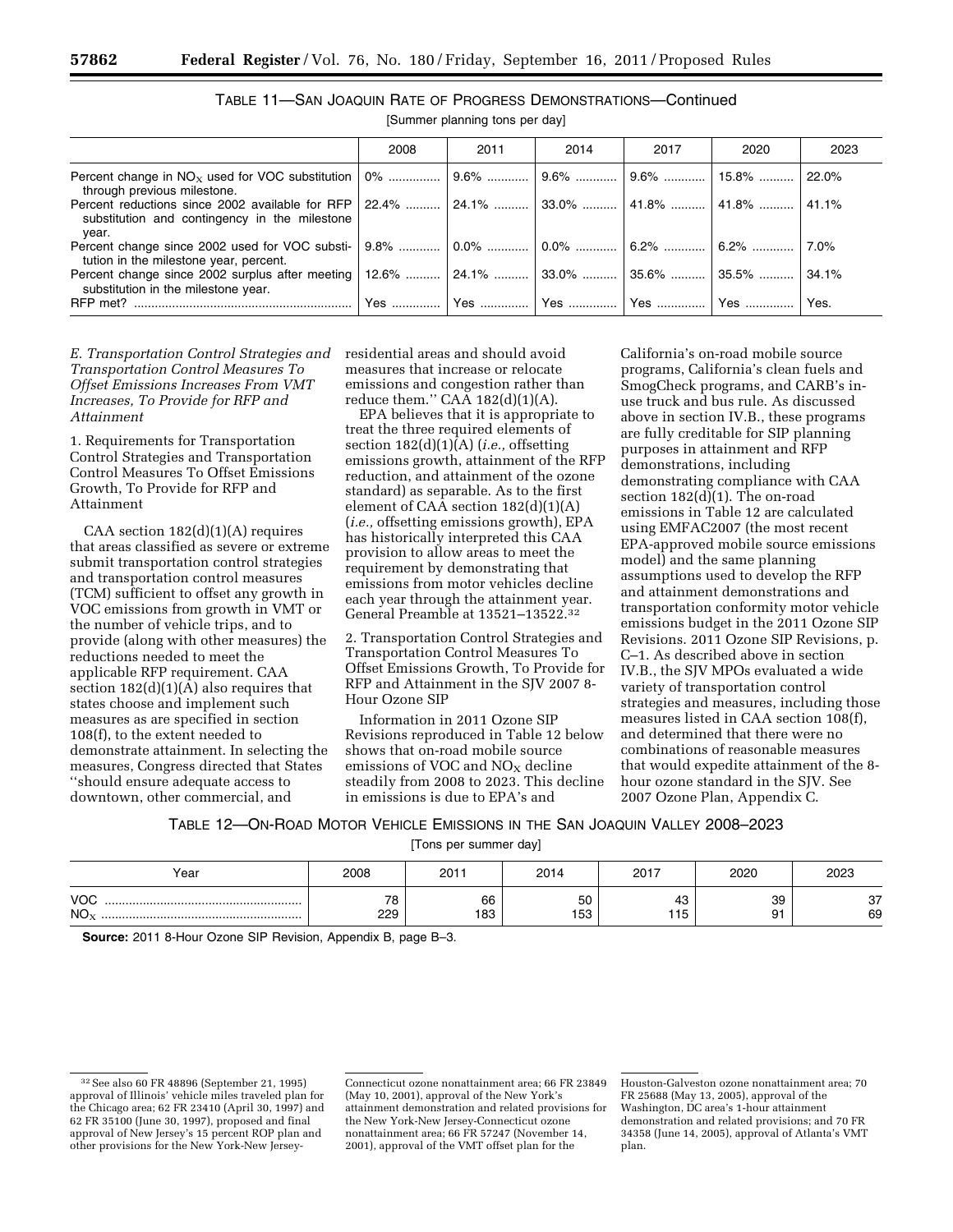|                                                                                                                                                          | 2008 | 2011 | 2014 | 2017 | 2020 | 2023  |
|----------------------------------------------------------------------------------------------------------------------------------------------------------|------|------|------|------|------|-------|
| through previous milestone.                                                                                                                              |      |      |      |      |      | 22.0% |
| 11.1% Percent reductions since 2002 available for RFP 22.4%  24.1%  33.0%  41.8%  41.8%  41.1%<br>substitution and contingency in the milestone<br>vear. |      |      |      |      |      |       |
| tution in the milestone year, percent.                                                                                                                   |      |      |      |      |      | 7.0%  |
| Percent change since 2002 surplus after meeting   12.6%    24.1%    33.0%    35.6%    35.5%<br>substitution in the milestone year.                       |      |      |      |      |      | 34.1% |
|                                                                                                                                                          |      |      |      |      |      |       |

TABLE 11—SAN JOAQUIN RATE OF PROGRESS DEMONSTRATIONS—Continued

[Summer planning tons per day]

*E. Transportation Control Strategies and Transportation Control Measures To Offset Emissions Increases From VMT Increases, To Provide for RFP and Attainment* 

1. Requirements for Transportation Control Strategies and Transportation Control Measures To Offset Emissions Growth, To Provide for RFP and Attainment

CAA section 182(d)(1)(A) requires that areas classified as severe or extreme submit transportation control strategies and transportation control measures (TCM) sufficient to offset any growth in VOC emissions from growth in VMT or the number of vehicle trips, and to provide (along with other measures) the reductions needed to meet the applicable RFP requirement. CAA section 182(d)(1)(A) also requires that states choose and implement such measures as are specified in section 108(f), to the extent needed to demonstrate attainment. In selecting the measures, Congress directed that States ''should ensure adequate access to downtown, other commercial, and

residential areas and should avoid measures that increase or relocate emissions and congestion rather than reduce them."  $CA\overline{A}$  182(d)(1)(A).

EPA believes that it is appropriate to treat the three required elements of section 182(d)(1)(A) (*i.e.,* offsetting emissions growth, attainment of the RFP reduction, and attainment of the ozone standard) as separable. As to the first element of CAA section 182(d)(1)(A) (*i.e.,* offsetting emissions growth), EPA has historically interpreted this CAA provision to allow areas to meet the requirement by demonstrating that emissions from motor vehicles decline each year through the attainment year. General Preamble at 13521–13522.32

2. Transportation Control Strategies and Transportation Control Measures To Offset Emissions Growth, To Provide for RFP and Attainment in the SJV 2007 8- Hour Ozone SIP

Information in 2011 Ozone SIP Revisions reproduced in Table 12 below shows that on-road mobile source emissions of VOC and  $NO<sub>x</sub>$  decline steadily from 2008 to 2023. This decline in emissions is due to EPA's and

California's on-road mobile source programs, California's clean fuels and SmogCheck programs, and CARB's inuse truck and bus rule. As discussed above in section IV.B., these programs are fully creditable for SIP planning purposes in attainment and RFP demonstrations, including demonstrating compliance with CAA section 182(d)(1). The on-road emissions in Table 12 are calculated using EMFAC2007 (the most recent EPA-approved mobile source emissions model) and the same planning assumptions used to develop the RFP and attainment demonstrations and transportation conformity motor vehicle emissions budget in the 2011 Ozone SIP Revisions. 2011 Ozone SIP Revisions, p. C–1. As described above in section IV.B., the SJV MPOs evaluated a wide variety of transportation control strategies and measures, including those measures listed in CAA section 108(f), and determined that there were no combinations of reasonable measures that would expedite attainment of the 8 hour ozone standard in the SJV. See 2007 Ozone Plan, Appendix C.

TABLE 12—ON-ROAD MOTOR VEHICLE EMISSIONS IN THE SAN JOAQUIN VALLEY 2008–2023

[Tons per summer day]

| Year                   | 2008                            | 2014<br>201 |           | 2017      | 2020          | 2023                |  |
|------------------------|---------------------------------|-------------|-----------|-----------|---------------|---------------------|--|
| <b>VOC</b><br>$NO_{x}$ | $\overline{\phantom{a}}$<br>229 | 66<br>183   | 50<br>153 | 43<br>115 | 39<br>Ω1<br>ັ | $\sim$<br>، ت<br>69 |  |

**Source:** 2011 8-Hour Ozone SIP Revision, Appendix B, page B–3.

<sup>32</sup>See also 60 FR 48896 (September 21, 1995) approval of Illinois' vehicle miles traveled plan for the Chicago area; 62 FR 23410 (April 30, 1997) and 62 FR 35100 (June 30, 1997), proposed and final approval of New Jersey's 15 percent ROP plan and other provisions for the New York-New Jersey-

Connecticut ozone nonattainment area; 66 FR 23849 (May 10, 2001), approval of the New York's attainment demonstration and related provisions for the New York-New Jersey-Connecticut ozone nonattainment area; 66 FR 57247 (November 14, 2001), approval of the VMT offset plan for the

Houston-Galveston ozone nonattainment area; 70 FR 25688 (May 13, 2005), approval of the Washington, DC area's 1-hour attainment demonstration and related provisions; and 70 FR 34358 (June 14, 2005), approval of Atlanta's VMT plan.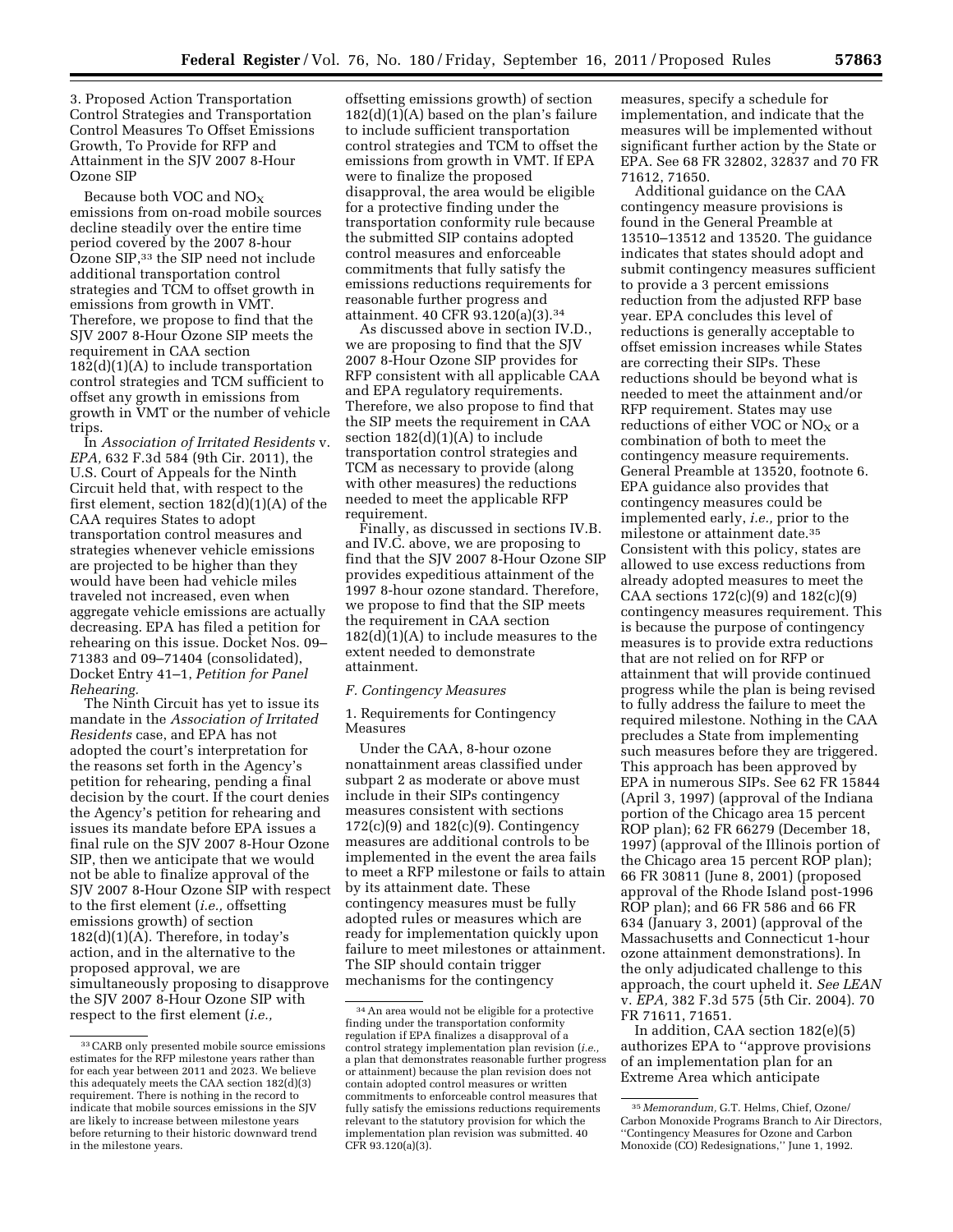3. Proposed Action Transportation Control Strategies and Transportation Control Measures To Offset Emissions Growth, To Provide for RFP and Attainment in the SJV 2007 8-Hour Ozone SIP

Because both VOC and  $NO<sub>x</sub>$ emissions from on-road mobile sources decline steadily over the entire time period covered by the 2007 8-hour Ozone SIP,33 the SIP need not include additional transportation control strategies and TCM to offset growth in emissions from growth in VMT. Therefore, we propose to find that the SJV 2007 8-Hour Ozone SIP meets the requirement in CAA section  $182(d)(1)(A)$  to include transportation control strategies and TCM sufficient to offset any growth in emissions from growth in VMT or the number of vehicle trips.

In *Association of Irritated Residents* v. *EPA,* 632 F.3d 584 (9th Cir. 2011), the U.S. Court of Appeals for the Ninth Circuit held that, with respect to the first element, section 182(d)(1)(A) of the CAA requires States to adopt transportation control measures and strategies whenever vehicle emissions are projected to be higher than they would have been had vehicle miles traveled not increased, even when aggregate vehicle emissions are actually decreasing. EPA has filed a petition for rehearing on this issue. Docket Nos. 09– 71383 and 09–71404 (consolidated), Docket Entry 41–1, *Petition for Panel Rehearing.* 

The Ninth Circuit has yet to issue its mandate in the *Association of Irritated Residents* case, and EPA has not adopted the court's interpretation for the reasons set forth in the Agency's petition for rehearing, pending a final decision by the court. If the court denies the Agency's petition for rehearing and issues its mandate before EPA issues a final rule on the SJV 2007 8-Hour Ozone SIP, then we anticipate that we would not be able to finalize approval of the SJV 2007 8-Hour Ozone SIP with respect to the first element (*i.e.,* offsetting emissions growth) of section  $182(d)(1)(A)$ . Therefore, in today's action, and in the alternative to the proposed approval, we are simultaneously proposing to disapprove the SJV 2007 8-Hour Ozone SIP with respect to the first element (*i.e.,* 

offsetting emissions growth) of section  $182(d)(1)(A)$  based on the plan's failure to include sufficient transportation control strategies and TCM to offset the emissions from growth in VMT. If EPA were to finalize the proposed disapproval, the area would be eligible for a protective finding under the transportation conformity rule because the submitted SIP contains adopted control measures and enforceable commitments that fully satisfy the emissions reductions requirements for reasonable further progress and attainment. 40 CFR 93.120(a)(3).34

As discussed above in section IV.D., we are proposing to find that the SJV 2007 8-Hour Ozone SIP provides for RFP consistent with all applicable CAA and EPA regulatory requirements. Therefore, we also propose to find that the SIP meets the requirement in CAA section  $182(d)(1)(A)$  to include transportation control strategies and TCM as necessary to provide (along with other measures) the reductions needed to meet the applicable RFP requirement.

Finally, as discussed in sections IV.B. and IV.C. above, we are proposing to find that the SJV 2007 8-Hour Ozone SIP provides expeditious attainment of the 1997 8-hour ozone standard. Therefore, we propose to find that the SIP meets the requirement in CAA section  $182(d)$  $(1)(A)$  to include measures to the extent needed to demonstrate attainment.

### *F. Contingency Measures*

1. Requirements for Contingency Measures

Under the CAA, 8-hour ozone nonattainment areas classified under subpart 2 as moderate or above must include in their SIPs contingency measures consistent with sections  $172(c)(9)$  and  $182(c)(9)$ . Contingency measures are additional controls to be implemented in the event the area fails to meet a RFP milestone or fails to attain by its attainment date. These contingency measures must be fully adopted rules or measures which are ready for implementation quickly upon failure to meet milestones or attainment. The SIP should contain trigger mechanisms for the contingency

measures, specify a schedule for implementation, and indicate that the measures will be implemented without significant further action by the State or EPA. See 68 FR 32802, 32837 and 70 FR 71612, 71650.

Additional guidance on the CAA contingency measure provisions is found in the General Preamble at 13510–13512 and 13520. The guidance indicates that states should adopt and submit contingency measures sufficient to provide a 3 percent emissions reduction from the adjusted RFP base year. EPA concludes this level of reductions is generally acceptable to offset emission increases while States are correcting their SIPs. These reductions should be beyond what is needed to meet the attainment and/or RFP requirement. States may use reductions of either VOC or  $NO<sub>X</sub>$  or a combination of both to meet the contingency measure requirements. General Preamble at 13520, footnote 6. EPA guidance also provides that contingency measures could be implemented early, *i.e.,* prior to the milestone or attainment date.35 Consistent with this policy, states are allowed to use excess reductions from already adopted measures to meet the CAA sections  $172(c)(9)$  and  $182(c)(9)$ contingency measures requirement. This is because the purpose of contingency measures is to provide extra reductions that are not relied on for RFP or attainment that will provide continued progress while the plan is being revised to fully address the failure to meet the required milestone. Nothing in the CAA precludes a State from implementing such measures before they are triggered. This approach has been approved by EPA in numerous SIPs. See 62 FR 15844 (April 3, 1997) (approval of the Indiana portion of the Chicago area 15 percent ROP plan); 62 FR 66279 (December 18, 1997) (approval of the Illinois portion of the Chicago area 15 percent ROP plan); 66 FR 30811 (June 8, 2001) (proposed approval of the Rhode Island post-1996 ROP plan); and 66 FR 586 and 66 FR 634 (January 3, 2001) (approval of the Massachusetts and Connecticut 1-hour ozone attainment demonstrations). In the only adjudicated challenge to this approach, the court upheld it. *See LEAN*  v. *EPA,* 382 F.3d 575 (5th Cir. 2004). 70 FR 71611, 71651.

In addition, CAA section 182(e)(5) authorizes EPA to ''approve provisions of an implementation plan for an Extreme Area which anticipate

<sup>33</sup>CARB only presented mobile source emissions estimates for the RFP milestone years rather than for each year between 2011 and 2023. We believe this adequately meets the CAA section 182(d)(3) requirement. There is nothing in the record to indicate that mobile sources emissions in the SJV are likely to increase between milestone years before returning to their historic downward trend in the milestone years.

<sup>34</sup>An area would not be eligible for a protective finding under the transportation conformity regulation if EPA finalizes a disapproval of a control strategy implementation plan revision (*i.e.,*  a plan that demonstrates reasonable further progress or attainment) because the plan revision does not contain adopted control measures or written commitments to enforceable control measures that fully satisfy the emissions reductions requirements relevant to the statutory provision for which the implementation plan revision was submitted. 40 CFR 93.120(a)(3).

<sup>35</sup> *Memorandum,* G.T. Helms, Chief, Ozone/ Carbon Monoxide Programs Branch to Air Directors, ''Contingency Measures for Ozone and Carbon Monoxide (CO) Redesignations,'' June 1, 1992.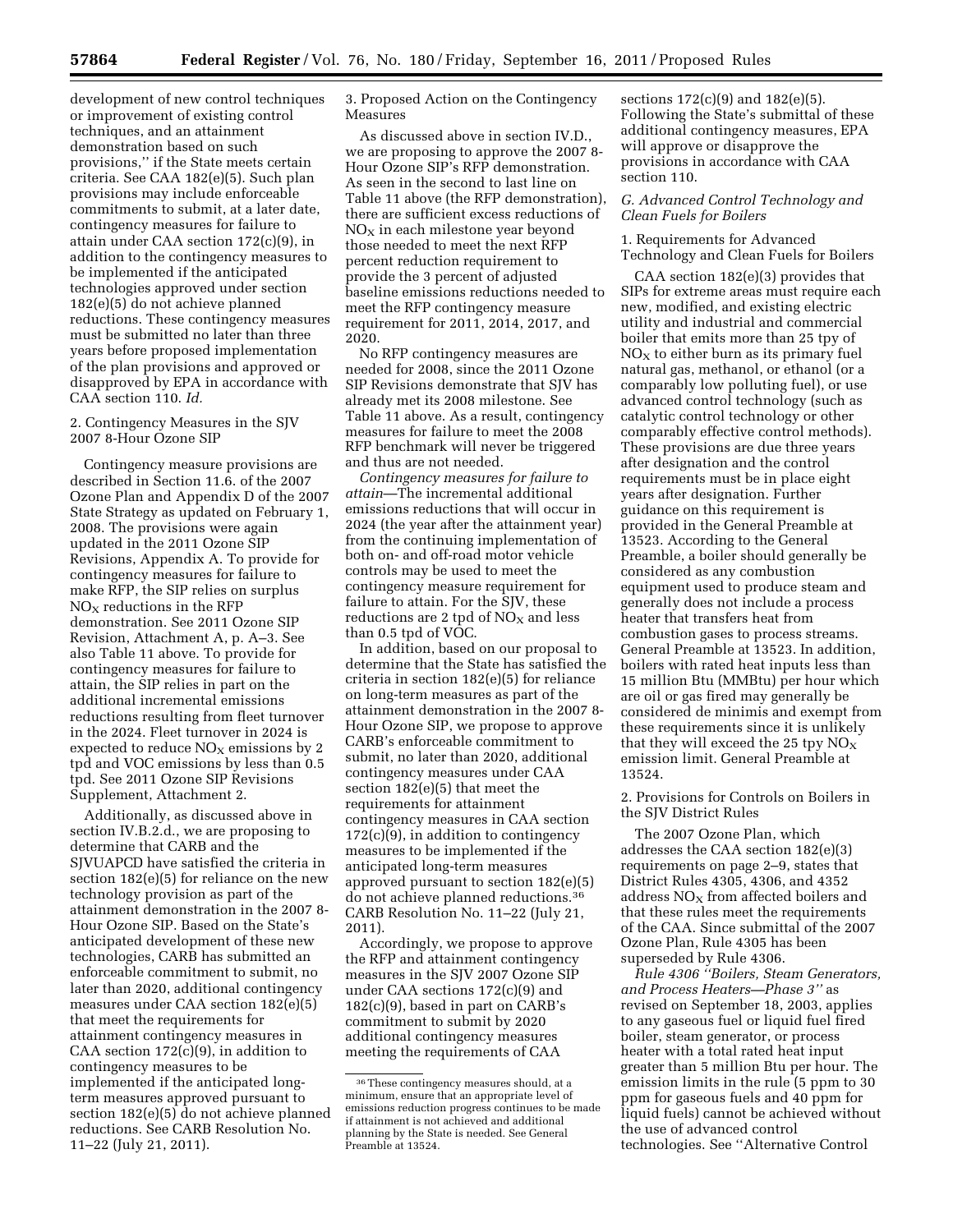development of new control techniques or improvement of existing control techniques, and an attainment demonstration based on such provisions,'' if the State meets certain criteria. See CAA 182(e)(5). Such plan provisions may include enforceable commitments to submit, at a later date, contingency measures for failure to attain under CAA section 172(c)(9), in addition to the contingency measures to be implemented if the anticipated technologies approved under section 182(e)(5) do not achieve planned reductions. These contingency measures must be submitted no later than three years before proposed implementation of the plan provisions and approved or disapproved by EPA in accordance with CAA section 110. *Id.* 

## 2. Contingency Measures in the SJV 2007 8-Hour Ozone SIP

Contingency measure provisions are described in Section 11.6. of the 2007 Ozone Plan and Appendix D of the 2007 State Strategy as updated on February 1, 2008. The provisions were again updated in the 2011 Ozone SIP Revisions, Appendix A. To provide for contingency measures for failure to make RFP, the SIP relies on surplus  $NO<sub>x</sub>$  reductions in the RFP demonstration. See 2011 Ozone SIP Revision, Attachment A, p. A–3. See also Table 11 above. To provide for contingency measures for failure to attain, the SIP relies in part on the additional incremental emissions reductions resulting from fleet turnover in the 2024. Fleet turnover in 2024 is expected to reduce  $NO<sub>x</sub>$  emissions by 2 tpd and VOC emissions by less than 0.5 tpd. See 2011 Ozone SIP Revisions Supplement, Attachment 2.

Additionally, as discussed above in section IV.B.2.d., we are proposing to determine that CARB and the SJVUAPCD have satisfied the criteria in section 182(e)(5) for reliance on the new technology provision as part of the attainment demonstration in the 2007 8- Hour Ozone SIP. Based on the State's anticipated development of these new technologies, CARB has submitted an enforceable commitment to submit, no later than 2020, additional contingency measures under CAA section 182(e)(5) that meet the requirements for attainment contingency measures in CAA section  $172(c)(9)$ , in addition to contingency measures to be implemented if the anticipated longterm measures approved pursuant to section 182(e)(5) do not achieve planned reductions. See CARB Resolution No. 11–22 (July 21, 2011).

3. Proposed Action on the Contingency Measures

As discussed above in section IV.D., we are proposing to approve the 2007 8- Hour Ozone SIP's RFP demonstration. As seen in the second to last line on Table 11 above (the RFP demonstration), there are sufficient excess reductions of  $NO<sub>x</sub>$  in each milestone year beyond those needed to meet the next RFP percent reduction requirement to provide the 3 percent of adjusted baseline emissions reductions needed to meet the RFP contingency measure requirement for 2011, 2014, 2017, and 2020.

No RFP contingency measures are needed for 2008, since the 2011 Ozone SIP Revisions demonstrate that SJV has already met its 2008 milestone. See Table 11 above. As a result, contingency measures for failure to meet the 2008 RFP benchmark will never be triggered and thus are not needed.

*Contingency measures for failure to attain*—The incremental additional emissions reductions that will occur in 2024 (the year after the attainment year) from the continuing implementation of both on- and off-road motor vehicle controls may be used to meet the contingency measure requirement for failure to attain. For the SJV, these reductions are 2 tpd of  $NO<sub>X</sub>$  and less than 0.5 tpd of VOC.

In addition, based on our proposal to determine that the State has satisfied the criteria in section 182(e)(5) for reliance on long-term measures as part of the attainment demonstration in the 2007 8- Hour Ozone SIP, we propose to approve CARB's enforceable commitment to submit, no later than 2020, additional contingency measures under CAA section 182(e)(5) that meet the requirements for attainment contingency measures in CAA section 172(c)(9), in addition to contingency measures to be implemented if the anticipated long-term measures approved pursuant to section 182(e)(5) do not achieve planned reductions.36 CARB Resolution No. 11–22 (July 21, 2011).

Accordingly, we propose to approve the RFP and attainment contingency measures in the SJV 2007 Ozone SIP under CAA sections 172(c)(9) and 182(c)(9), based in part on CARB's commitment to submit by 2020 additional contingency measures meeting the requirements of CAA

sections 172(c)(9) and 182(e)(5). Following the State's submittal of these additional contingency measures, EPA will approve or disapprove the provisions in accordance with CAA section 110.

## *G. Advanced Control Technology and Clean Fuels for Boilers*

1. Requirements for Advanced Technology and Clean Fuels for Boilers

CAA section 182(e)(3) provides that SIPs for extreme areas must require each new, modified, and existing electric utility and industrial and commercial boiler that emits more than 25 tpy of  $NO<sub>X</sub>$  to either burn as its primary fuel natural gas, methanol, or ethanol (or a comparably low polluting fuel), or use advanced control technology (such as catalytic control technology or other comparably effective control methods). These provisions are due three years after designation and the control requirements must be in place eight years after designation. Further guidance on this requirement is provided in the General Preamble at 13523. According to the General Preamble, a boiler should generally be considered as any combustion equipment used to produce steam and generally does not include a process heater that transfers heat from combustion gases to process streams. General Preamble at 13523. In addition, boilers with rated heat inputs less than 15 million Btu (MMBtu) per hour which are oil or gas fired may generally be considered de minimis and exempt from these requirements since it is unlikely that they will exceed the 25 tpy  $NO<sub>X</sub>$ emission limit. General Preamble at 13524.

2. Provisions for Controls on Boilers in the SJV District Rules

The 2007 Ozone Plan, which addresses the CAA section 182(e)(3) requirements on page 2–9, states that District Rules 4305, 4306, and 4352 address  $NO<sub>x</sub>$  from affected boilers and that these rules meet the requirements of the CAA. Since submittal of the 2007 Ozone Plan, Rule 4305 has been superseded by Rule 4306.

*Rule 4306 ''Boilers, Steam Generators, and Process Heaters—Phase 3''* as revised on September 18, 2003, applies to any gaseous fuel or liquid fuel fired boiler, steam generator, or process heater with a total rated heat input greater than 5 million Btu per hour. The emission limits in the rule (5 ppm to 30 ppm for gaseous fuels and 40 ppm for liquid fuels) cannot be achieved without the use of advanced control technologies. See ''Alternative Control

<sup>36</sup>These contingency measures should, at a minimum, ensure that an appropriate level of emissions reduction progress continues to be made if attainment is not achieved and additional planning by the State is needed. See General Preamble at 13524.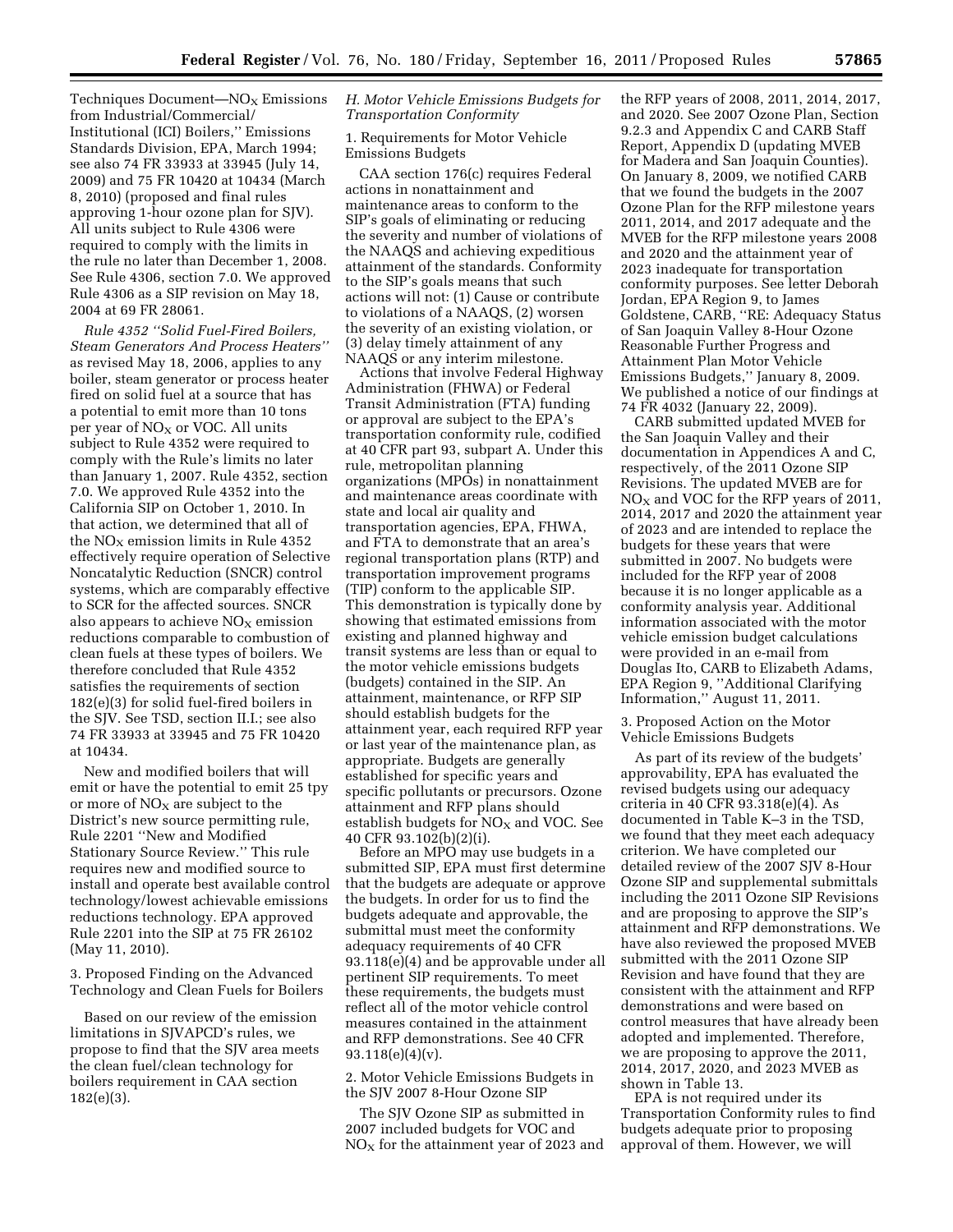$Techniques Document—NO<sub>x</sub> Emissions$ from Industrial/Commercial/ Institutional (ICI) Boilers,'' Emissions Standards Division, EPA, March 1994; see also 74 FR 33933 at 33945 (July 14, 2009) and 75 FR 10420 at 10434 (March 8, 2010) (proposed and final rules approving 1-hour ozone plan for SJV). All units subject to Rule 4306 were required to comply with the limits in the rule no later than December 1, 2008. See Rule 4306, section 7.0. We approved Rule 4306 as a SIP revision on May 18, 2004 at 69 FR 28061.

*Rule 4352 ''Solid Fuel-Fired Boilers, Steam Generators And Process Heaters''*  as revised May 18, 2006, applies to any boiler, steam generator or process heater fired on solid fuel at a source that has a potential to emit more than 10 tons per year of  $NO<sub>X</sub>$  or VOC. All units subject to Rule 4352 were required to comply with the Rule's limits no later than January 1, 2007. Rule 4352, section 7.0. We approved Rule 4352 into the California SIP on October 1, 2010. In that action, we determined that all of the  $NO<sub>X</sub>$  emission limits in Rule 4352 effectively require operation of Selective Noncatalytic Reduction (SNCR) control systems, which are comparably effective to SCR for the affected sources. SNCR also appears to achieve  $NO<sub>X</sub>$  emission reductions comparable to combustion of clean fuels at these types of boilers. We therefore concluded that Rule 4352 satisfies the requirements of section 182(e)(3) for solid fuel-fired boilers in the SJV. See TSD, section II.I.; see also 74 FR 33933 at 33945 and 75 FR 10420 at 10434.

New and modified boilers that will emit or have the potential to emit 25 tpy or more of  $NO<sub>x</sub>$  are subject to the District's new source permitting rule, Rule 2201 ''New and Modified Stationary Source Review.'' This rule requires new and modified source to install and operate best available control technology/lowest achievable emissions reductions technology. EPA approved Rule 2201 into the SIP at 75 FR 26102 (May 11, 2010).

3. Proposed Finding on the Advanced Technology and Clean Fuels for Boilers

Based on our review of the emission limitations in SJVAPCD's rules, we propose to find that the SJV area meets the clean fuel/clean technology for boilers requirement in CAA section 182(e)(3).

### *H. Motor Vehicle Emissions Budgets for Transportation Conformity*

1. Requirements for Motor Vehicle Emissions Budgets

CAA section 176(c) requires Federal actions in nonattainment and maintenance areas to conform to the SIP's goals of eliminating or reducing the severity and number of violations of the NAAQS and achieving expeditious attainment of the standards. Conformity to the SIP's goals means that such actions will not: (1) Cause or contribute to violations of a NAAQS, (2) worsen the severity of an existing violation, or (3) delay timely attainment of any NAAQS or any interim milestone.

Actions that involve Federal Highway Administration (FHWA) or Federal Transit Administration (FTA) funding or approval are subject to the EPA's transportation conformity rule, codified at 40 CFR part 93, subpart A. Under this rule, metropolitan planning organizations (MPOs) in nonattainment and maintenance areas coordinate with state and local air quality and transportation agencies, EPA, FHWA, and FTA to demonstrate that an area's regional transportation plans (RTP) and transportation improvement programs (TIP) conform to the applicable SIP. This demonstration is typically done by showing that estimated emissions from existing and planned highway and transit systems are less than or equal to the motor vehicle emissions budgets (budgets) contained in the SIP. An attainment, maintenance, or RFP SIP should establish budgets for the attainment year, each required RFP year or last year of the maintenance plan, as appropriate. Budgets are generally established for specific years and specific pollutants or precursors. Ozone attainment and RFP plans should establish budgets for  $NO<sub>X</sub>$  and VOC. See 40 CFR 93.102(b)(2)(i).

Before an MPO may use budgets in a submitted SIP, EPA must first determine that the budgets are adequate or approve the budgets. In order for us to find the budgets adequate and approvable, the submittal must meet the conformity adequacy requirements of 40 CFR 93.118(e)(4) and be approvable under all pertinent SIP requirements. To meet these requirements, the budgets must reflect all of the motor vehicle control measures contained in the attainment and RFP demonstrations. See 40 CFR  $93.118(e)(4)(v)$ .

2. Motor Vehicle Emissions Budgets in the SJV 2007 8-Hour Ozone SIP

The SJV Ozone SIP as submitted in 2007 included budgets for VOC and  $NO<sub>X</sub>$  for the attainment year of 2023 and the RFP years of 2008, 2011, 2014, 2017, and 2020. See 2007 Ozone Plan, Section 9.2.3 and Appendix C and CARB Staff Report, Appendix D (updating MVEB for Madera and San Joaquin Counties). On January 8, 2009, we notified CARB that we found the budgets in the 2007 Ozone Plan for the RFP milestone years 2011, 2014, and 2017 adequate and the MVEB for the RFP milestone years 2008 and 2020 and the attainment year of 2023 inadequate for transportation conformity purposes. See letter Deborah Jordan, EPA Region 9, to James Goldstene, CARB, ''RE: Adequacy Status of San Joaquin Valley 8-Hour Ozone Reasonable Further Progress and Attainment Plan Motor Vehicle Emissions Budgets,'' January 8, 2009. We published a notice of our findings at 74 FR 4032 (January 22, 2009).

CARB submitted updated MVEB for the San Joaquin Valley and their documentation in Appendices A and C, respectively, of the 2011 Ozone SIP Revisions. The updated MVEB are for  $NO<sub>X</sub>$  and VOC for the RFP years of 2011, 2014, 2017 and 2020 the attainment year of 2023 and are intended to replace the budgets for these years that were submitted in 2007. No budgets were included for the RFP year of 2008 because it is no longer applicable as a conformity analysis year. Additional information associated with the motor vehicle emission budget calculations were provided in an e-mail from Douglas Ito, CARB to Elizabeth Adams, EPA Region 9, ''Additional Clarifying Information,'' August 11, 2011.

3. Proposed Action on the Motor Vehicle Emissions Budgets

As part of its review of the budgets' approvability, EPA has evaluated the revised budgets using our adequacy criteria in 40 CFR 93.318(e)(4). As documented in Table K–3 in the TSD, we found that they meet each adequacy criterion. We have completed our detailed review of the 2007 SJV 8-Hour Ozone SIP and supplemental submittals including the 2011 Ozone SIP Revisions and are proposing to approve the SIP's attainment and RFP demonstrations. We have also reviewed the proposed MVEB submitted with the 2011 Ozone SIP Revision and have found that they are consistent with the attainment and RFP demonstrations and were based on control measures that have already been adopted and implemented. Therefore, we are proposing to approve the 2011, 2014, 2017, 2020, and 2023 MVEB as shown in Table 13.

EPA is not required under its Transportation Conformity rules to find budgets adequate prior to proposing approval of them. However, we will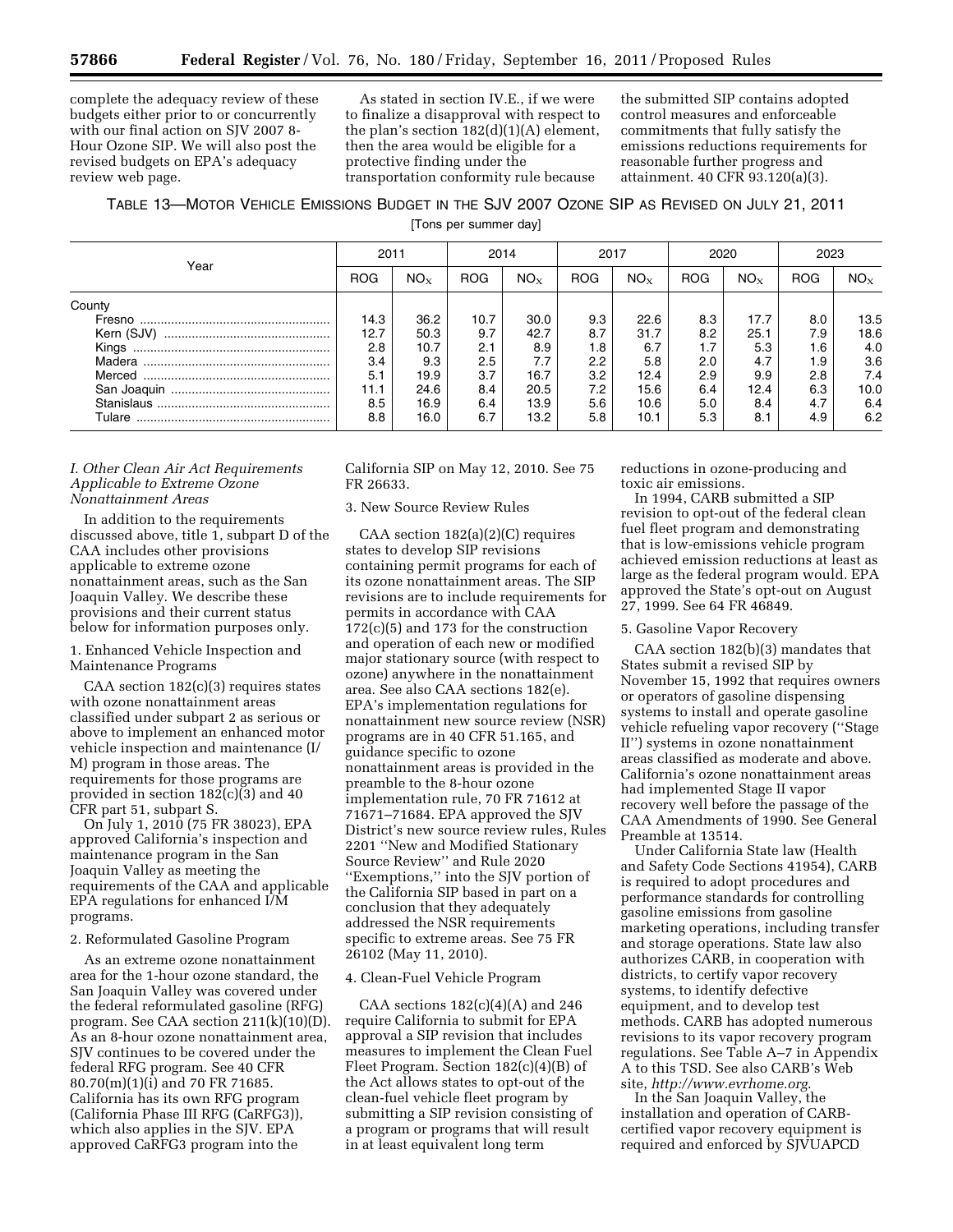complete the adequacy review of these budgets either prior to or concurrently with our final action on SJV 2007 8- Hour Ozone SIP. We will also post the revised budgets on EPA's adequacy review web page.

As stated in section IV.E., if we were to finalize a disapproval with respect to the plan's section  $182(d)(1)(A)$  element, then the area would be eligible for a protective finding under the transportation conformity rule because

the submitted SIP contains adopted control measures and enforceable commitments that fully satisfy the emissions reductions requirements for reasonable further progress and attainment. 40 CFR 93.120(a)(3).

TABLE 13—MOTOR VEHICLE EMISSIONS BUDGET IN THE SJV 2007 OZONE SIP AS REVISED ON JULY 21, 2011

[Tons per summer day]

| Year   | 2011       |          | 2014<br>2017 |          |            | 2020     |            | 2023     |            |                 |
|--------|------------|----------|--------------|----------|------------|----------|------------|----------|------------|-----------------|
|        | <b>ROG</b> | $NO_{X}$ | <b>ROG</b>   | $NO_{X}$ | <b>ROG</b> | $NO_{X}$ | <b>ROG</b> | $NO_{X}$ | <b>ROG</b> | NO <sub>x</sub> |
| County |            |          |              |          |            |          |            |          |            |                 |
| Fresno | 14.3       | 36.2     | 10.7         | 30.0     | 9.3        | 22.6     | 8.3        | 17.7     | 8.0        | 13.5            |
|        | 12.7       | 50.3     | 9.7          | 42.7     | 8.7        | 31.7     | 8.2        | 25.1     | 7.9        | 18.6            |
|        | 2.8        | 10.7     | 2.1          | 8.9      | 1.8        | 6.7      | 1.7        | 5.3      | 1.6        | 4.0             |
|        | 3.4        | 9.3      | 2.5          | 7.7      | 2.2        | 5.8      | 2.0        | 4.7      | 1.9        | 3.6             |
|        | 5.1        | 19.9     | 3.7          | 16.7     | 3.2        | 12.4     | 2.9        | 9.9      | 2.8        | 7.4             |
|        | 11.1       | 24.6     | 8.4          | 20.5     | 7.2        | 15.6     | 6.4        | 12.4     | 6.3        | 10.0            |
|        | 8.5        | 16.9     | 6.4          | 13.9     | 5.6        | 10.6     | 5.0        | 8.4      | 4.7        | 6.4             |
| Tulare | 8.8        | 16.0     | 6.7          | 13.2     | 5.8        | 10.1     | 5.3        | 8.1      | 4.9        | 6.2             |

#### *I. Other Clean Air Act Requirements Applicable to Extreme Ozone Nonattainment Areas*

In addition to the requirements discussed above, title 1, subpart D of the CAA includes other provisions applicable to extreme ozone nonattainment areas, such as the San Joaquin Valley. We describe these provisions and their current status below for information purposes only.

1. Enhanced Vehicle Inspection and Maintenance Programs

CAA section  $182(c)(3)$  requires states with ozone nonattainment areas classified under subpart 2 as serious or above to implement an enhanced motor vehicle inspection and maintenance (I/ M) program in those areas. The requirements for those programs are provided in section 182(c)(3) and 40 CFR part 51, subpart S.

On July 1, 2010 (75 FR 38023), EPA approved California's inspection and maintenance program in the San Joaquin Valley as meeting the requirements of the CAA and applicable EPA regulations for enhanced I/M programs.

### 2. Reformulated Gasoline Program

As an extreme ozone nonattainment area for the 1-hour ozone standard, the San Joaquin Valley was covered under the federal reformulated gasoline (RFG) program. See CAA section 211(k)(10)(D). As an 8-hour ozone nonattainment area, SJV continues to be covered under the federal RFG program. See 40 CFR 80.70(m)(1)(i) and 70 FR 71685. California has its own RFG program (California Phase III RFG (CaRFG3)), which also applies in the SJV. EPA approved CaRFG3 program into the

California SIP on May 12, 2010. See 75 FR 26633.

# 3. New Source Review Rules

CAA section 182(a)(2)(C) requires states to develop SIP revisions containing permit programs for each of its ozone nonattainment areas. The SIP revisions are to include requirements for permits in accordance with CAA 172(c)(5) and 173 for the construction and operation of each new or modified major stationary source (with respect to ozone) anywhere in the nonattainment area. See also CAA sections 182(e). EPA's implementation regulations for nonattainment new source review (NSR) programs are in 40 CFR 51.165, and guidance specific to ozone nonattainment areas is provided in the preamble to the 8-hour ozone implementation rule, 70 FR 71612 at 71671–71684. EPA approved the SJV District's new source review rules, Rules 2201 ''New and Modified Stationary Source Review'' and Rule 2020 ''Exemptions,'' into the SJV portion of the California SIP based in part on a conclusion that they adequately addressed the NSR requirements specific to extreme areas. See 75 FR 26102 (May 11, 2010).

#### 4. Clean-Fuel Vehicle Program

CAA sections  $182(c)(4)(A)$  and  $246$ require California to submit for EPA approval a SIP revision that includes measures to implement the Clean Fuel Fleet Program. Section 182(c)(4)(B) of the Act allows states to opt-out of the clean-fuel vehicle fleet program by submitting a SIP revision consisting of a program or programs that will result in at least equivalent long term

reductions in ozone-producing and toxic air emissions.

In 1994, CARB submitted a SIP revision to opt-out of the federal clean fuel fleet program and demonstrating that is low-emissions vehicle program achieved emission reductions at least as large as the federal program would. EPA approved the State's opt-out on August 27, 1999. See 64 FR 46849.

#### 5. Gasoline Vapor Recovery

CAA section 182(b)(3) mandates that States submit a revised SIP by November 15, 1992 that requires owners or operators of gasoline dispensing systems to install and operate gasoline vehicle refueling vapor recovery (''Stage II'') systems in ozone nonattainment areas classified as moderate and above. California's ozone nonattainment areas had implemented Stage II vapor recovery well before the passage of the CAA Amendments of 1990. See General Preamble at 13514.

Under California State law (Health and Safety Code Sections 41954), CARB is required to adopt procedures and performance standards for controlling gasoline emissions from gasoline marketing operations, including transfer and storage operations. State law also authorizes CARB, in cooperation with districts, to certify vapor recovery systems, to identify defective equipment, and to develop test methods. CARB has adopted numerous revisions to its vapor recovery program regulations. See Table A–7 in Appendix A to this TSD. See also CARB's Web site, *<http://www.evrhome.org>*.

In the San Joaquin Valley, the installation and operation of CARBcertified vapor recovery equipment is required and enforced by SJVUAPCD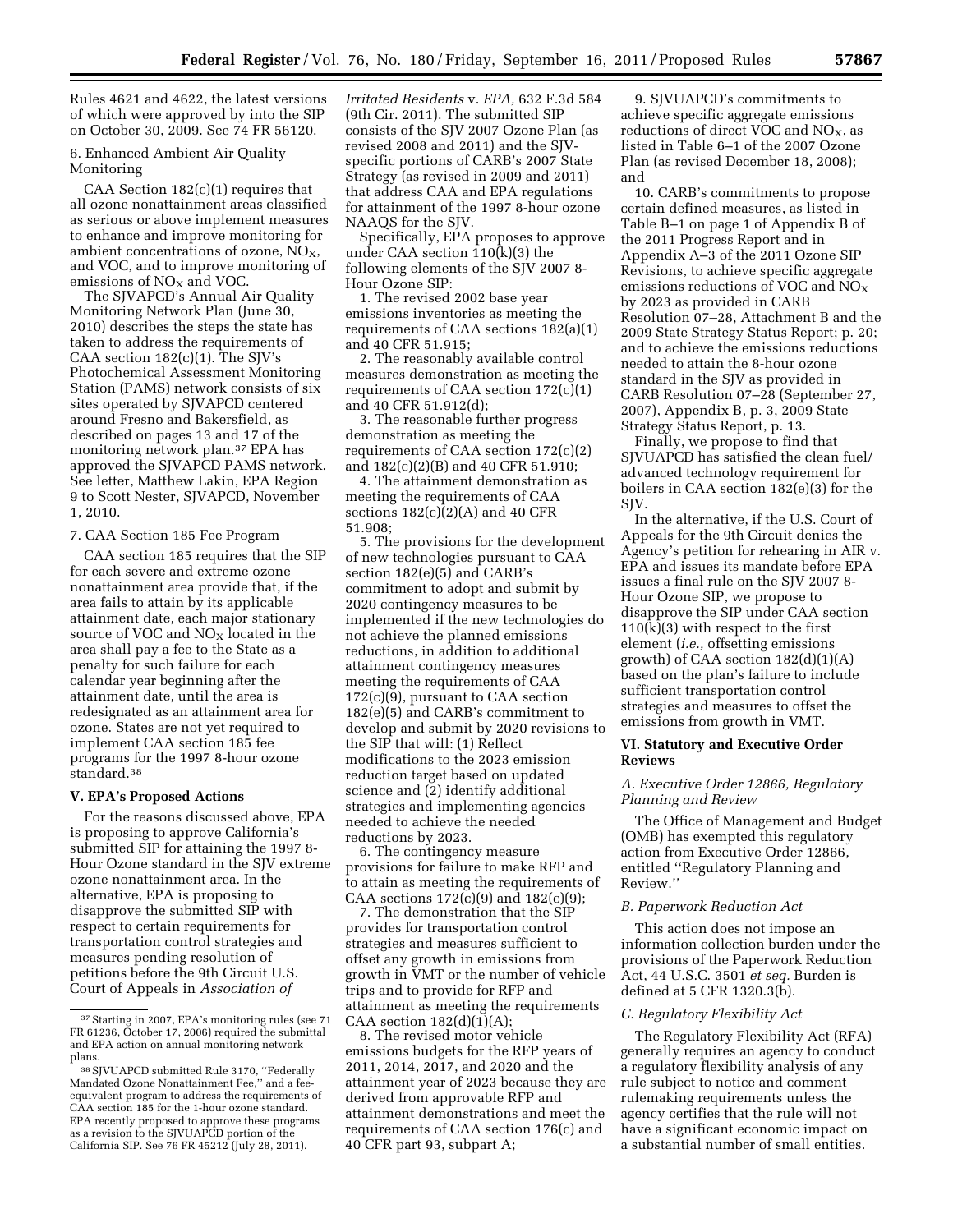Rules 4621 and 4622, the latest versions of which were approved by into the SIP on October 30, 2009. See 74 FR 56120.

6. Enhanced Ambient Air Quality Monitoring

CAA Section 182(c)(1) requires that all ozone nonattainment areas classified as serious or above implement measures to enhance and improve monitoring for ambient concentrations of ozone,  $NO<sub>x</sub>$ , and VOC, and to improve monitoring of emissions of  $NO<sub>X</sub>$  and VOC.

The SJVAPCD's Annual Air Quality Monitoring Network Plan (June 30, 2010) describes the steps the state has taken to address the requirements of CAA section 182(c)(1). The SJV's Photochemical Assessment Monitoring Station (PAMS) network consists of six sites operated by SJVAPCD centered around Fresno and Bakersfield, as described on pages 13 and 17 of the monitoring network plan.37 EPA has approved the SJVAPCD PAMS network. See letter, Matthew Lakin, EPA Region 9 to Scott Nester, SJVAPCD, November 1, 2010.

7. CAA Section 185 Fee Program

CAA section 185 requires that the SIP for each severe and extreme ozone nonattainment area provide that, if the area fails to attain by its applicable attainment date, each major stationary source of VOC and NO<sub>X</sub> located in the area shall pay a fee to the State as a penalty for such failure for each calendar year beginning after the attainment date, until the area is redesignated as an attainment area for ozone. States are not yet required to implement CAA section 185 fee programs for the 1997 8-hour ozone standard.38

#### **V. EPA's Proposed Actions**

For the reasons discussed above, EPA is proposing to approve California's submitted SIP for attaining the 1997 8- Hour Ozone standard in the SJV extreme ozone nonattainment area. In the alternative, EPA is proposing to disapprove the submitted SIP with respect to certain requirements for transportation control strategies and measures pending resolution of petitions before the 9th Circuit U.S. Court of Appeals in *Association of* 

*Irritated Residents* v. *EPA,* 632 F.3d 584 (9th Cir. 2011). The submitted SIP consists of the SJV 2007 Ozone Plan (as revised 2008 and 2011) and the SJVspecific portions of CARB's 2007 State Strategy (as revised in 2009 and 2011) that address CAA and EPA regulations for attainment of the 1997 8-hour ozone NAAQS for the SJV.

Specifically, EPA proposes to approve under CAA section 110(k)(3) the following elements of the SJV 2007 8- Hour Ozone SIP:

1. The revised 2002 base year emissions inventories as meeting the requirements of CAA sections 182(a)(1) and 40 CFR 51.915;

2. The reasonably available control measures demonstration as meeting the requirements of CAA section 172(c)(1) and 40 CFR 51.912(d);

3. The reasonable further progress demonstration as meeting the requirements of CAA section 172(c)(2) and 182(c)(2)(B) and 40 CFR 51.910;

4. The attainment demonstration as meeting the requirements of CAA sections  $182(c)(2)(A)$  and  $40$  CFR 51.908;

5. The provisions for the development of new technologies pursuant to CAA section 182(e)(5) and CARB's commitment to adopt and submit by 2020 contingency measures to be implemented if the new technologies do not achieve the planned emissions reductions, in addition to additional attainment contingency measures meeting the requirements of CAA 172(c)(9), pursuant to CAA section 182(e)(5) and CARB's commitment to develop and submit by 2020 revisions to the SIP that will: (1) Reflect modifications to the 2023 emission reduction target based on updated science and (2) identify additional strategies and implementing agencies needed to achieve the needed reductions by 2023.

6. The contingency measure provisions for failure to make RFP and to attain as meeting the requirements of CAA sections  $172(c)(9)$  and  $182(c)(9)$ ;

7. The demonstration that the SIP provides for transportation control strategies and measures sufficient to offset any growth in emissions from growth in VMT or the number of vehicle trips and to provide for RFP and attainment as meeting the requirements CAA section  $182(d)(1)(A);$ 

8. The revised motor vehicle emissions budgets for the RFP years of 2011, 2014, 2017, and 2020 and the attainment year of 2023 because they are derived from approvable RFP and attainment demonstrations and meet the requirements of CAA section 176(c) and 40 CFR part 93, subpart A;

9. SJVUAPCD's commitments to achieve specific aggregate emissions reductions of direct VOC and  $NO<sub>x</sub>$ , as listed in Table 6–1 of the 2007 Ozone Plan (as revised December 18, 2008); and

10. CARB's commitments to propose certain defined measures, as listed in Table B–1 on page 1 of Appendix B of the 2011 Progress Report and in Appendix A–3 of the 2011 Ozone SIP Revisions, to achieve specific aggregate emissions reductions of VOC and NO<sub>X</sub> by 2023 as provided in CARB Resolution 07–28, Attachment B and the 2009 State Strategy Status Report; p. 20; and to achieve the emissions reductions needed to attain the 8-hour ozone standard in the SJV as provided in CARB Resolution 07–28 (September 27, 2007), Appendix B, p. 3, 2009 State Strategy Status Report, p. 13.

Finally, we propose to find that SJVUAPCD has satisfied the clean fuel/ advanced technology requirement for boilers in CAA section 182(e)(3) for the SJV.

In the alternative, if the U.S. Court of Appeals for the 9th Circuit denies the Agency's petition for rehearing in AIR v. EPA and issues its mandate before EPA issues a final rule on the SJV 2007 8- Hour Ozone SIP, we propose to disapprove the SIP under CAA section  $110(k)(3)$  with respect to the first element (*i.e.,* offsetting emissions growth) of CAA section  $182(d)(1)(A)$ based on the plan's failure to include sufficient transportation control strategies and measures to offset the emissions from growth in VMT.

### **VI. Statutory and Executive Order Reviews**

## *A. Executive Order 12866, Regulatory Planning and Review*

The Office of Management and Budget (OMB) has exempted this regulatory action from Executive Order 12866, entitled ''Regulatory Planning and Review.''

### *B. Paperwork Reduction Act*

This action does not impose an information collection burden under the provisions of the Paperwork Reduction Act, 44 U.S.C. 3501 *et seq.* Burden is defined at 5 CFR 1320.3(b).

### *C. Regulatory Flexibility Act*

The Regulatory Flexibility Act (RFA) generally requires an agency to conduct a regulatory flexibility analysis of any rule subject to notice and comment rulemaking requirements unless the agency certifies that the rule will not have a significant economic impact on a substantial number of small entities.

<sup>37</sup>Starting in 2007, EPA's monitoring rules (see 71 FR 61236, October 17, 2006) required the submittal and EPA action on annual monitoring network plans.

<sup>38</sup>SJVUAPCD submitted Rule 3170, ''Federally Mandated Ozone Nonattainment Fee,'' and a feeequivalent program to address the requirements of CAA section 185 for the 1-hour ozone standard. EPA recently proposed to approve these programs as a revision to the SJVUAPCD portion of the California SIP. See 76 FR 45212 (July 28, 2011).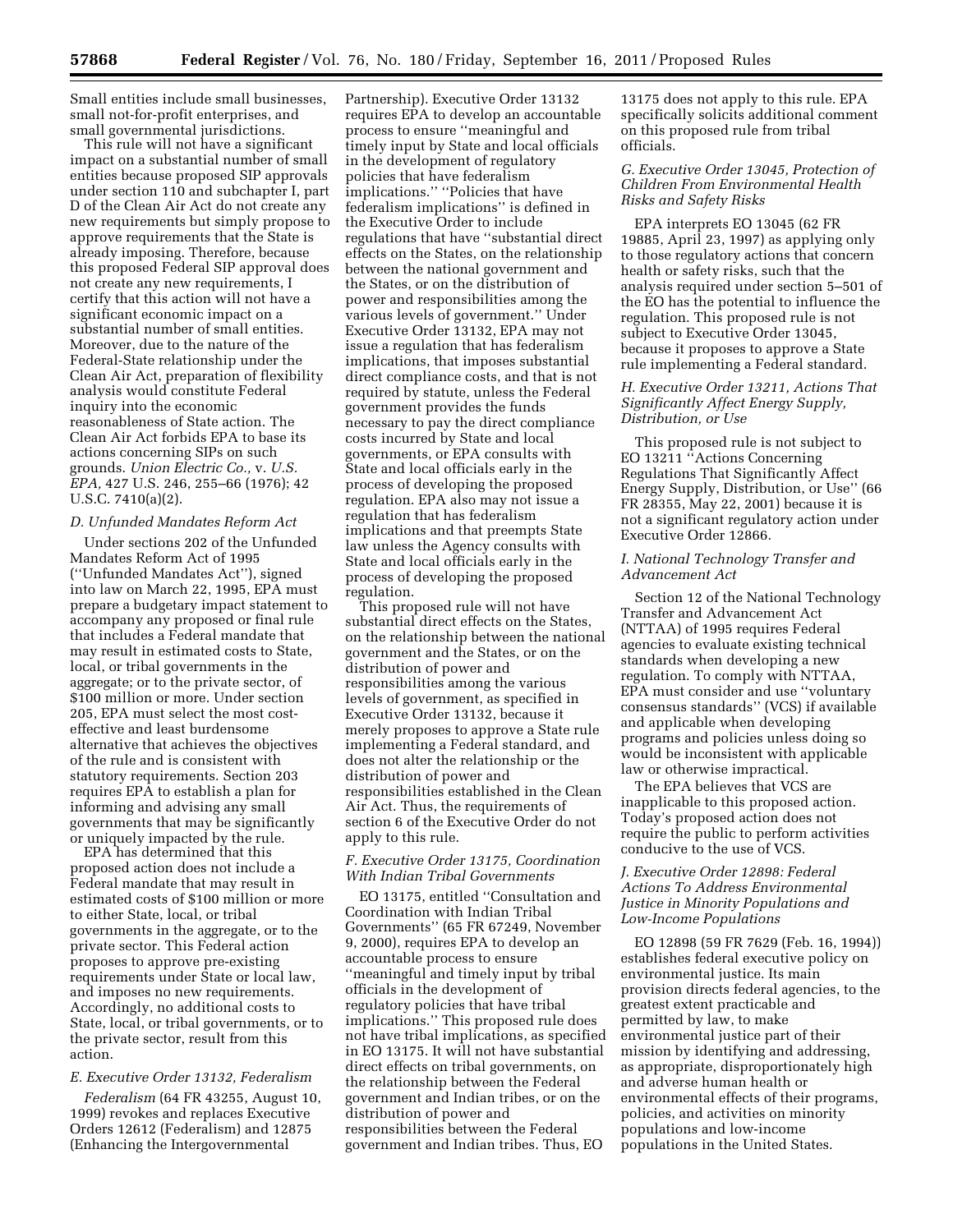Small entities include small businesses, small not-for-profit enterprises, and small governmental jurisdictions.

This rule will not have a significant impact on a substantial number of small entities because proposed SIP approvals under section 110 and subchapter I, part D of the Clean Air Act do not create any new requirements but simply propose to approve requirements that the State is already imposing. Therefore, because this proposed Federal SIP approval does not create any new requirements, I certify that this action will not have a significant economic impact on a substantial number of small entities. Moreover, due to the nature of the Federal-State relationship under the Clean Air Act, preparation of flexibility analysis would constitute Federal inquiry into the economic reasonableness of State action. The Clean Air Act forbids EPA to base its actions concerning SIPs on such grounds. *Union Electric Co.,* v. *U.S. EPA,* 427 U.S. 246, 255–66 (1976); 42 U.S.C. 7410(a)(2).

### *D. Unfunded Mandates Reform Act*

Under sections 202 of the Unfunded Mandates Reform Act of 1995 (''Unfunded Mandates Act''), signed into law on March 22, 1995, EPA must prepare a budgetary impact statement to accompany any proposed or final rule that includes a Federal mandate that may result in estimated costs to State, local, or tribal governments in the aggregate; or to the private sector, of \$100 million or more. Under section 205, EPA must select the most costeffective and least burdensome alternative that achieves the objectives of the rule and is consistent with statutory requirements. Section 203 requires EPA to establish a plan for informing and advising any small governments that may be significantly or uniquely impacted by the rule.

EPA has determined that this proposed action does not include a Federal mandate that may result in estimated costs of \$100 million or more to either State, local, or tribal governments in the aggregate, or to the private sector. This Federal action proposes to approve pre-existing requirements under State or local law, and imposes no new requirements. Accordingly, no additional costs to State, local, or tribal governments, or to the private sector, result from this action.

# *E. Executive Order 13132, Federalism*

*Federalism* (64 FR 43255, August 10, 1999) revokes and replaces Executive Orders 12612 (Federalism) and 12875 (Enhancing the Intergovernmental

Partnership). Executive Order 13132 requires EPA to develop an accountable process to ensure ''meaningful and timely input by State and local officials in the development of regulatory policies that have federalism implications.'' ''Policies that have federalism implications'' is defined in the Executive Order to include regulations that have ''substantial direct effects on the States, on the relationship between the national government and the States, or on the distribution of power and responsibilities among the various levels of government.'' Under Executive Order 13132, EPA may not issue a regulation that has federalism implications, that imposes substantial direct compliance costs, and that is not required by statute, unless the Federal government provides the funds necessary to pay the direct compliance costs incurred by State and local governments, or EPA consults with State and local officials early in the process of developing the proposed regulation. EPA also may not issue a regulation that has federalism implications and that preempts State law unless the Agency consults with State and local officials early in the process of developing the proposed regulation.

This proposed rule will not have substantial direct effects on the States, on the relationship between the national government and the States, or on the distribution of power and responsibilities among the various levels of government, as specified in Executive Order 13132, because it merely proposes to approve a State rule implementing a Federal standard, and does not alter the relationship or the distribution of power and responsibilities established in the Clean Air Act. Thus, the requirements of section 6 of the Executive Order do not apply to this rule.

### *F. Executive Order 13175, Coordination With Indian Tribal Governments*

EO 13175, entitled ''Consultation and Coordination with Indian Tribal Governments'' (65 FR 67249, November 9, 2000), requires EPA to develop an accountable process to ensure ''meaningful and timely input by tribal officials in the development of regulatory policies that have tribal implications.'' This proposed rule does not have tribal implications, as specified in EO 13175. It will not have substantial direct effects on tribal governments, on the relationship between the Federal government and Indian tribes, or on the distribution of power and responsibilities between the Federal government and Indian tribes. Thus, EO

13175 does not apply to this rule. EPA specifically solicits additional comment on this proposed rule from tribal officials.

# *G. Executive Order 13045, Protection of Children From Environmental Health Risks and Safety Risks*

EPA interprets EO 13045 (62 FR 19885, April 23, 1997) as applying only to those regulatory actions that concern health or safety risks, such that the analysis required under section 5–501 of the EO has the potential to influence the regulation. This proposed rule is not subject to Executive Order 13045, because it proposes to approve a State rule implementing a Federal standard.

### *H. Executive Order 13211, Actions That Significantly Affect Energy Supply, Distribution, or Use*

This proposed rule is not subject to EO 13211 ''Actions Concerning Regulations That Significantly Affect Energy Supply, Distribution, or Use'' (66 FR 28355, May 22, 2001) because it is not a significant regulatory action under Executive Order 12866.

### *I. National Technology Transfer and Advancement Act*

Section 12 of the National Technology Transfer and Advancement Act (NTTAA) of 1995 requires Federal agencies to evaluate existing technical standards when developing a new regulation. To comply with NTTAA, EPA must consider and use ''voluntary consensus standards'' (VCS) if available and applicable when developing programs and policies unless doing so would be inconsistent with applicable law or otherwise impractical.

The EPA believes that VCS are inapplicable to this proposed action. Today's proposed action does not require the public to perform activities conducive to the use of VCS.

# *J. Executive Order 12898: Federal Actions To Address Environmental Justice in Minority Populations and Low-Income Populations*

EO 12898 (59 FR 7629 (Feb. 16, 1994)) establishes federal executive policy on environmental justice. Its main provision directs federal agencies, to the greatest extent practicable and permitted by law, to make environmental justice part of their mission by identifying and addressing, as appropriate, disproportionately high and adverse human health or environmental effects of their programs, policies, and activities on minority populations and low-income populations in the United States.